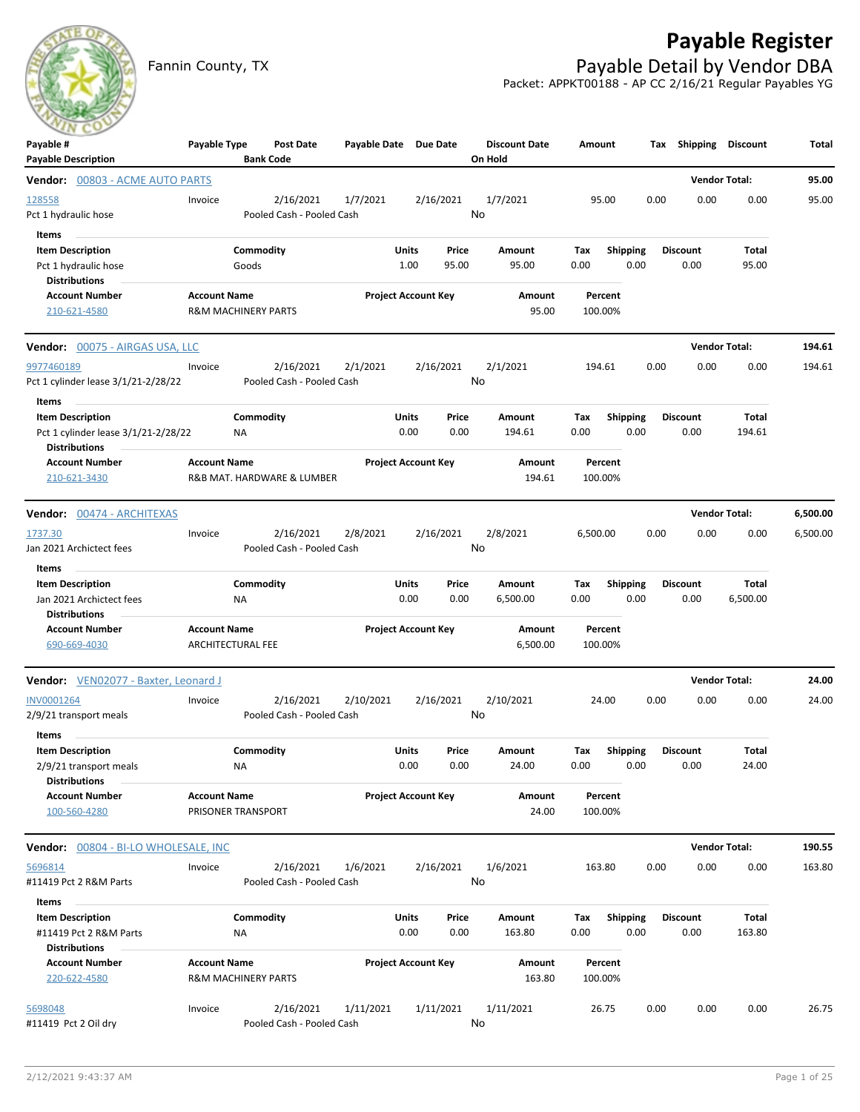# **Payable Register**



Fannin County, TX **Payable Detail by Vendor DBA** Packet: APPKT00188 - AP CC 2/16/21 Regular Payables YG

| $\sim$<br>Payable #<br><b>Payable Description</b>                                       | Payable Type                             | <b>Bank Code</b>               | <b>Post Date</b> | Payable Date Due Date      |                            |                | <b>Discount Date</b><br>On Hold | Amount             |                         | Тах  | Shipping                | Discount              | Total    |
|-----------------------------------------------------------------------------------------|------------------------------------------|--------------------------------|------------------|----------------------------|----------------------------|----------------|---------------------------------|--------------------|-------------------------|------|-------------------------|-----------------------|----------|
| <b>Vendor: 00803 - ACME AUTO PARTS</b>                                                  |                                          |                                |                  |                            |                            |                |                                 |                    |                         |      |                         | <b>Vendor Total:</b>  | 95.00    |
| 128558<br>Pct 1 hydraulic hose                                                          | Invoice                                  | Pooled Cash - Pooled Cash      | 2/16/2021        | 1/7/2021                   |                            | 2/16/2021      | 1/7/2021<br>No                  | 95.00              |                         | 0.00 | 0.00                    | 0.00                  | 95.00    |
| <b>Items</b><br><b>Item Description</b><br>Pct 1 hydraulic hose<br><b>Distributions</b> |                                          | Commodity<br>Goods             |                  |                            | Units<br>1.00              | Price<br>95.00 | Amount<br>95.00                 | Tax<br>0.00        | <b>Shipping</b><br>0.00 |      | <b>Discount</b><br>0.00 | Total<br>95.00        |          |
| <b>Account Number</b><br>210-621-4580                                                   | <b>Account Name</b>                      | <b>R&amp;M MACHINERY PARTS</b> |                  |                            | <b>Project Account Key</b> |                | <b>Amount</b><br>95.00          | Percent<br>100.00% |                         |      |                         |                       |          |
| <b>Vendor:</b> 00075 - AIRGAS USA, LLC                                                  |                                          |                                |                  |                            |                            |                |                                 |                    |                         |      |                         | <b>Vendor Total:</b>  | 194.61   |
| 9977460189<br>Pct 1 cylinder lease 3/1/21-2/28/22<br>Items                              | Invoice                                  | Pooled Cash - Pooled Cash      | 2/16/2021        | 2/1/2021                   |                            | 2/16/2021      | 2/1/2021<br>No                  | 194.61             |                         | 0.00 | 0.00                    | 0.00                  | 194.61   |
| <b>Item Description</b><br>Pct 1 cylinder lease 3/1/21-2/28/22<br><b>Distributions</b>  |                                          | Commodity<br>ΝA                |                  |                            | Units<br>0.00              | Price<br>0.00  | Amount<br>194.61                | Tax<br>0.00        | <b>Shipping</b><br>0.00 |      | <b>Discount</b><br>0.00 | Total<br>194.61       |          |
| <b>Account Number</b><br>210-621-3430                                                   | <b>Account Name</b>                      | R&B MAT. HARDWARE & LUMBER     |                  | <b>Project Account Key</b> |                            |                | Amount<br>194.61                | Percent<br>100.00% |                         |      |                         |                       |          |
| Vendor: 00474 - ARCHITEXAS                                                              |                                          |                                |                  |                            |                            |                |                                 |                    |                         |      |                         | <b>Vendor Total:</b>  | 6,500.00 |
| 1737.30<br>Jan 2021 Archictect fees<br>Items                                            | Invoice                                  | Pooled Cash - Pooled Cash      | 2/16/2021        | 2/8/2021                   |                            | 2/16/2021      | 2/8/2021<br>No                  | 6,500.00           |                         | 0.00 | 0.00                    | 0.00                  | 6,500.00 |
| <b>Item Description</b><br>Jan 2021 Archictect fees<br><b>Distributions</b>             |                                          | Commodity<br><b>NA</b>         |                  |                            | Units<br>0.00              | Price<br>0.00  | Amount<br>6,500.00              | Tax<br>0.00        | <b>Shipping</b><br>0.00 |      | <b>Discount</b><br>0.00 | Total<br>6,500.00     |          |
| <b>Account Number</b><br>690-669-4030                                                   | <b>Account Name</b><br>ARCHITECTURAL FEE |                                |                  |                            | <b>Project Account Key</b> |                | Amount<br>6,500.00              | Percent<br>100.00% |                         |      |                         |                       |          |
| Vendor: VEN02077 - Baxter, Leonard J                                                    |                                          |                                |                  |                            |                            |                |                                 |                    |                         |      |                         | <b>Vendor Total:</b>  | 24.00    |
| <b>INV0001264</b><br>2/9/21 transport meals<br>Items                                    | Invoice                                  | Pooled Cash - Pooled Cash      | 2/16/2021        | 2/10/2021                  |                            | 2/16/2021      | 2/10/2021<br>No                 | 24.00              |                         | 0.00 | 0.00                    | 0.00                  | 24.00    |
| <b>Item Description</b><br>2/9/21 transport meals<br><b>Distributions</b>               |                                          | Commodity<br>ΝA                |                  |                            | Units<br>0.00              | Price<br>0.00  | <b>Amount</b><br>24.00          | Тах<br>0.00        | <b>Shipping</b><br>0.00 |      | <b>Discount</b><br>0.00 | <b>Total</b><br>24.00 |          |
| <b>Account Number</b><br>100-560-4280                                                   | <b>Account Name</b>                      | PRISONER TRANSPORT             |                  | <b>Project Account Key</b> |                            |                | Amount<br>24.00                 | Percent<br>100.00% |                         |      |                         |                       |          |
| Vendor: 00804 - BI-LO WHOLESALE, INC                                                    |                                          |                                |                  |                            |                            |                |                                 |                    |                         |      |                         | <b>Vendor Total:</b>  | 190.55   |
| 5696814<br>#11419 Pct 2 R&M Parts                                                       | Invoice                                  | Pooled Cash - Pooled Cash      | 2/16/2021        | 1/6/2021                   |                            | 2/16/2021      | 1/6/2021<br>No                  | 163.80             |                         | 0.00 | 0.00                    | 0.00                  | 163.80   |
| Items<br><b>Item Description</b><br>#11419 Pct 2 R&M Parts<br><b>Distributions</b>      |                                          | Commodity<br>ΝA                |                  |                            | Units<br>0.00              | Price<br>0.00  | Amount<br>163.80                | Tax<br>0.00        | <b>Shipping</b><br>0.00 |      | <b>Discount</b><br>0.00 | Total<br>163.80       |          |
| <b>Account Number</b><br>220-622-4580                                                   | <b>Account Name</b>                      | <b>R&amp;M MACHINERY PARTS</b> |                  |                            | <b>Project Account Key</b> |                | Amount<br>163.80                | Percent<br>100.00% |                         |      |                         |                       |          |
| 5698048<br>#11419 Pct 2 Oil dry                                                         | Invoice                                  | Pooled Cash - Pooled Cash      | 2/16/2021        | 1/11/2021                  |                            | 1/11/2021      | 1/11/2021<br>No                 | 26.75              |                         | 0.00 | 0.00                    | 0.00                  | 26.75    |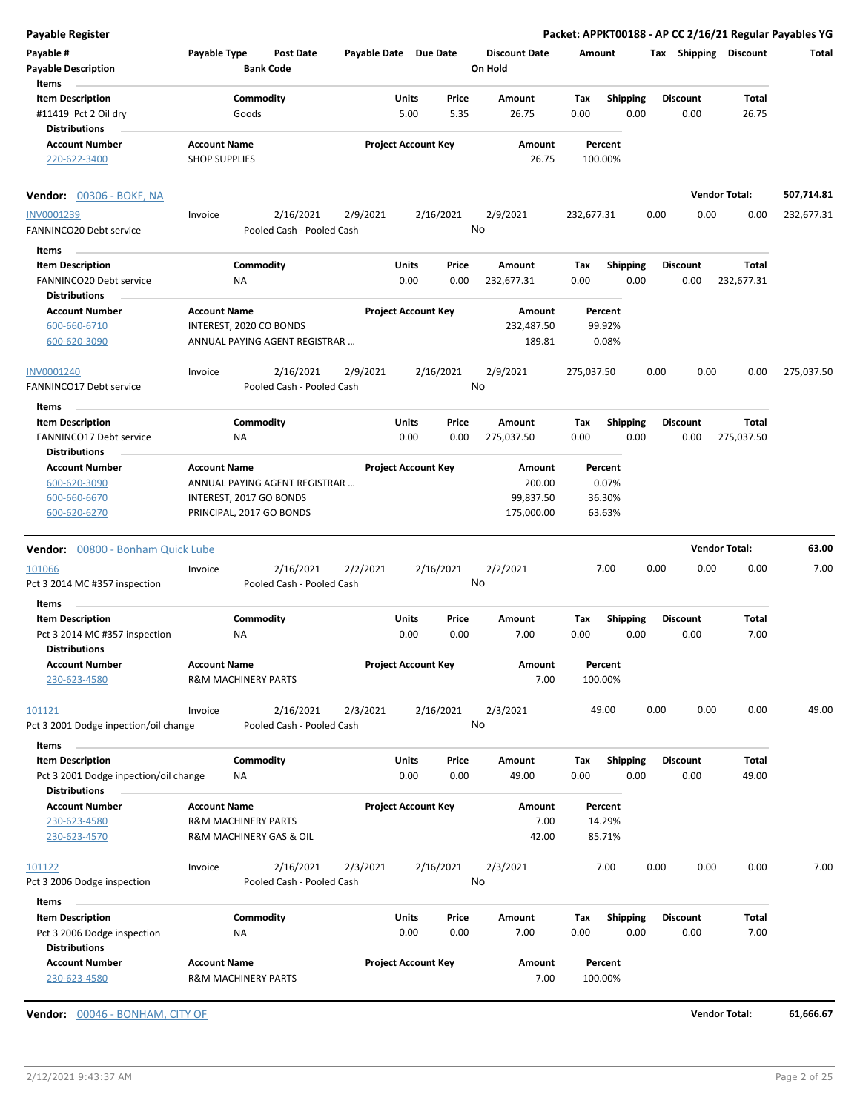**Payable # Payable Type Post Date Payable Date Due Date Payable Description Bank Code Discount Date Amount Tax Shipping Discount Total On Hold** 5.00 5.35 **Units** #11419 Pct 2 Oil dry **600ds** 600ds 5.00 5.35 26.75 0.00 **Item Description** 26.75 **Price Amount Tax** 0.00 26.75 Commodity **Shipping Shipping Commodity Shipping Discount** Total Goods **Items** 0.00 **Discount Account Number Account Name Project Account Key Amount Distributions Percent** 220-622-3400 SHOP SUPPLIES 26.75 100.00% **Vendor:** 00306 - BOKF, NA **Vendor Total: 507,714.81** 2/16/2021 2/9/2021 2/16/2021 FANNINCO20 Debt service Pooled Cash - Pooled Cash INV0001239 Invoice 2/9/2021 232,677.31 0.00 0.00 0.00 232,677.31 No 0.00 0.00 **Units** FANNINCO20 Debt service 0.00 **Item Description** 232,677.31 **Price Amount Tax** 0.00 232,677.31 Commodity **Shipping Shipping Commodity Shipping Discount** Total NA **Items** 0.00 **Discount Account Number Account Name Project Account Key Amount Distributions Percent** 600-660-6710 INTEREST, 2020 CO BONDS 232,487.50 99.92% 600-620-3090 ANNUAL PAYING AGENT REGISTRAR … 189.81 0.08% 2/16/2021 2/9/2021 2/16/2021 FANNINCO17 Debt service Pooled Cash - Pooled Cash INV0001240 Invoice 2/16/2021 2/9/2021 2/16/2021 2/16/2021 275,037.50 0.00 0.00 0.00 275,037.50 No 0.00 0.00 **Units** FANNINCO17 Debt service 0.00 **Item Description** 275,037.50 **Price Amount Tax** 0.00 275,037.50 **Commodity Shipping Total** NA **Items** 0.00 **Discount Account Number Account Name Project Account Key Amount Distributions Percent** 600-620-3090 ANNUAL PAYING AGENT REGISTRAR … 200.00 0.07% 600-660-6670 INTEREST, 2017 GO BONDS 99,837.50 36.30% 600-620-6270 PRINCIPAL, 2017 GO BONDS 175,000.00 63.63% **Vendor:** 00800 - Bonham Quick Lube **Vendor Total: 63.00** 2/16/2021 2/2/2021 2/16/2021 Pct 3 2014 MC #357 inspection Pooled Cash - Pooled Cash 101066 Invoice 2/2/2021 7.00 0.00 0.00 0.00 7.00 No 0.00 0.00 **Units** Pct 3 2014 MC #357 inspection MA NA 0.00 0.00 7.00 0.00 **Item Description** 7.00 **Price Amount Tax** 0.00 7.00 0.00 Commodity **Shipping Shipping Commodity Shipping Discount** Total NA **Items Discount Account Number Account Name Project Account Key Amount Distributions Percent** 230-623-4580 R&M MACHINERY PARTS 7.00 100.00% 2/16/2021 2/3/2021 2/16/2021 Pct 3 2001 Dodge inpection/oil change Pooled Cash - Pooled Cash  $\frac{101121}{201121}$  . Invoice  $\frac{2}{16}/\frac{2021}{2}/32021}$   $\frac{2}{16}/2021$   $\frac{2}{3}/2021}$   $\frac{2}{3}/2021}$   $\frac{49.00}{200}$   $\frac{0.00}{0.00}$   $\frac{0.00}{0.00}$   $\frac{49.00}{200}$ No 0.00 0.00 **Units** Pct 3 2001 Dodge inpection/oil change  $\overline{OA}$  MA 0.00 0.00 0.00 49.00 0.00 **Item Description** 49.00 **Price Amount Tax** 0.00 49.00 **Commodity Shipping Total** NA **Items** 0.00 **Discount Account Number Account Name Project Account Key Amount Distributions Percent** 230-623-4580 R&M MACHINERY PARTS 7.00 14.29% 230-623-4570 R&M MACHINERY GAS & OIL 42.00 85.71% 2/16/2021 2/3/2021 2/16/2021 Pct 3 2006 Dodge inspection Pooled Cash - Pooled Cash 101122 Invoice 2/3/2021 7.00 0.00 0.00 0.00 7.00 No 0.00 0.00 **Units** Pct 3 2006 Dodge inspection  $NA$  0.00 0.00 7.00 0.00 0.00 **Item Description** 7.00 **Price Amount Tax** 0.00 7.00 **Commodity Shipping Total** NA **Items** 0.00 **Discount Account Number Account Name Project Account Key Amount Distributions Percent** 230-623-4580 R&M MACHINERY PARTS 7.00 100.00%

**Payable Register Packet: APPKT00188 - AP CC 2/16/21 Regular Payables YG**

**Vendor:** 00046 - BONHAM, CITY OF **Vendor Total: 61,666.67**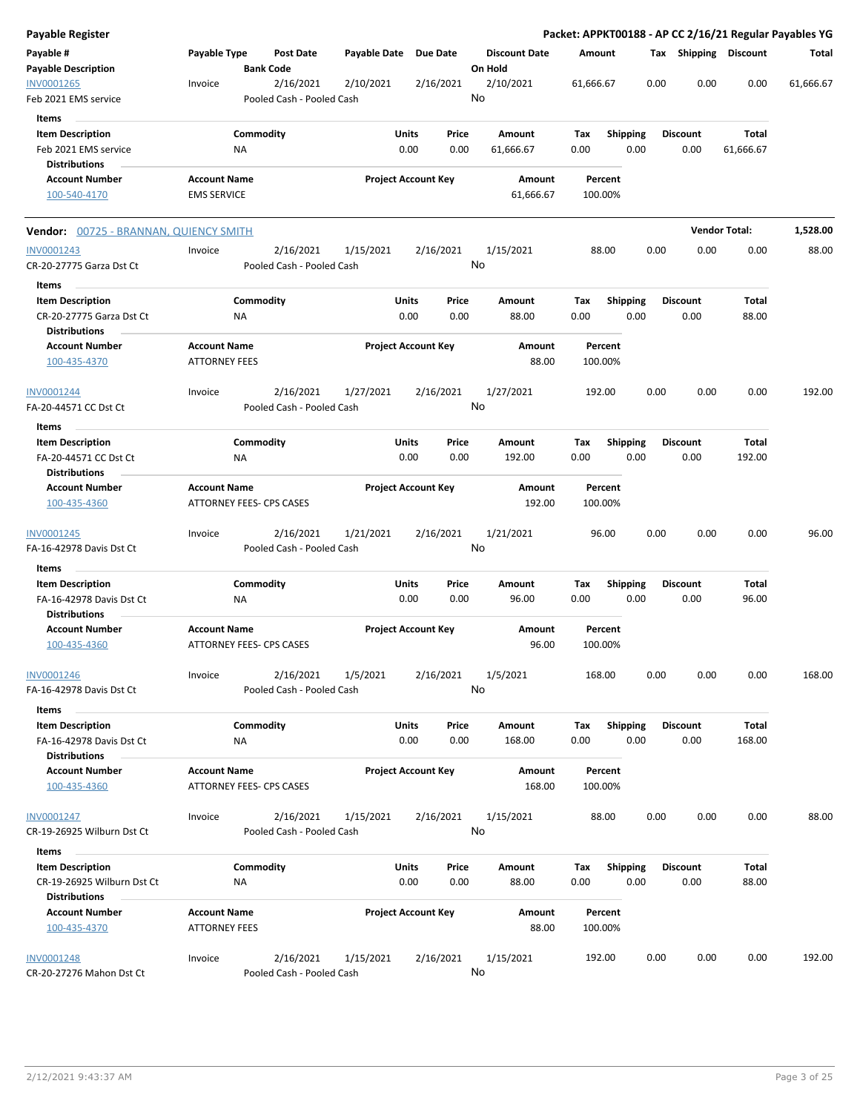| <b>Payable Register</b>                               |                                             |                                        |                       |                                |                                 | Packet: APPKT00188 - AP CC 2/16/21 Regular Payables YG |                         |                         |                      |           |
|-------------------------------------------------------|---------------------------------------------|----------------------------------------|-----------------------|--------------------------------|---------------------------------|--------------------------------------------------------|-------------------------|-------------------------|----------------------|-----------|
| Payable #<br><b>Payable Description</b>               | Payable Type                                | Post Date<br><b>Bank Code</b>          | Payable Date Due Date |                                | <b>Discount Date</b><br>On Hold | Amount                                                 |                         | Tax Shipping Discount   |                      | Total     |
| INV0001265<br>Feb 2021 EMS service                    | Invoice                                     | 2/16/2021<br>Pooled Cash - Pooled Cash | 2/10/2021             | 2/16/2021                      | 2/10/2021<br>No                 | 61,666.67                                              | 0.00                    | 0.00                    | 0.00                 | 61,666.67 |
| Items                                                 |                                             |                                        |                       |                                |                                 |                                                        |                         |                         |                      |           |
| <b>Item Description</b>                               |                                             | Commodity                              |                       | Units<br>Price                 | Amount                          | Tax                                                    | <b>Shipping</b>         | <b>Discount</b>         | Total                |           |
| Feb 2021 EMS service                                  |                                             | ΝA                                     |                       | 0.00<br>0.00                   | 61,666.67                       | 0.00                                                   | 0.00                    | 0.00                    | 61,666.67            |           |
| <b>Distributions</b>                                  |                                             |                                        |                       |                                |                                 |                                                        |                         |                         |                      |           |
| <b>Account Number</b>                                 | <b>Account Name</b>                         |                                        |                       | <b>Project Account Key</b>     | Amount                          | Percent                                                |                         |                         |                      |           |
| 100-540-4170                                          | <b>EMS SERVICE</b>                          |                                        |                       |                                | 61,666.67                       | 100.00%                                                |                         |                         |                      |           |
| Vendor: 00725 - BRANNAN, QUIENCY SMITH                |                                             |                                        |                       |                                |                                 |                                                        |                         |                         | <b>Vendor Total:</b> | 1,528.00  |
| INV0001243                                            | Invoice                                     | 2/16/2021                              | 1/15/2021             | 2/16/2021                      | 1/15/2021                       | 88.00                                                  | 0.00                    | 0.00                    | 0.00                 | 88.00     |
| CR-20-27775 Garza Dst Ct                              |                                             | Pooled Cash - Pooled Cash              |                       |                                | No                              |                                                        |                         |                         |                      |           |
| Items                                                 |                                             |                                        |                       |                                |                                 |                                                        |                         |                         |                      |           |
| <b>Item Description</b>                               |                                             | Commodity                              |                       | Units<br>Price                 | Amount                          | Tax                                                    | <b>Shipping</b>         | Discount                | Total                |           |
| CR-20-27775 Garza Dst Ct<br><b>Distributions</b>      |                                             | ΝA                                     |                       | 0.00<br>0.00                   | 88.00                           | 0.00                                                   | 0.00                    | 0.00                    | 88.00                |           |
| <b>Account Number</b><br>100-435-4370                 | <b>Account Name</b><br><b>ATTORNEY FEES</b> |                                        |                       | <b>Project Account Key</b>     | Amount<br>88.00                 | Percent<br>100.00%                                     |                         |                         |                      |           |
| INV0001244                                            | Invoice                                     | 2/16/2021                              | 1/27/2021             | 2/16/2021                      | 1/27/2021                       | 192.00                                                 | 0.00                    | 0.00                    | 0.00                 | 192.00    |
| FA-20-44571 CC Dst Ct<br>Items                        |                                             | Pooled Cash - Pooled Cash              |                       |                                | No                              |                                                        |                         |                         |                      |           |
| <b>Item Description</b>                               |                                             | Commodity                              |                       | Units<br>Price                 | Amount                          | Tax                                                    | <b>Shipping</b>         | <b>Discount</b>         | Total                |           |
| FA-20-44571 CC Dst Ct<br><b>Distributions</b>         |                                             | <b>NA</b>                              |                       | 0.00<br>0.00                   | 192.00                          | 0.00                                                   | 0.00                    | 0.00                    | 192.00               |           |
| <b>Account Number</b><br>100-435-4360                 | <b>Account Name</b>                         | ATTORNEY FEES- CPS CASES               |                       | <b>Project Account Key</b>     | Amount<br>192.00                | Percent<br>100.00%                                     |                         |                         |                      |           |
| INV0001245                                            | Invoice                                     | 2/16/2021                              | 1/21/2021             | 2/16/2021                      | 1/21/2021                       | 96.00                                                  | 0.00                    | 0.00                    | 0.00                 | 96.00     |
| FA-16-42978 Davis Dst Ct                              |                                             | Pooled Cash - Pooled Cash              |                       |                                | No                              |                                                        |                         |                         |                      |           |
| Items                                                 |                                             |                                        |                       |                                |                                 |                                                        |                         |                         |                      |           |
| <b>Item Description</b>                               |                                             | Commodity                              |                       | Units<br>Price                 | Amount                          | Tax                                                    | <b>Shipping</b>         | <b>Discount</b>         | Total                |           |
| FA-16-42978 Davis Dst Ct<br><b>Distributions</b>      |                                             | ΝA                                     |                       | 0.00<br>0.00                   | 96.00                           | 0.00                                                   | 0.00                    | 0.00                    | 96.00                |           |
| <b>Account Number</b><br>100-435-4360                 | <b>Account Name</b>                         | ATTORNEY FEES- CPS CASES               |                       | <b>Project Account Key</b>     | Amount<br>96.00                 | Percent<br>100.00%                                     |                         |                         |                      |           |
| <b>INV0001246</b>                                     | Invoice                                     | 2/16/2021                              | 1/5/2021              | 2/16/2021                      | 1/5/2021                        | 168.00                                                 | 0.00                    | 0.00                    | 0.00                 | 168.00    |
| FA-16-42978 Davis Dst Ct                              |                                             | Pooled Cash - Pooled Cash              |                       |                                | No                              |                                                        |                         |                         |                      |           |
| Items                                                 |                                             |                                        |                       |                                |                                 |                                                        |                         |                         |                      |           |
| <b>Item Description</b><br>FA-16-42978 Davis Dst Ct   |                                             | Commodity<br>ΝA                        |                       | Units<br>Price<br>0.00<br>0.00 | Amount<br>168.00                | Tax<br>0.00                                            | <b>Shipping</b><br>0.00 | <b>Discount</b><br>0.00 | Total<br>168.00      |           |
| <b>Distributions</b>                                  |                                             |                                        |                       |                                |                                 |                                                        |                         |                         |                      |           |
| <b>Account Number</b><br>100-435-4360                 | <b>Account Name</b>                         | ATTORNEY FEES- CPS CASES               |                       | <b>Project Account Key</b>     | Amount<br>168.00                | Percent<br>100.00%                                     |                         |                         |                      |           |
| INV0001247                                            | Invoice                                     | 2/16/2021                              | 1/15/2021             | 2/16/2021                      | 1/15/2021                       | 88.00                                                  | 0.00                    | 0.00                    | 0.00                 | 88.00     |
| CR-19-26925 Wilburn Dst Ct                            |                                             | Pooled Cash - Pooled Cash              |                       |                                | No                              |                                                        |                         |                         |                      |           |
| Items                                                 |                                             |                                        |                       |                                |                                 |                                                        |                         |                         |                      |           |
| <b>Item Description</b><br>CR-19-26925 Wilburn Dst Ct |                                             | Commodity<br>ΝA                        |                       | Units<br>Price<br>0.00<br>0.00 | Amount<br>88.00                 | Tax<br>0.00                                            | <b>Shipping</b><br>0.00 | <b>Discount</b><br>0.00 | Total<br>88.00       |           |
| <b>Distributions</b>                                  |                                             |                                        |                       |                                |                                 |                                                        |                         |                         |                      |           |
| <b>Account Number</b><br>100-435-4370                 | <b>Account Name</b><br><b>ATTORNEY FEES</b> |                                        |                       | <b>Project Account Key</b>     | Amount<br>88.00                 | Percent<br>100.00%                                     |                         |                         |                      |           |
| <b>INV0001248</b><br>CR-20-27276 Mahon Dst Ct         | Invoice                                     | 2/16/2021<br>Pooled Cash - Pooled Cash | 1/15/2021             | 2/16/2021                      | 1/15/2021<br>No                 | 192.00                                                 | 0.00                    | 0.00                    | 0.00                 | 192.00    |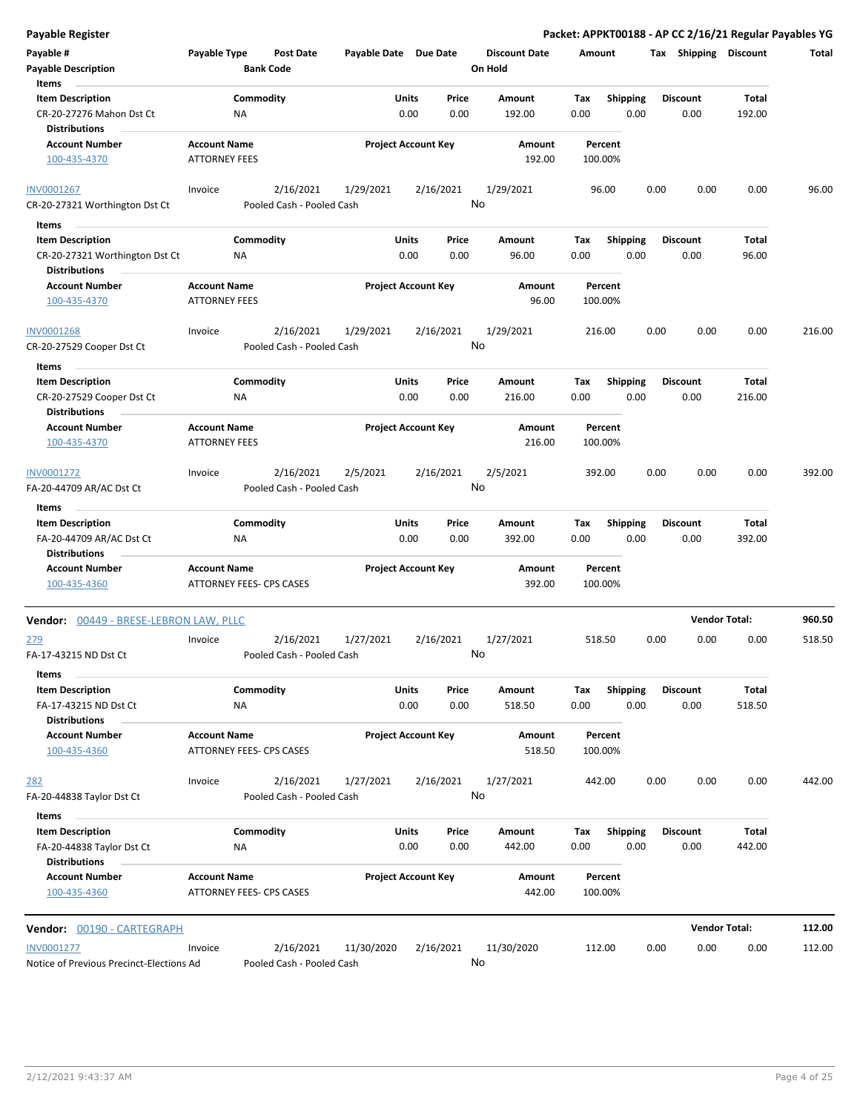| Payable Register                                                                  |                                             |                                        |                            |                      |                 |                                 |             |                         |      |                         | Packet: APPKT00188 - AP CC 2/16/21 Regular Payables YG |        |
|-----------------------------------------------------------------------------------|---------------------------------------------|----------------------------------------|----------------------------|----------------------|-----------------|---------------------------------|-------------|-------------------------|------|-------------------------|--------------------------------------------------------|--------|
| Payable #<br><b>Payable Description</b>                                           | Payable Type                                | Post Date<br><b>Bank Code</b>          | Payable Date Due Date      |                      |                 | <b>Discount Date</b><br>On Hold | Amount      |                         |      | Tax Shipping Discount   |                                                        | Total  |
| Items                                                                             |                                             | Commodity                              |                            |                      | Price           |                                 |             |                         |      |                         | Total                                                  |        |
| <b>Item Description</b><br>CR-20-27276 Mahon Dst Ct<br><b>Distributions</b>       | ΝA                                          |                                        |                            | Units<br>0.00        | 0.00            | Amount<br>192.00                | Tax<br>0.00 | Shipping<br>0.00        |      | <b>Discount</b><br>0.00 | 192.00                                                 |        |
| <b>Account Number</b><br>100-435-4370                                             | <b>Account Name</b><br><b>ATTORNEY FEES</b> |                                        | <b>Project Account Key</b> |                      |                 | Amount<br>192.00                |             | Percent<br>100.00%      |      |                         |                                                        |        |
|                                                                                   |                                             |                                        |                            |                      |                 |                                 |             |                         |      |                         |                                                        |        |
| INV0001267<br>CR-20-27321 Worthington Dst Ct                                      | Invoice                                     | 2/16/2021<br>Pooled Cash - Pooled Cash | 1/29/2021                  |                      | 2/16/2021<br>No | 1/29/2021                       |             | 96.00                   | 0.00 | 0.00                    | 0.00                                                   | 96.00  |
| Items<br>$\sim$                                                                   |                                             |                                        |                            |                      |                 |                                 |             |                         |      |                         |                                                        |        |
| <b>Item Description</b><br>CR-20-27321 Worthington Dst Ct<br><b>Distributions</b> | NA                                          | Commodity                              |                            | Units<br>0.00        | Price<br>0.00   | Amount<br>96.00                 | Tax<br>0.00 | <b>Shipping</b><br>0.00 |      | <b>Discount</b><br>0.00 | Total<br>96.00                                         |        |
| <b>Account Number</b><br>100-435-4370                                             | <b>Account Name</b><br><b>ATTORNEY FEES</b> |                                        | <b>Project Account Key</b> |                      |                 | Amount<br>96.00                 |             | Percent<br>100.00%      |      |                         |                                                        |        |
| <b>INV0001268</b><br>CR-20-27529 Cooper Dst Ct                                    | Invoice                                     | 2/16/2021<br>Pooled Cash - Pooled Cash | 1/29/2021                  |                      | 2/16/2021<br>No | 1/29/2021                       |             | 216.00                  | 0.00 | 0.00                    | 0.00                                                   | 216.00 |
| Items                                                                             |                                             |                                        |                            |                      |                 |                                 |             |                         |      |                         |                                                        |        |
| <b>Item Description</b><br>CR-20-27529 Cooper Dst Ct                              | ΝA                                          | Commodity                              |                            | Units<br>0.00        | Price<br>0.00   | Amount<br>216.00                | Tax<br>0.00 | <b>Shipping</b><br>0.00 |      | <b>Discount</b><br>0.00 | Total<br>216.00                                        |        |
| <b>Distributions</b><br><b>Account Number</b><br>100-435-4370                     | <b>Account Name</b><br><b>ATTORNEY FEES</b> |                                        | <b>Project Account Key</b> |                      |                 | <b>Amount</b><br>216.00         |             | Percent<br>100.00%      |      |                         |                                                        |        |
| INV0001272<br>FA-20-44709 AR/AC Dst Ct                                            | Invoice                                     | 2/16/2021<br>Pooled Cash - Pooled Cash | 2/5/2021                   |                      | 2/16/2021<br>No | 2/5/2021                        |             | 392.00                  | 0.00 | 0.00                    | 0.00                                                   | 392.00 |
| Items                                                                             |                                             |                                        |                            |                      |                 |                                 |             |                         |      |                         |                                                        |        |
| <b>Item Description</b><br>FA-20-44709 AR/AC Dst Ct                               | ΝA                                          | Commodity                              |                            | <b>Units</b><br>0.00 | Price<br>0.00   | Amount<br>392.00                | Tax<br>0.00 | <b>Shipping</b><br>0.00 |      | <b>Discount</b><br>0.00 | Total<br>392.00                                        |        |
| <b>Distributions</b><br><b>Account Number</b><br>100-435-4360                     | <b>Account Name</b>                         | ATTORNEY FEES- CPS CASES               | <b>Project Account Key</b> |                      |                 | Amount<br>392.00                |             | Percent<br>100.00%      |      |                         |                                                        |        |
| Vendor: 00449 - BRESE-LEBRON LAW, PLLC                                            |                                             |                                        |                            |                      |                 |                                 |             |                         |      |                         | <b>Vendor Total:</b>                                   | 960.50 |
| <u> 279</u><br>FA-17-43215 ND Dst Ct                                              | Invoice                                     | 2/16/2021<br>Pooled Cash - Pooled Cash | 1/27/2021                  |                      | 2/16/2021       | 1/27/2021<br>No No              |             | 518.50                  | 0.00 | 0.00                    | 0.00                                                   | 518.50 |
| Items                                                                             |                                             |                                        |                            |                      |                 |                                 |             |                         |      |                         |                                                        |        |
| <b>Item Description</b>                                                           |                                             | Commodity                              |                            | <b>Units</b>         | Price           | Amount                          | Тах         | <b>Shipping</b>         |      | <b>Discount</b>         | Total                                                  |        |
| FA-17-43215 ND Dst Ct<br><b>Distributions</b>                                     | ΝA                                          |                                        |                            | 0.00                 | 0.00            | 518.50                          | 0.00        | 0.00                    |      | 0.00                    | 518.50                                                 |        |
| <b>Account Number</b><br>100-435-4360                                             | <b>Account Name</b>                         | ATTORNEY FEES- CPS CASES               | <b>Project Account Key</b> |                      |                 | Amount<br>518.50                |             | Percent<br>100.00%      |      |                         |                                                        |        |
| 282                                                                               | Invoice                                     | 2/16/2021                              | 1/27/2021                  |                      | 2/16/2021       | 1/27/2021                       |             | 442.00                  | 0.00 | 0.00                    | 0.00                                                   | 442.00 |
| FA-20-44838 Taylor Dst Ct<br>Items                                                |                                             | Pooled Cash - Pooled Cash              |                            |                      | No              |                                 |             |                         |      |                         |                                                        |        |
| <b>Item Description</b><br>FA-20-44838 Taylor Dst Ct<br><b>Distributions</b>      | ΝA                                          | Commodity                              |                            | Units<br>0.00        | Price<br>0.00   | Amount<br>442.00                | Tax<br>0.00 | <b>Shipping</b><br>0.00 |      | <b>Discount</b><br>0.00 | Total<br>442.00                                        |        |
| <b>Account Number</b><br>100-435-4360                                             | <b>Account Name</b>                         | ATTORNEY FEES- CPS CASES               | <b>Project Account Key</b> |                      |                 | Amount<br>442.00                |             | Percent<br>100.00%      |      |                         |                                                        |        |
| Vendor: 00190 - CARTEGRAPH                                                        |                                             |                                        |                            |                      |                 |                                 |             |                         |      |                         | <b>Vendor Total:</b>                                   | 112.00 |
| INV0001277<br>Notice of Previous Precinct-Elections Ad                            | Invoice                                     | 2/16/2021<br>Pooled Cash - Pooled Cash | 11/30/2020                 |                      | 2/16/2021<br>No | 11/30/2020                      |             | 112.00                  | 0.00 | 0.00                    | 0.00                                                   | 112.00 |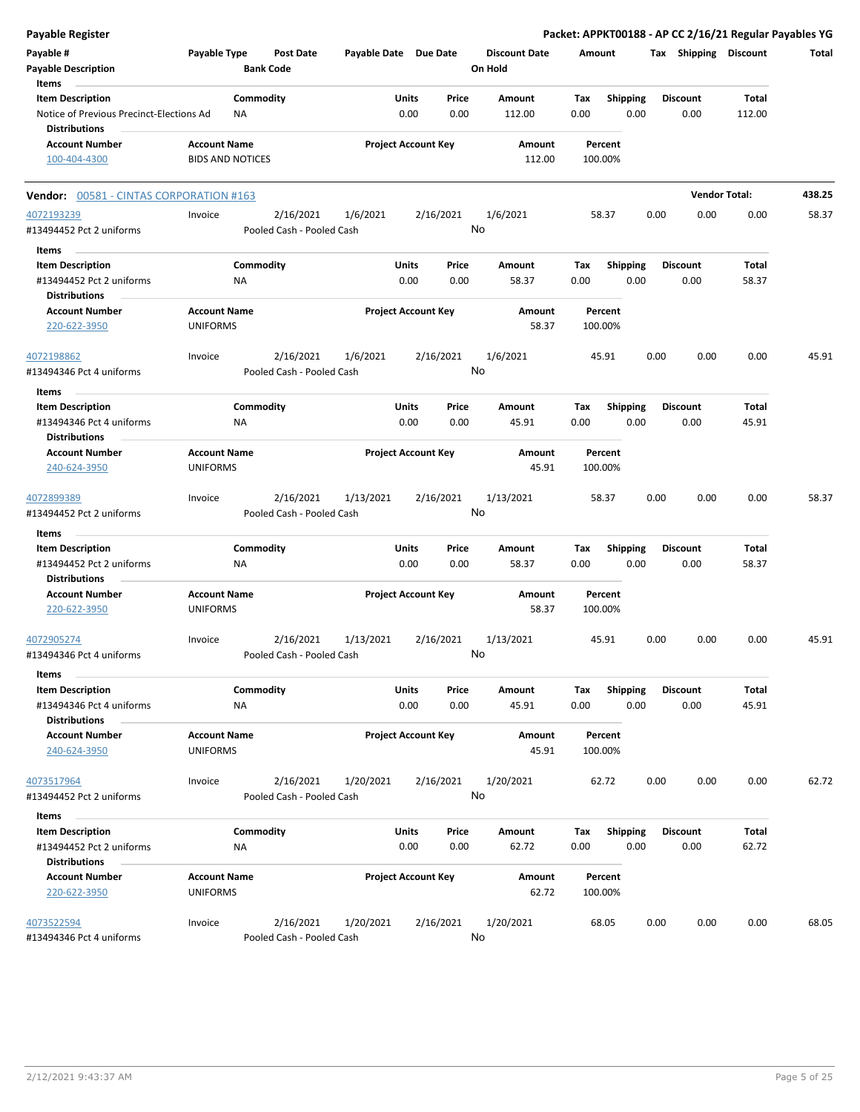| Payable Register                                                 |                                        |                  |                                        |                       |                            |           |                                 |        |                    |      |                       | Packet: APPKT00188 - AP CC 2/16/21 Regular Payables YG |        |
|------------------------------------------------------------------|----------------------------------------|------------------|----------------------------------------|-----------------------|----------------------------|-----------|---------------------------------|--------|--------------------|------|-----------------------|--------------------------------------------------------|--------|
| Payable #<br><b>Payable Description</b>                          | Payable Type                           | <b>Bank Code</b> | <b>Post Date</b>                       | Payable Date Due Date |                            |           | <b>Discount Date</b><br>On Hold | Amount |                    |      | Tax Shipping Discount |                                                        | Total  |
| Items<br><b>Item Description</b>                                 |                                        | Commodity        |                                        |                       | Units                      | Price     | Amount                          | Tax    | Shipping           |      | <b>Discount</b>       | Total                                                  |        |
| Notice of Previous Precinct-Elections Ad<br><b>Distributions</b> |                                        | ΝA               |                                        |                       | 0.00                       | 0.00      | 112.00                          | 0.00   | 0.00               |      | 0.00                  | 112.00                                                 |        |
| <b>Account Number</b>                                            | <b>Account Name</b>                    |                  |                                        |                       | <b>Project Account Key</b> |           | Amount                          |        | Percent            |      |                       |                                                        |        |
| 100-404-4300                                                     | <b>BIDS AND NOTICES</b>                |                  |                                        |                       |                            |           | 112.00                          |        | 100.00%            |      |                       |                                                        |        |
| Vendor: 00581 - CINTAS CORPORATION #163                          |                                        |                  |                                        |                       |                            |           |                                 |        |                    |      |                       | <b>Vendor Total:</b>                                   | 438.25 |
| 4072193239                                                       | Invoice                                |                  | 2/16/2021                              | 1/6/2021              |                            | 2/16/2021 | 1/6/2021                        |        | 58.37              | 0.00 | 0.00                  | 0.00                                                   | 58.37  |
| #13494452 Pct 2 uniforms                                         |                                        |                  | Pooled Cash - Pooled Cash              |                       |                            |           | No                              |        |                    |      |                       |                                                        |        |
| Items                                                            |                                        |                  |                                        |                       |                            |           |                                 |        |                    |      |                       |                                                        |        |
| <b>Item Description</b>                                          |                                        | Commodity        |                                        |                       | Units                      | Price     | Amount                          | Tax    | <b>Shipping</b>    |      | <b>Discount</b>       | Total                                                  |        |
| #13494452 Pct 2 uniforms<br><b>Distributions</b>                 |                                        | NA               |                                        |                       | 0.00                       | 0.00      | 58.37                           | 0.00   | 0.00               |      | 0.00                  | 58.37                                                  |        |
| <b>Account Number</b><br>220-622-3950                            | <b>Account Name</b><br><b>UNIFORMS</b> |                  |                                        |                       | <b>Project Account Key</b> |           | Amount<br>58.37                 |        | Percent<br>100.00% |      |                       |                                                        |        |
| 4072198862<br>#13494346 Pct 4 uniforms                           | Invoice                                |                  | 2/16/2021<br>Pooled Cash - Pooled Cash | 1/6/2021              |                            | 2/16/2021 | 1/6/2021<br>No                  |        | 45.91              | 0.00 | 0.00                  | 0.00                                                   | 45.91  |
|                                                                  |                                        |                  |                                        |                       |                            |           |                                 |        |                    |      |                       |                                                        |        |
| Items                                                            |                                        |                  |                                        |                       |                            |           |                                 |        |                    |      |                       |                                                        |        |
| <b>Item Description</b>                                          |                                        | Commodity        |                                        |                       | Units                      | Price     | Amount                          | Tax    | <b>Shipping</b>    |      | <b>Discount</b>       | Total                                                  |        |
| #13494346 Pct 4 uniforms                                         |                                        | ΝA               |                                        |                       | 0.00                       | 0.00      | 45.91                           | 0.00   | 0.00               |      | 0.00                  | 45.91                                                  |        |
| <b>Distributions</b><br><b>Account Number</b>                    | <b>Account Name</b>                    |                  |                                        |                       |                            |           | Amount                          |        | Percent            |      |                       |                                                        |        |
| 240-624-3950                                                     | <b>UNIFORMS</b>                        |                  |                                        |                       | <b>Project Account Key</b> |           | 45.91                           |        | 100.00%            |      |                       |                                                        |        |
|                                                                  |                                        |                  |                                        |                       |                            |           |                                 |        |                    |      |                       |                                                        |        |
| 4072899389<br>#13494452 Pct 2 uniforms                           | Invoice                                |                  | 2/16/2021<br>Pooled Cash - Pooled Cash | 1/13/2021             |                            | 2/16/2021 | 1/13/2021<br>No                 |        | 58.37              | 0.00 | 0.00                  | 0.00                                                   | 58.37  |
| Items                                                            |                                        |                  |                                        |                       |                            |           |                                 |        |                    |      |                       |                                                        |        |
| <b>Item Description</b>                                          |                                        | Commodity        |                                        |                       | Units                      | Price     | Amount                          | Tax    | <b>Shipping</b>    |      | <b>Discount</b>       | Total                                                  |        |
| #13494452 Pct 2 uniforms<br><b>Distributions</b>                 |                                        | ΝA               |                                        |                       | 0.00                       | 0.00      | 58.37                           | 0.00   | 0.00               |      | 0.00                  | 58.37                                                  |        |
| <b>Account Number</b><br>220-622-3950                            | <b>Account Name</b><br><b>UNIFORMS</b> |                  |                                        |                       | <b>Project Account Key</b> |           | Amount<br>58.37                 |        | Percent<br>100.00% |      |                       |                                                        |        |
| 4072905274                                                       | Invoice                                |                  | 2/16/2021                              | 1/13/2021             |                            | 2/16/2021 | 1/13/2021                       |        | 45.91              | 0.00 | 0.00                  | 0.00                                                   | 45.91  |
| #13494346 Pct 4 uniforms                                         |                                        |                  | Pooled Cash - Pooled Cash              |                       |                            | No.       |                                 |        |                    |      |                       |                                                        |        |
| Items<br><b>Item Description</b>                                 |                                        | Commodity        |                                        |                       | <b>Units</b>               | Price     | Amount                          | Tax    | <b>Shipping</b>    |      | <b>Discount</b>       | Total                                                  |        |
| #13494346 Pct 4 uniforms                                         |                                        | NA               |                                        |                       | 0.00                       | 0.00      | 45.91                           | 0.00   | 0.00               |      | 0.00                  | 45.91                                                  |        |
| <b>Distributions</b>                                             |                                        |                  |                                        |                       |                            |           |                                 |        |                    |      |                       |                                                        |        |
| <b>Account Number</b>                                            | <b>Account Name</b>                    |                  |                                        |                       | <b>Project Account Key</b> |           | Amount                          |        | Percent            |      |                       |                                                        |        |
| 240-624-3950                                                     | <b>UNIFORMS</b>                        |                  |                                        |                       |                            |           | 45.91                           |        | 100.00%            |      |                       |                                                        |        |
| 4073517964                                                       | Invoice                                |                  | 2/16/2021                              | 1/20/2021             |                            | 2/16/2021 | 1/20/2021                       |        | 62.72              | 0.00 | 0.00                  | 0.00                                                   | 62.72  |
| #13494452 Pct 2 uniforms                                         |                                        |                  | Pooled Cash - Pooled Cash              |                       |                            |           | No                              |        |                    |      |                       |                                                        |        |
| Items                                                            |                                        |                  |                                        |                       |                            |           |                                 |        |                    |      |                       |                                                        |        |
| <b>Item Description</b>                                          |                                        | Commodity        |                                        |                       | Units                      | Price     | Amount                          | Tax    | <b>Shipping</b>    |      | <b>Discount</b>       | Total                                                  |        |
| #13494452 Pct 2 uniforms<br><b>Distributions</b>                 |                                        | ΝA               |                                        |                       | 0.00                       | 0.00      | 62.72                           | 0.00   | 0.00               |      | 0.00                  | 62.72                                                  |        |
| <b>Account Number</b>                                            | <b>Account Name</b>                    |                  |                                        |                       | <b>Project Account Key</b> |           | Amount                          |        | Percent            |      |                       |                                                        |        |
| 220-622-3950                                                     | <b>UNIFORMS</b>                        |                  |                                        |                       |                            |           | 62.72                           |        | 100.00%            |      |                       |                                                        |        |
| 4073522594                                                       | Invoice                                |                  | 2/16/2021                              | 1/20/2021             |                            | 2/16/2021 | 1/20/2021                       |        | 68.05              | 0.00 | 0.00                  | 0.00                                                   | 68.05  |
| #13494346 Pct 4 uniforms                                         |                                        |                  | Pooled Cash - Pooled Cash              |                       |                            |           | No                              |        |                    |      |                       |                                                        |        |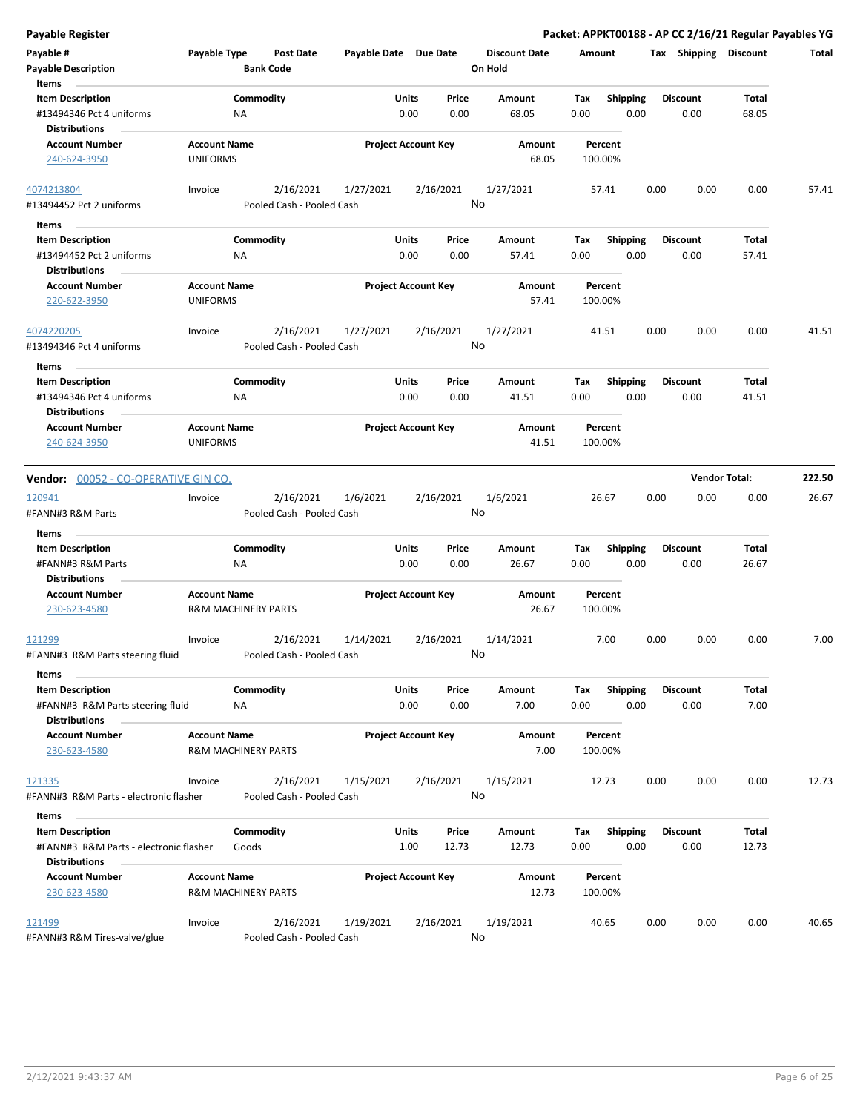|  |  | Payable Register |  |
|--|--|------------------|--|
|  |  |                  |  |

Packet: APPKT00188 - AP CC 2/16/21 Regular Payables YG

| Payable #                                                           | Payable Type                                          |                  | <b>Post Date</b>                       | Payable Date Due Date      |              |           | <b>Discount Date</b> | Amount |                    |      | Tax Shipping    | <b>Discount</b> | Total |
|---------------------------------------------------------------------|-------------------------------------------------------|------------------|----------------------------------------|----------------------------|--------------|-----------|----------------------|--------|--------------------|------|-----------------|-----------------|-------|
| <b>Payable Description</b><br>Items                                 |                                                       | <b>Bank Code</b> |                                        |                            |              |           | On Hold              |        |                    |      |                 |                 |       |
| <b>Item Description</b>                                             |                                                       | Commodity        |                                        |                            | Units        | Price     | Amount               | Tax    | <b>Shipping</b>    |      | <b>Discount</b> | Total           |       |
| #13494346 Pct 4 uniforms                                            |                                                       | ΝA               |                                        |                            | 0.00         | 0.00      | 68.05                | 0.00   | 0.00               |      | 0.00            | 68.05           |       |
| <b>Distributions</b>                                                |                                                       |                  |                                        |                            |              |           |                      |        |                    |      |                 |                 |       |
| <b>Account Number</b>                                               | <b>Account Name</b>                                   |                  |                                        | <b>Project Account Key</b> |              |           | Amount               |        | Percent            |      |                 |                 |       |
| 240-624-3950                                                        | <b>UNIFORMS</b>                                       |                  |                                        |                            |              |           | 68.05                |        | 100.00%            |      |                 |                 |       |
| 4074213804                                                          | Invoice                                               |                  | 2/16/2021                              | 1/27/2021                  |              | 2/16/2021 | 1/27/2021            |        | 57.41              | 0.00 | 0.00            | 0.00            | 57.41 |
| #13494452 Pct 2 uniforms                                            |                                                       |                  | Pooled Cash - Pooled Cash              |                            |              |           | No                   |        |                    |      |                 |                 |       |
| Items                                                               |                                                       |                  |                                        |                            |              |           |                      |        |                    |      |                 |                 |       |
| <b>Item Description</b>                                             |                                                       | Commodity        |                                        |                            | Units        | Price     | Amount               | Tax    | <b>Shipping</b>    |      | <b>Discount</b> | Total           |       |
| #13494452 Pct 2 uniforms                                            |                                                       | NA               |                                        |                            | 0.00         | 0.00      | 57.41                | 0.00   | 0.00               |      | 0.00            | 57.41           |       |
| <b>Distributions</b>                                                |                                                       |                  |                                        |                            |              |           |                      |        |                    |      |                 |                 |       |
| <b>Account Number</b>                                               | <b>Account Name</b>                                   |                  |                                        | <b>Project Account Key</b> |              |           | Amount               |        | Percent            |      |                 |                 |       |
| 220-622-3950                                                        | <b>UNIFORMS</b>                                       |                  |                                        |                            |              |           | 57.41                |        | 100.00%            |      |                 |                 |       |
| 4074220205                                                          | Invoice                                               |                  | 2/16/2021                              | 1/27/2021                  |              | 2/16/2021 | 1/27/2021            |        | 41.51              | 0.00 | 0.00            | 0.00            | 41.51 |
| #13494346 Pct 4 uniforms                                            |                                                       |                  | Pooled Cash - Pooled Cash              |                            |              | No        |                      |        |                    |      |                 |                 |       |
| Items                                                               |                                                       |                  |                                        |                            |              |           |                      |        |                    |      |                 |                 |       |
| <b>Item Description</b>                                             |                                                       | Commodity        |                                        |                            | Units        | Price     | Amount               | Тах    | <b>Shipping</b>    |      | <b>Discount</b> | Total           |       |
| #13494346 Pct 4 uniforms                                            |                                                       | ΝA               |                                        |                            | 0.00         | 0.00      | 41.51                | 0.00   | 0.00               |      | 0.00            | 41.51           |       |
| <b>Distributions</b>                                                |                                                       |                  |                                        |                            |              |           |                      |        |                    |      |                 |                 |       |
| <b>Account Number</b>                                               | <b>Account Name</b>                                   |                  |                                        | <b>Project Account Key</b> |              |           | Amount               |        | Percent            |      |                 |                 |       |
| 240-624-3950                                                        | <b>UNIFORMS</b>                                       |                  |                                        |                            |              |           | 41.51                |        | 100.00%            |      |                 |                 |       |
| Vendor: 00052 - CO-OPERATIVE GIN CO.<br>120941<br>#FANN#3 R&M Parts | Invoice                                               |                  | 2/16/2021<br>Pooled Cash - Pooled Cash | 1/6/2021                   |              | 2/16/2021 | 1/6/2021<br>No       |        | 26.67              | 0.00 | 0.00            | 0.00            | 26.67 |
| Items                                                               |                                                       |                  |                                        |                            |              |           |                      |        |                    |      |                 |                 |       |
| <b>Item Description</b>                                             |                                                       | Commodity        |                                        |                            | Units        | Price     | Amount               | Tax    | <b>Shipping</b>    |      | <b>Discount</b> | Total           |       |
| #FANN#3 R&M Parts                                                   |                                                       | <b>NA</b>        |                                        |                            | 0.00         | 0.00      | 26.67                | 0.00   | 0.00               |      | 0.00            | 26.67           |       |
| <b>Distributions</b>                                                |                                                       |                  |                                        |                            |              |           |                      |        |                    |      |                 |                 |       |
| <b>Account Number</b><br>230-623-4580                               | <b>Account Name</b><br><b>R&amp;M MACHINERY PARTS</b> |                  |                                        | <b>Project Account Key</b> |              |           | Amount<br>26.67      |        | Percent<br>100.00% |      |                 |                 |       |
| 121299                                                              | Invoice                                               |                  | 2/16/2021                              | 1/14/2021                  |              | 2/16/2021 | 1/14/2021            |        | 7.00               | 0.00 | 0.00            | 0.00            | 7.00  |
| #FANN#3 R&M Parts steering fluid                                    |                                                       |                  | Pooled Cash - Pooled Cash              |                            |              |           | No                   |        |                    |      |                 |                 |       |
| Items                                                               |                                                       |                  |                                        |                            |              |           |                      |        |                    |      |                 |                 |       |
| <b>Item Description</b>                                             |                                                       | Commodity        |                                        |                            | <b>Units</b> | Price     | Amount               | Tax    | <b>Shipping</b>    |      | <b>Discount</b> | Total           |       |
| #FANN#3 R&M Parts steering fluid                                    |                                                       | NA               |                                        |                            | 0.00         | 0.00      | 7.00                 | 0.00   | 0.00               |      | 0.00            | 7.00            |       |
| <b>Distributions</b>                                                |                                                       |                  |                                        |                            |              |           |                      |        |                    |      |                 |                 |       |
| <b>Account Number</b>                                               | <b>Account Name</b>                                   |                  |                                        | <b>Project Account Key</b> |              |           | Amount               |        | Percent            |      |                 |                 |       |
| 230-623-4580                                                        | <b>R&amp;M MACHINERY PARTS</b>                        |                  |                                        |                            |              |           | 7.00                 |        | 100.00%            |      |                 |                 |       |
| 121335                                                              | Invoice                                               |                  | 2/16/2021                              | 1/15/2021                  |              | 2/16/2021 | 1/15/2021            |        | 12.73              | 0.00 | 0.00            | 0.00            | 12.73 |
| #FANN#3 R&M Parts - electronic flasher                              |                                                       |                  | Pooled Cash - Pooled Cash              |                            |              |           | No                   |        |                    |      |                 |                 |       |
| Items                                                               |                                                       |                  |                                        |                            |              |           |                      |        |                    |      |                 |                 |       |
| <b>Item Description</b>                                             |                                                       | Commodity        |                                        |                            | Units        | Price     | Amount               | Tax    | <b>Shipping</b>    |      | <b>Discount</b> | Total           |       |
| #FANN#3 R&M Parts - electronic flasher                              |                                                       | Goods            |                                        |                            | 1.00         | 12.73     | 12.73                | 0.00   | 0.00               |      | 0.00            | 12.73           |       |
| <b>Distributions</b>                                                |                                                       |                  |                                        |                            |              |           |                      |        |                    |      |                 |                 |       |
| <b>Account Number</b>                                               | <b>Account Name</b>                                   |                  |                                        | <b>Project Account Key</b> |              |           | Amount               |        | Percent            |      |                 |                 |       |
| 230-623-4580                                                        | <b>R&amp;M MACHINERY PARTS</b>                        |                  |                                        |                            |              |           | 12.73                |        | 100.00%            |      |                 |                 |       |
|                                                                     |                                                       |                  |                                        |                            |              |           |                      |        |                    |      |                 |                 |       |
| 121499<br>#FANN#3 R&M Tires-valve/glue                              | Invoice                                               |                  | 2/16/2021<br>Pooled Cash - Pooled Cash | 1/19/2021                  |              | 2/16/2021 | 1/19/2021<br>No      |        | 40.65              | 0.00 | 0.00            | 0.00            | 40.65 |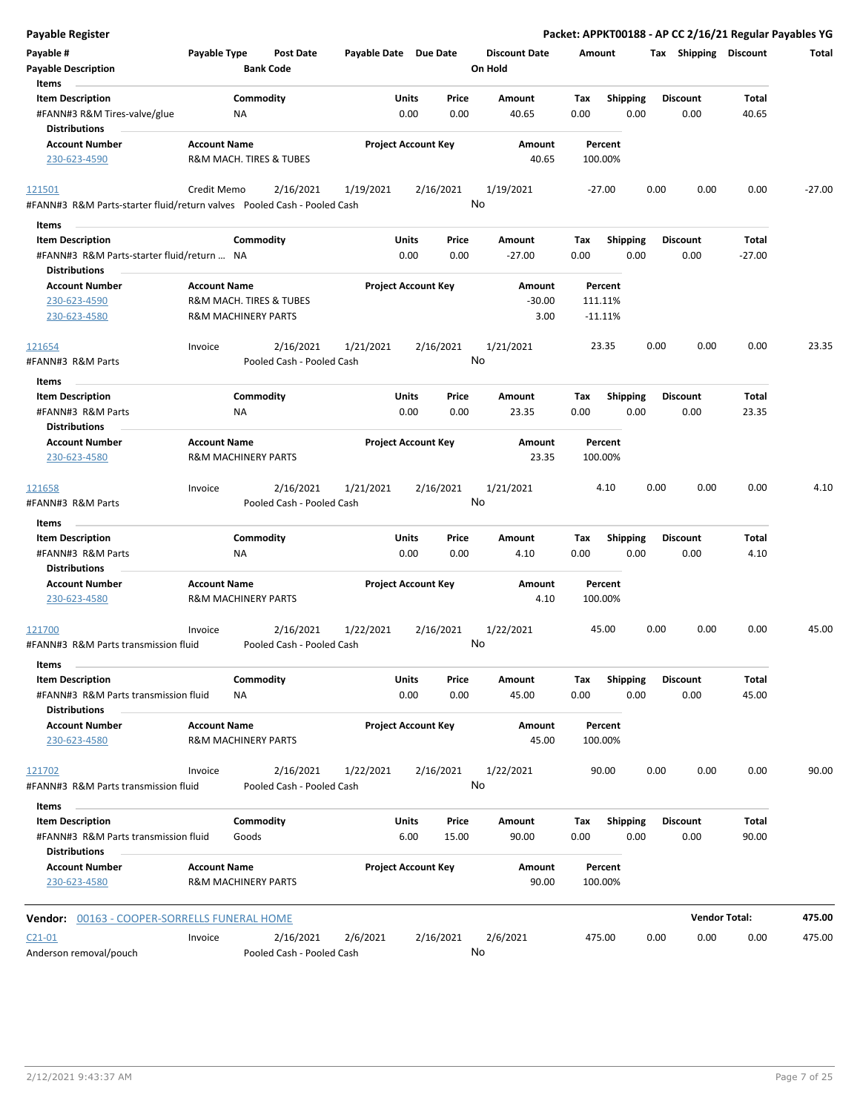| <b>Payable Register</b>                                                    |                                                       |                                        |                            |               |               |                                 |                    |                         |      |                         | Packet: APPKT00188 - AP CC 2/16/21 Regular Payables YG |          |
|----------------------------------------------------------------------------|-------------------------------------------------------|----------------------------------------|----------------------------|---------------|---------------|---------------------------------|--------------------|-------------------------|------|-------------------------|--------------------------------------------------------|----------|
| Payable #<br><b>Payable Description</b>                                    | Payable Type                                          | <b>Post Date</b><br><b>Bank Code</b>   | Payable Date Due Date      |               |               | <b>Discount Date</b><br>On Hold | Amount             |                         |      | Tax Shipping Discount   |                                                        | Total    |
| Items<br><b>Item Description</b>                                           |                                                       | Commodity                              |                            | Units         | Price         | Amount                          | Tax                | <b>Shipping</b>         |      | <b>Discount</b>         | Total                                                  |          |
| #FANN#3 R&M Tires-valve/glue<br><b>Distributions</b>                       | ΝA                                                    |                                        |                            | 0.00          | 0.00          | 40.65                           | 0.00               | 0.00                    |      | 0.00                    | 40.65                                                  |          |
| <b>Account Number</b>                                                      | <b>Account Name</b>                                   |                                        | <b>Project Account Key</b> |               |               | Amount                          | Percent            |                         |      |                         |                                                        |          |
| 230-623-4590                                                               | R&M MACH. TIRES & TUBES                               |                                        |                            |               |               | 40.65                           | 100.00%            |                         |      |                         |                                                        |          |
| 121501                                                                     | Credit Memo                                           | 2/16/2021                              | 1/19/2021                  | 2/16/2021     |               | 1/19/2021                       | -27.00             |                         | 0.00 | 0.00                    | 0.00                                                   | $-27.00$ |
| #FANN#3 R&M Parts-starter fluid/return valves    Pooled Cash - Pooled Cash |                                                       |                                        |                            |               |               | No                              |                    |                         |      |                         |                                                        |          |
| Items                                                                      |                                                       |                                        |                            |               |               |                                 |                    |                         |      |                         |                                                        |          |
| <b>Item Description</b><br>#FANN#3 R&M Parts-starter fluid/return  NA      |                                                       | Commodity                              |                            | Units<br>0.00 | Price<br>0.00 | Amount<br>$-27.00$              | Tax<br>0.00        | <b>Shipping</b><br>0.00 |      | <b>Discount</b><br>0.00 | Total<br>$-27.00$                                      |          |
| <b>Distributions</b>                                                       |                                                       |                                        |                            |               |               |                                 |                    |                         |      |                         |                                                        |          |
| <b>Account Number</b><br>230-623-4590                                      | <b>Account Name</b><br>R&M MACH. TIRES & TUBES        |                                        | <b>Project Account Key</b> |               |               | Amount<br>$-30.00$              | Percent<br>111.11% |                         |      |                         |                                                        |          |
| 230-623-4580                                                               | <b>R&amp;M MACHINERY PARTS</b>                        |                                        |                            |               |               | 3.00                            | $-11.11%$          |                         |      |                         |                                                        |          |
| 121654                                                                     | Invoice                                               | 2/16/2021                              | 1/21/2021                  | 2/16/2021     |               | 1/21/2021                       | 23.35              |                         | 0.00 | 0.00                    | 0.00                                                   | 23.35    |
| #FANN#3 R&M Parts                                                          |                                                       | Pooled Cash - Pooled Cash              |                            |               |               | No                              |                    |                         |      |                         |                                                        |          |
| Items                                                                      |                                                       |                                        |                            |               |               |                                 |                    |                         |      |                         |                                                        |          |
| <b>Item Description</b>                                                    |                                                       | Commodity                              |                            | Units         | Price         | Amount                          | Tax                | <b>Shipping</b>         |      | <b>Discount</b>         | Total                                                  |          |
| #FANN#3 R&M Parts<br><b>Distributions</b>                                  | NA                                                    |                                        |                            | 0.00          | 0.00          | 23.35                           | 0.00               | 0.00                    |      | 0.00                    | 23.35                                                  |          |
| <b>Account Number</b>                                                      | <b>Account Name</b>                                   |                                        | <b>Project Account Key</b> |               |               | Amount                          | Percent            |                         |      |                         |                                                        |          |
| 230-623-4580                                                               | <b>R&amp;M MACHINERY PARTS</b>                        |                                        |                            |               |               | 23.35                           | 100.00%            |                         |      |                         |                                                        |          |
| 121658<br>#FANN#3 R&M Parts                                                | Invoice                                               | 2/16/2021<br>Pooled Cash - Pooled Cash | 1/21/2021                  | 2/16/2021     | No            | 1/21/2021                       | 4.10               |                         | 0.00 | 0.00                    | 0.00                                                   | 4.10     |
|                                                                            |                                                       |                                        |                            |               |               |                                 |                    |                         |      |                         |                                                        |          |
| Items<br><b>Item Description</b>                                           |                                                       | Commodity                              |                            | Units         | Price         | Amount                          | Tax                | <b>Shipping</b>         |      | Discount                | Total                                                  |          |
| #FANN#3 R&M Parts                                                          | <b>NA</b>                                             |                                        |                            | 0.00          | 0.00          | 4.10                            | 0.00               | 0.00                    |      | 0.00                    | 4.10                                                   |          |
| <b>Distributions</b>                                                       |                                                       |                                        |                            |               |               |                                 |                    |                         |      |                         |                                                        |          |
| <b>Account Number</b>                                                      | <b>Account Name</b>                                   |                                        | <b>Project Account Key</b> |               |               | Amount                          | Percent            |                         |      |                         |                                                        |          |
| 230-623-4580                                                               | <b>R&amp;M MACHINERY PARTS</b>                        |                                        |                            |               |               | 4.10                            | 100.00%            |                         |      |                         |                                                        |          |
| 121700<br>#FANN#3 R&M Parts transmission fluid                             | Invoice                                               | 2/16/2021<br>Pooled Cash - Pooled Cash | 1/22/2021                  | 2/16/2021     |               | 1/22/2021<br>No                 | 45.00              |                         | 0.00 | 0.00                    | 0.00                                                   | 45.00    |
| Items                                                                      |                                                       |                                        |                            |               |               |                                 |                    |                         |      |                         |                                                        |          |
| <b>Item Description</b>                                                    |                                                       | Commodity                              |                            | Units         | Price         | Amount                          | Tax                | <b>Shipping</b>         |      | <b>Discount</b>         | Total                                                  |          |
| #FANN#3 R&M Parts transmission fluid<br><b>Distributions</b>               | ΝA                                                    |                                        |                            | 0.00          | 0.00          | 45.00                           | 0.00               | 0.00                    |      | 0.00                    | 45.00                                                  |          |
| <b>Account Number</b><br>230-623-4580                                      | <b>Account Name</b><br><b>R&amp;M MACHINERY PARTS</b> |                                        | <b>Project Account Key</b> |               |               | Amount<br>45.00                 | Percent<br>100.00% |                         |      |                         |                                                        |          |
| 121702                                                                     | Invoice                                               | 2/16/2021                              | 1/22/2021                  | 2/16/2021     |               | 1/22/2021                       | 90.00              |                         | 0.00 | 0.00                    | 0.00                                                   | 90.00    |
| #FANN#3 R&M Parts transmission fluid<br>Items                              |                                                       | Pooled Cash - Pooled Cash              |                            |               |               | No                              |                    |                         |      |                         |                                                        |          |
| <b>Item Description</b>                                                    |                                                       | Commodity                              |                            | Units         | Price         | Amount                          | Тах                | Shipping                |      | <b>Discount</b>         | Total                                                  |          |
| #FANN#3 R&M Parts transmission fluid<br><b>Distributions</b>               | Goods                                                 |                                        |                            | 6.00          | 15.00         | 90.00                           | 0.00               | 0.00                    |      | 0.00                    | 90.00                                                  |          |
| <b>Account Number</b><br>230-623-4580                                      | <b>Account Name</b><br><b>R&amp;M MACHINERY PARTS</b> |                                        | <b>Project Account Key</b> |               |               | Amount<br>90.00                 | Percent<br>100.00% |                         |      |                         |                                                        |          |
| Vendor: 00163 - COOPER-SORRELLS FUNERAL HOME                               |                                                       |                                        |                            |               |               |                                 |                    |                         |      |                         | <b>Vendor Total:</b>                                   | 475.00   |
| $C21-01$                                                                   | Invoice                                               | 2/16/2021                              | 2/6/2021                   | 2/16/2021     |               | 2/6/2021                        | 475.00             |                         | 0.00 | 0.00                    | 0.00                                                   | 475.00   |
| Anderson removal/pouch                                                     |                                                       | Pooled Cash - Pooled Cash              |                            |               |               | No                              |                    |                         |      |                         |                                                        |          |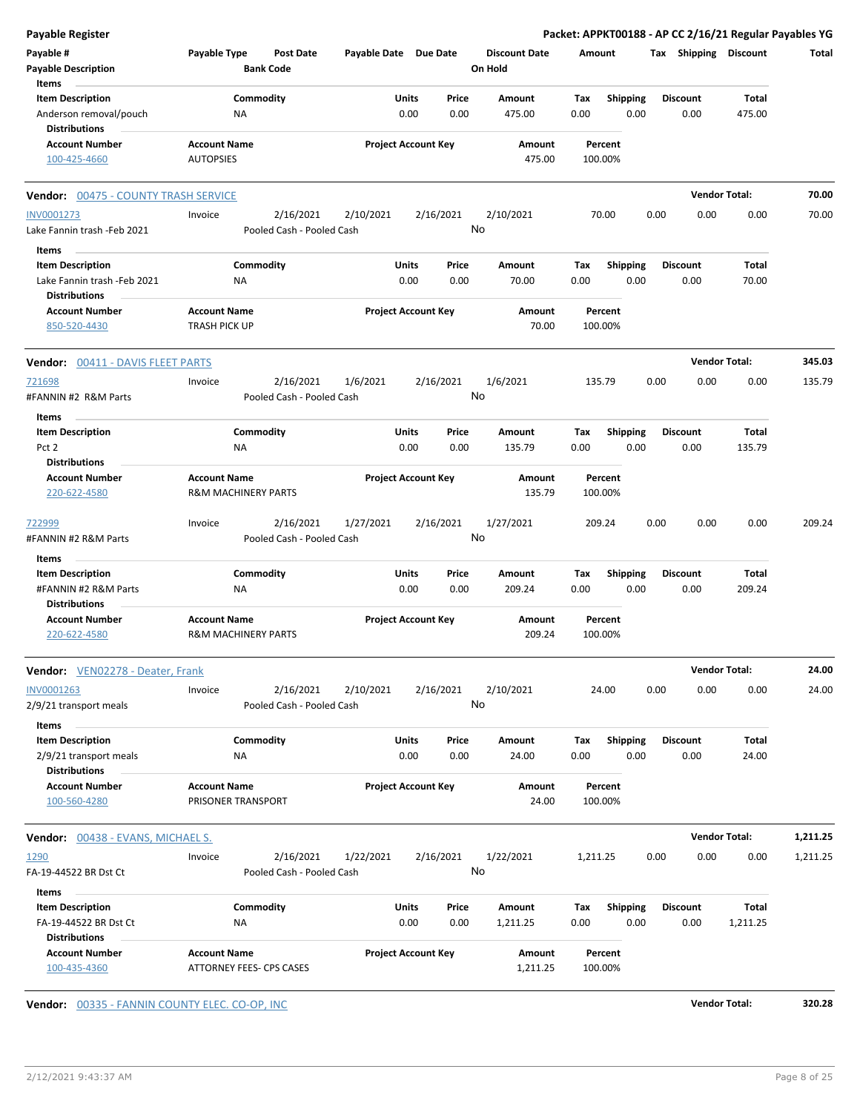| <b>Payable Register</b>                                |                                                       |                            |               |                                 | Packet: APPKT00188 - AP CC 2/16/21 Regular Payables YG |      |                         |                       |          |
|--------------------------------------------------------|-------------------------------------------------------|----------------------------|---------------|---------------------------------|--------------------------------------------------------|------|-------------------------|-----------------------|----------|
| Payable #<br><b>Payable Description</b>                | Payable Type<br><b>Post Date</b><br><b>Bank Code</b>  | Payable Date Due Date      |               | <b>Discount Date</b><br>On Hold | Amount                                                 |      |                         | Tax Shipping Discount | Total    |
| Items<br><b>Item Description</b>                       | Commodity                                             | Units                      | Price         | Amount                          | Shipping<br>Tax                                        |      | <b>Discount</b>         | Total                 |          |
| Anderson removal/pouch<br><b>Distributions</b>         | <b>NA</b>                                             | 0.00                       | 0.00          | 475.00                          | 0.00<br>0.00                                           |      | 0.00                    | 475.00                |          |
| <b>Account Number</b><br>100-425-4660                  | <b>Account Name</b><br><b>AUTOPSIES</b>               | <b>Project Account Key</b> |               | Amount<br>475.00                | Percent<br>100.00%                                     |      |                         |                       |          |
| Vendor: 00475 - COUNTY TRASH SERVICE                   |                                                       |                            |               |                                 |                                                        |      |                         | <b>Vendor Total:</b>  | 70.00    |
| INV0001273                                             | 2/16/2021<br>Invoice                                  | 2/10/2021                  | 2/16/2021     | 2/10/2021                       | 70.00                                                  | 0.00 | 0.00                    | 0.00                  | 70.00    |
| Lake Fannin trash -Feb 2021                            | Pooled Cash - Pooled Cash                             |                            |               | No                              |                                                        |      |                         |                       |          |
| Items                                                  |                                                       |                            |               |                                 |                                                        |      |                         |                       |          |
| <b>Item Description</b><br>Lake Fannin trash -Feb 2021 | Commodity<br>ΝA                                       | Units<br>0.00              | Price<br>0.00 | Amount<br>70.00                 | Tax<br><b>Shipping</b><br>0.00<br>0.00                 |      | <b>Discount</b><br>0.00 | Total<br>70.00        |          |
| <b>Distributions</b><br><b>Account Number</b>          | <b>Account Name</b>                                   | <b>Project Account Key</b> |               | Amount                          | Percent                                                |      |                         |                       |          |
| 850-520-4430                                           | <b>TRASH PICK UP</b>                                  |                            |               | 70.00                           | 100.00%                                                |      |                         |                       |          |
| <b>Vendor: 00411 - DAVIS FLEET PARTS</b>               |                                                       |                            |               |                                 |                                                        |      |                         | <b>Vendor Total:</b>  | 345.03   |
| 721698<br>#FANNIN #2 R&M Parts                         | 2/16/2021<br>Invoice<br>Pooled Cash - Pooled Cash     | 1/6/2021                   | 2/16/2021     | 1/6/2021<br>No                  | 135.79                                                 | 0.00 | 0.00                    | 0.00                  | 135.79   |
| Items                                                  |                                                       |                            |               |                                 |                                                        |      |                         |                       |          |
| <b>Item Description</b><br>Pct 2                       | Commodity<br><b>NA</b>                                | Units<br>0.00              | Price<br>0.00 | Amount<br>135.79                | <b>Shipping</b><br>Tax<br>0.00<br>0.00                 |      | <b>Discount</b><br>0.00 | Total<br>135.79       |          |
| <b>Distributions</b>                                   |                                                       |                            |               |                                 |                                                        |      |                         |                       |          |
| <b>Account Number</b><br>220-622-4580                  | <b>Account Name</b><br><b>R&amp;M MACHINERY PARTS</b> | <b>Project Account Key</b> |               | Amount<br>135.79                | Percent<br>100.00%                                     |      |                         |                       |          |
| 722999<br>#FANNIN #2 R&M Parts                         | 2/16/2021<br>Invoice<br>Pooled Cash - Pooled Cash     | 1/27/2021                  | 2/16/2021     | 1/27/2021<br>No                 | 209.24                                                 | 0.00 | 0.00                    | 0.00                  | 209.24   |
| Items                                                  |                                                       |                            |               |                                 |                                                        |      |                         |                       |          |
| <b>Item Description</b><br>#FANNIN #2 R&M Parts        | Commodity<br><b>NA</b>                                | <b>Units</b><br>0.00       | Price<br>0.00 | Amount<br>209.24                | <b>Shipping</b><br>Tax<br>0.00<br>0.00                 |      | <b>Discount</b><br>0.00 | Total<br>209.24       |          |
| <b>Distributions</b>                                   |                                                       |                            |               |                                 |                                                        |      |                         |                       |          |
| <b>Account Number</b><br>220-622-4580                  | <b>Account Name</b><br><b>R&amp;M MACHINERY PARTS</b> | <b>Project Account Key</b> |               | Amount<br>209.24                | Percent<br>100.00%                                     |      |                         |                       |          |
| Vendor: VEN02278 - Deater, Frank                       |                                                       |                            |               |                                 |                                                        |      |                         | <b>Vendor Total:</b>  | 24.00    |
| INV0001263<br>2/9/21 transport meals                   | 2/16/2021<br>Invoice<br>Pooled Cash - Pooled Cash     | 2/10/2021                  | 2/16/2021     | 2/10/2021<br>No                 | 24.00                                                  | 0.00 | 0.00                    | 0.00                  | 24.00    |
| Items<br><b>Item Description</b>                       | Commodity                                             | Units                      | Price         | Amount                          | <b>Shipping</b><br>Tax                                 |      | <b>Discount</b>         | <b>Total</b>          |          |
| 2/9/21 transport meals<br><b>Distributions</b>         | ΝA                                                    | 0.00                       | 0.00          | 24.00                           | 0.00<br>0.00                                           |      | 0.00                    | 24.00                 |          |
| <b>Account Number</b><br>100-560-4280                  | <b>Account Name</b><br>PRISONER TRANSPORT             | <b>Project Account Key</b> |               | Amount<br>24.00                 | Percent<br>100.00%                                     |      |                         |                       |          |
| <b>Vendor: 00438 - EVANS, MICHAEL S.</b>               |                                                       |                            |               |                                 |                                                        |      |                         | <b>Vendor Total:</b>  | 1,211.25 |
| 1290                                                   | 2/16/2021<br>Invoice                                  | 1/22/2021                  | 2/16/2021     | 1/22/2021                       | 1,211.25                                               | 0.00 | 0.00                    | 0.00                  | 1,211.25 |
| FA-19-44522 BR Dst Ct                                  | Pooled Cash - Pooled Cash                             |                            |               | No                              |                                                        |      |                         |                       |          |
| Items                                                  |                                                       |                            |               |                                 |                                                        |      |                         |                       |          |
| <b>Item Description</b>                                | Commodity                                             | Units                      | Price         | Amount                          | <b>Shipping</b><br>Тах                                 |      | <b>Discount</b>         | Total                 |          |
| FA-19-44522 BR Dst Ct<br><b>Distributions</b>          | NA                                                    | 0.00                       | 0.00          | 1,211.25                        | 0.00<br>0.00                                           |      | 0.00                    | 1,211.25              |          |
| <b>Account Number</b><br>100-435-4360                  | <b>Account Name</b><br>ATTORNEY FEES- CPS CASES       | <b>Project Account Key</b> |               | Amount<br>1,211.25              | Percent<br>100.00%                                     |      |                         |                       |          |

**Vendor:** 00335 - FANNIN COUNTY ELEC. CO-OP, INC **Vendor Total: 320.28**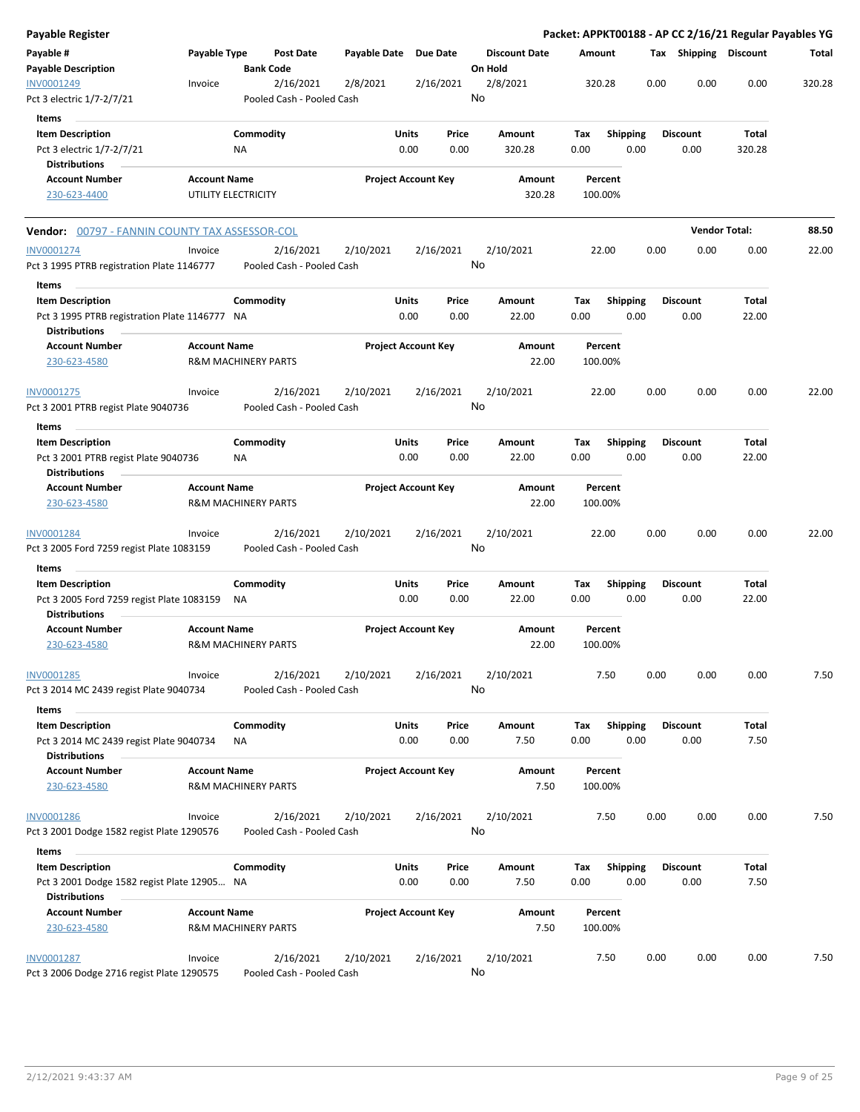| <b>Payable Register</b>                                                                          |                     |                                |                                        |                       |               |                            |         |                      |             |                    |                         |      |                         |                      | Packet: APPKT00188 - AP CC 2/16/21 Regular Payables YG |
|--------------------------------------------------------------------------------------------------|---------------------|--------------------------------|----------------------------------------|-----------------------|---------------|----------------------------|---------|----------------------|-------------|--------------------|-------------------------|------|-------------------------|----------------------|--------------------------------------------------------|
| Payable #<br><b>Payable Description</b>                                                          | Payable Type        | <b>Bank Code</b>               | Post Date                              | Payable Date Due Date |               |                            | On Hold | <b>Discount Date</b> | Amount      |                    |                         |      | Tax Shipping Discount   |                      | Total                                                  |
| INV0001249<br>Pct 3 electric 1/7-2/7/21                                                          | Invoice             |                                | 2/16/2021<br>Pooled Cash - Pooled Cash | 2/8/2021              |               | 2/16/2021                  | No      | 2/8/2021             |             | 320.28             |                         | 0.00 | 0.00                    | 0.00                 | 320.28                                                 |
| Items                                                                                            |                     |                                |                                        |                       |               |                            |         |                      |             |                    |                         |      |                         |                      |                                                        |
| <b>Item Description</b>                                                                          |                     | Commodity                      |                                        |                       | Units         | Price                      |         | Amount               | Tax         |                    | Shipping                |      | <b>Discount</b>         | Total                |                                                        |
| Pct 3 electric 1/7-2/7/21                                                                        |                     | NA                             |                                        |                       | 0.00          | 0.00                       |         | 320.28               | 0.00        |                    | 0.00                    |      | 0.00                    | 320.28               |                                                        |
| <b>Distributions</b>                                                                             |                     |                                |                                        |                       |               |                            |         |                      |             |                    |                         |      |                         |                      |                                                        |
| <b>Account Number</b>                                                                            | <b>Account Name</b> |                                |                                        |                       |               | <b>Project Account Key</b> |         | <b>Amount</b>        |             | Percent            |                         |      |                         |                      |                                                        |
| 230-623-4400                                                                                     |                     | UTILITY ELECTRICITY            |                                        |                       |               |                            |         | 320.28               |             | 100.00%            |                         |      |                         |                      |                                                        |
| <b>Vendor:</b> 00797 - FANNIN COUNTY TAX ASSESSOR-COL                                            |                     |                                |                                        |                       |               |                            |         |                      |             |                    |                         |      |                         | <b>Vendor Total:</b> | 88.50                                                  |
| INV0001274                                                                                       | Invoice             |                                | 2/16/2021                              | 2/10/2021             |               | 2/16/2021                  |         | 2/10/2021            |             | 22.00              |                         | 0.00 | 0.00                    | 0.00                 | 22.00                                                  |
| Pct 3 1995 PTRB registration Plate 1146777                                                       |                     |                                | Pooled Cash - Pooled Cash              |                       |               |                            | No      |                      |             |                    |                         |      |                         |                      |                                                        |
| Items                                                                                            |                     |                                |                                        |                       |               |                            |         |                      |             |                    |                         |      |                         |                      |                                                        |
| <b>Item Description</b><br>Pct 3 1995 PTRB registration Plate 1146777 NA<br><b>Distributions</b> |                     | Commodity                      |                                        |                       | Units<br>0.00 | Price<br>0.00              |         | Amount<br>22.00      | Tax<br>0.00 |                    | <b>Shipping</b><br>0.00 |      | <b>Discount</b><br>0.00 | Total<br>22.00       |                                                        |
| <b>Account Number</b><br>230-623-4580                                                            | <b>Account Name</b> | <b>R&amp;M MACHINERY PARTS</b> |                                        |                       |               | <b>Project Account Key</b> |         | Amount<br>22.00      |             | Percent<br>100.00% |                         |      |                         |                      |                                                        |
| INV0001275                                                                                       | Invoice             |                                | 2/16/2021                              | 2/10/2021             |               | 2/16/2021                  |         | 2/10/2021            |             | 22.00              |                         | 0.00 | 0.00                    | 0.00                 | 22.00                                                  |
| Pct 3 2001 PTRB regist Plate 9040736                                                             |                     |                                | Pooled Cash - Pooled Cash              |                       |               |                            | No      |                      |             |                    |                         |      |                         |                      |                                                        |
| Items                                                                                            |                     |                                |                                        |                       |               |                            |         |                      |             |                    |                         |      |                         |                      |                                                        |
| <b>Item Description</b><br>Pct 3 2001 PTRB regist Plate 9040736<br><b>Distributions</b>          |                     | Commodity<br>NA                |                                        |                       | Units<br>0.00 | Price<br>0.00              |         | Amount<br>22.00      | Tax<br>0.00 |                    | <b>Shipping</b><br>0.00 |      | <b>Discount</b><br>0.00 | Total<br>22.00       |                                                        |
| <b>Account Number</b><br>230-623-4580                                                            | <b>Account Name</b> | <b>R&amp;M MACHINERY PARTS</b> |                                        |                       |               | <b>Project Account Key</b> |         | Amount<br>22.00      |             | Percent<br>100.00% |                         |      |                         |                      |                                                        |
| INV0001284                                                                                       | Invoice             |                                | 2/16/2021                              | 2/10/2021             |               | 2/16/2021                  |         | 2/10/2021            |             | 22.00              |                         | 0.00 | 0.00                    | 0.00                 | 22.00                                                  |
| Pct 3 2005 Ford 7259 regist Plate 1083159                                                        |                     |                                | Pooled Cash - Pooled Cash              |                       |               |                            | No      |                      |             |                    |                         |      |                         |                      |                                                        |
| Items                                                                                            |                     |                                |                                        |                       |               |                            |         |                      |             |                    |                         |      |                         |                      |                                                        |
| <b>Item Description</b>                                                                          |                     | Commodity                      |                                        |                       | Units         | Price                      |         | Amount               | Tax         |                    | <b>Shipping</b>         |      | Discount                | Total                |                                                        |
| Pct 3 2005 Ford 7259 regist Plate 1083159<br><b>Distributions</b>                                |                     | NA                             |                                        |                       | 0.00          | 0.00                       |         | 22.00                | 0.00        |                    | 0.00                    |      | 0.00                    | 22.00                |                                                        |
| <b>Account Number</b><br>230-623-4580                                                            | <b>Account Name</b> | <b>R&amp;M MACHINERY PARTS</b> |                                        |                       |               | <b>Project Account Key</b> |         | Amount<br>22.00      |             | Percent<br>100.00% |                         |      |                         |                      |                                                        |
| INV0001285<br>Pct 3 2014 MC 2439 regist Plate 9040734                                            | Invoice             |                                | 2/16/2021<br>Pooled Cash - Pooled Cash | 2/10/2021             |               | 2/16/2021                  | No      | 2/10/2021            |             | 7.50               |                         | 0.00 | 0.00                    | 0.00                 | 7.50                                                   |
|                                                                                                  |                     |                                |                                        |                       |               |                            |         |                      |             |                    |                         |      |                         |                      |                                                        |
| Items                                                                                            |                     |                                |                                        |                       |               |                            |         |                      |             |                    |                         |      |                         |                      |                                                        |
| <b>Item Description</b><br>Pct 3 2014 MC 2439 regist Plate 9040734                               |                     | Commodity<br>NA                |                                        |                       | Units<br>0.00 | Price<br>0.00              |         | Amount<br>7.50       | Tax<br>0.00 |                    | <b>Shipping</b><br>0.00 |      | <b>Discount</b><br>0.00 | Total<br>7.50        |                                                        |
| <b>Distributions</b>                                                                             |                     |                                |                                        |                       |               |                            |         |                      |             |                    |                         |      |                         |                      |                                                        |
| <b>Account Number</b><br>230-623-4580                                                            | <b>Account Name</b> | <b>R&amp;M MACHINERY PARTS</b> |                                        |                       |               | <b>Project Account Key</b> |         | Amount<br>7.50       |             | Percent<br>100.00% |                         |      |                         |                      |                                                        |
| INV0001286                                                                                       | Invoice             |                                | 2/16/2021                              | 2/10/2021             |               | 2/16/2021                  |         | 2/10/2021            |             | 7.50               |                         | 0.00 | 0.00                    | 0.00                 | 7.50                                                   |
| Pct 3 2001 Dodge 1582 regist Plate 1290576                                                       |                     |                                | Pooled Cash - Pooled Cash              |                       |               |                            | No      |                      |             |                    |                         |      |                         |                      |                                                        |
| Items                                                                                            |                     |                                |                                        |                       |               |                            |         |                      |             |                    |                         |      |                         |                      |                                                        |
| <b>Item Description</b>                                                                          |                     | Commodity                      |                                        |                       | <b>Units</b>  | Price                      |         | Amount               | Tax         |                    | <b>Shipping</b>         |      | <b>Discount</b>         | Total                |                                                        |
| Pct 3 2001 Dodge 1582 regist Plate 12905 NA<br><b>Distributions</b>                              |                     |                                |                                        |                       | 0.00          | 0.00                       |         | 7.50                 | 0.00        |                    | 0.00                    |      | 0.00                    | 7.50                 |                                                        |
| <b>Account Number</b>                                                                            | <b>Account Name</b> |                                |                                        |                       |               | <b>Project Account Key</b> |         | Amount               |             | Percent            |                         |      |                         |                      |                                                        |
| 230-623-4580                                                                                     |                     | <b>R&amp;M MACHINERY PARTS</b> |                                        |                       |               |                            |         | 7.50                 |             | 100.00%            |                         |      |                         |                      |                                                        |
| INV0001287                                                                                       | Invoice             |                                | 2/16/2021                              | 2/10/2021             |               | 2/16/2021                  |         | 2/10/2021            |             | 7.50               |                         | 0.00 | 0.00                    | 0.00                 | 7.50                                                   |
| Pct 3 2006 Dodge 2716 regist Plate 1290575                                                       |                     |                                | Pooled Cash - Pooled Cash              |                       |               |                            | No      |                      |             |                    |                         |      |                         |                      |                                                        |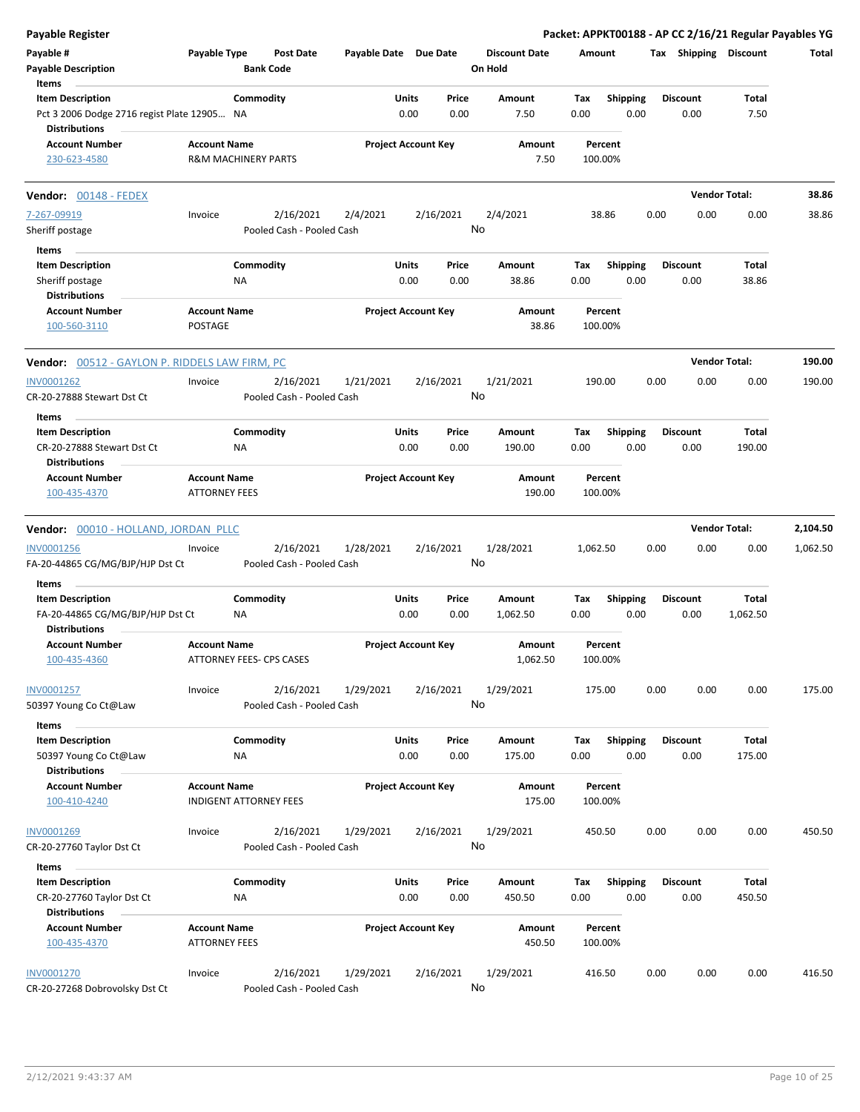| <b>Payable Register</b>                                                             |                                                      |                  |                                        |                       |                            |               |                                 |             |                         |      |                         | Packet: APPKT00188 - AP CC 2/16/21 Regular Payables YG |          |
|-------------------------------------------------------------------------------------|------------------------------------------------------|------------------|----------------------------------------|-----------------------|----------------------------|---------------|---------------------------------|-------------|-------------------------|------|-------------------------|--------------------------------------------------------|----------|
| Payable #<br><b>Payable Description</b>                                             | Payable Type                                         | <b>Bank Code</b> | <b>Post Date</b>                       | Payable Date Due Date |                            |               | <b>Discount Date</b><br>On Hold | Amount      |                         |      | Tax Shipping Discount   |                                                        | Total    |
| Items<br><b>Item Description</b>                                                    |                                                      | Commodity        |                                        |                       | Units                      | Price         | Amount                          | Tax         | <b>Shipping</b>         |      | <b>Discount</b>         | Total                                                  |          |
| Pct 3 2006 Dodge 2716 regist Plate 12905 NA<br><b>Distributions</b>                 |                                                      |                  |                                        |                       | 0.00                       | 0.00          | 7.50                            | 0.00        | 0.00                    |      | 0.00                    | 7.50                                                   |          |
| <b>Account Number</b><br>230-623-4580                                               | <b>Account Name</b><br>R&M MACHINERY PARTS           |                  |                                        |                       | <b>Project Account Key</b> |               | Amount<br>7.50                  |             | Percent<br>100.00%      |      |                         |                                                        |          |
| <b>Vendor: 00148 - FEDEX</b>                                                        |                                                      |                  |                                        |                       |                            |               |                                 |             |                         |      |                         | <b>Vendor Total:</b>                                   | 38.86    |
| 7-267-09919                                                                         | Invoice                                              |                  | 2/16/2021                              | 2/4/2021              |                            | 2/16/2021     | 2/4/2021                        |             | 38.86                   | 0.00 | 0.00                    | 0.00                                                   | 38.86    |
| Sheriff postage                                                                     |                                                      |                  | Pooled Cash - Pooled Cash              |                       |                            |               | No                              |             |                         |      |                         |                                                        |          |
| Items                                                                               |                                                      |                  |                                        |                       |                            |               |                                 |             |                         |      |                         |                                                        |          |
| <b>Item Description</b>                                                             |                                                      | Commodity        |                                        |                       | Units                      | Price         | Amount                          | Tax         | Shipping                |      | <b>Discount</b>         | Total                                                  |          |
| Sheriff postage                                                                     |                                                      | ΝA               |                                        |                       | 0.00                       | 0.00          | 38.86                           | 0.00        | 0.00                    |      | 0.00                    | 38.86                                                  |          |
| <b>Distributions</b><br><b>Account Number</b><br>100-560-3110                       | <b>Account Name</b><br>POSTAGE                       |                  |                                        |                       | <b>Project Account Key</b> |               | Amount<br>38.86                 |             | Percent<br>100.00%      |      |                         |                                                        |          |
| Vendor: 00512 - GAYLON P. RIDDELS LAW FIRM, PC                                      |                                                      |                  |                                        |                       |                            |               |                                 |             |                         |      |                         | <b>Vendor Total:</b>                                   | 190.00   |
| INV0001262                                                                          | Invoice                                              |                  | 2/16/2021                              | 1/21/2021             |                            | 2/16/2021     | 1/21/2021                       |             | 190.00                  | 0.00 | 0.00                    | 0.00                                                   | 190.00   |
| CR-20-27888 Stewart Dst Ct                                                          |                                                      |                  | Pooled Cash - Pooled Cash              |                       |                            |               | No                              |             |                         |      |                         |                                                        |          |
| Items                                                                               |                                                      |                  |                                        |                       |                            |               |                                 |             |                         |      |                         |                                                        |          |
| <b>Item Description</b><br>CR-20-27888 Stewart Dst Ct<br><b>Distributions</b>       |                                                      | Commodity<br>ΝA  |                                        |                       | Units<br>0.00              | Price<br>0.00 | Amount<br>190.00                | Tax<br>0.00 | <b>Shipping</b><br>0.00 |      | <b>Discount</b><br>0.00 | Total<br>190.00                                        |          |
| <b>Account Number</b><br>100-435-4370                                               | <b>Account Name</b><br><b>ATTORNEY FEES</b>          |                  |                                        |                       | <b>Project Account Key</b> |               | Amount<br>190.00                |             | Percent<br>100.00%      |      |                         |                                                        |          |
| Vendor: 00010 - HOLLAND, JORDAN PLLC                                                |                                                      |                  |                                        |                       |                            |               |                                 |             |                         |      |                         | <b>Vendor Total:</b>                                   | 2,104.50 |
| INV0001256                                                                          | Invoice                                              |                  | 2/16/2021                              | 1/28/2021             |                            | 2/16/2021     | 1/28/2021                       | 1,062.50    |                         | 0.00 | 0.00                    | 0.00                                                   | 1,062.50 |
| FA-20-44865 CG/MG/BJP/HJP Dst Ct                                                    |                                                      |                  | Pooled Cash - Pooled Cash              |                       |                            |               | No                              |             |                         |      |                         |                                                        |          |
| Items                                                                               |                                                      |                  |                                        |                       | Units                      | Price         |                                 |             |                         |      | <b>Discount</b>         | <b>Total</b>                                           |          |
| <b>Item Description</b><br>FA-20-44865 CG/MG/BJP/HJP Dst Ct<br><b>Distributions</b> |                                                      | Commodity<br>ΝA  |                                        |                       | 0.00                       | 0.00          | Amount<br>1,062.50              | Tax<br>0.00 | <b>Shipping</b><br>0.00 |      | 0.00                    | 1,062.50                                               |          |
| <b>Account Number</b><br>100-435-4360                                               | <b>Account Name</b><br>ATTORNEY FEES- CPS CASES      |                  |                                        |                       | <b>Project Account Key</b> |               | Amount<br>1,062.50              |             | Percent<br>100.00%      |      |                         |                                                        |          |
| INV0001257<br>50397 Young Co Ct@Law                                                 | Invoice                                              |                  | 2/16/2021<br>Pooled Cash - Pooled Cash | 1/29/2021             |                            | 2/16/2021     | 1/29/2021<br>No                 |             | 175.00                  | 0.00 | 0.00                    | 0.00                                                   | 175.00   |
| Items                                                                               |                                                      |                  |                                        |                       |                            |               |                                 |             |                         |      |                         |                                                        |          |
| <b>Item Description</b>                                                             |                                                      | Commodity        |                                        |                       | Units                      | Price         | Amount                          | Tax         | <b>Shipping</b>         |      | <b>Discount</b>         | Total                                                  |          |
| 50397 Young Co Ct@Law                                                               |                                                      | NA               |                                        |                       | 0.00                       | 0.00          | 175.00                          | 0.00        | 0.00                    |      | 0.00                    | 175.00                                                 |          |
| <b>Distributions</b>                                                                |                                                      |                  |                                        |                       |                            |               |                                 |             |                         |      |                         |                                                        |          |
| <b>Account Number</b><br>100-410-4240                                               | <b>Account Name</b><br><b>INDIGENT ATTORNEY FEES</b> |                  |                                        |                       | <b>Project Account Key</b> |               | Amount<br>175.00                |             | Percent<br>100.00%      |      |                         |                                                        |          |
| INV0001269                                                                          | Invoice                                              |                  | 2/16/2021                              | 1/29/2021             |                            | 2/16/2021     | 1/29/2021                       |             | 450.50                  | 0.00 | 0.00                    | 0.00                                                   | 450.50   |
| CR-20-27760 Taylor Dst Ct                                                           |                                                      |                  | Pooled Cash - Pooled Cash              |                       |                            |               | No                              |             |                         |      |                         |                                                        |          |
| Items                                                                               |                                                      |                  |                                        |                       |                            |               |                                 |             |                         |      |                         |                                                        |          |
| <b>Item Description</b>                                                             |                                                      | Commodity        |                                        |                       | Units                      | Price         | Amount                          | Tax         | <b>Shipping</b>         |      | <b>Discount</b>         | Total                                                  |          |
| CR-20-27760 Taylor Dst Ct                                                           |                                                      | NA               |                                        |                       | 0.00                       | 0.00          | 450.50                          | 0.00        | 0.00                    |      | 0.00                    | 450.50                                                 |          |
| <b>Distributions</b>                                                                |                                                      |                  |                                        |                       |                            |               |                                 |             |                         |      |                         |                                                        |          |
| <b>Account Number</b><br>100-435-4370                                               | <b>Account Name</b><br><b>ATTORNEY FEES</b>          |                  |                                        |                       | <b>Project Account Key</b> |               | Amount<br>450.50                |             | Percent<br>100.00%      |      |                         |                                                        |          |
| <b>INV0001270</b>                                                                   | Invoice                                              |                  | 2/16/2021                              | 1/29/2021             |                            | 2/16/2021     | 1/29/2021                       |             | 416.50                  | 0.00 | 0.00                    | 0.00                                                   | 416.50   |
| CR-20-27268 Dobrovolsky Dst Ct                                                      |                                                      |                  | Pooled Cash - Pooled Cash              |                       |                            |               | No                              |             |                         |      |                         |                                                        |          |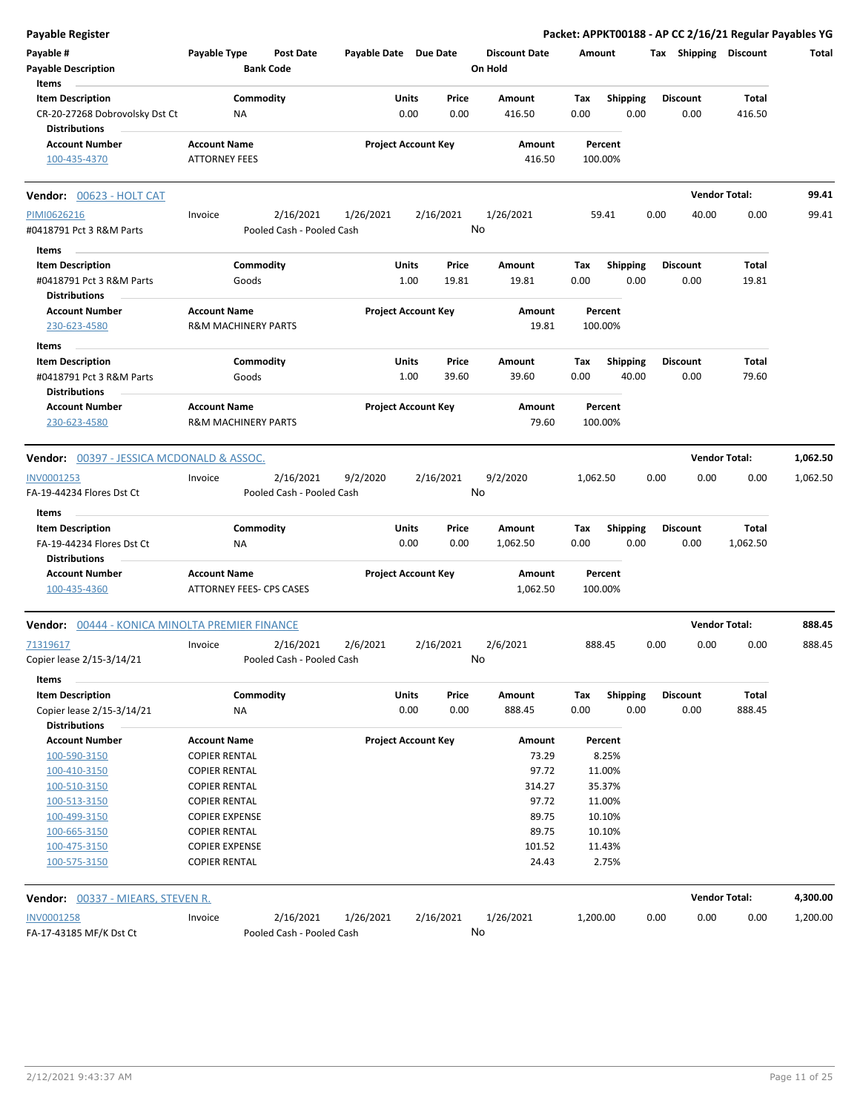| Payable #<br>Payable Type<br><b>Post Date</b><br>Payable Date Due Date<br><b>Discount Date</b><br>Tax Shipping Discount<br>Amount<br><b>Bank Code</b><br><b>Payable Description</b><br>On Hold<br>Items<br><b>Item Description</b><br>Commodity<br>Units<br>Price<br>Amount<br>Tax<br><b>Shipping</b><br><b>Discount</b><br>Total<br>CR-20-27268 Dobrovolsky Dst Ct<br>0.00<br>0.00<br>0.00<br>0.00<br>0.00<br>416.50<br>ΝA<br>416.50<br><b>Distributions</b><br><b>Account Name</b><br><b>Project Account Key</b><br><b>Account Number</b><br>Amount<br>Percent<br><b>ATTORNEY FEES</b><br>416.50<br>100.00%<br>100-435-4370<br><b>Vendor Total:</b><br>Vendor: 00623 - HOLT CAT<br>2/16/2021<br>2/16/2021<br>1/26/2021<br>59.41<br>0.00<br>40.00<br>0.00<br>PIMI0626216<br>Invoice<br>1/26/2021<br>No<br>#0418791 Pct 3 R&M Parts<br>Pooled Cash - Pooled Cash | Total<br>99.41<br>99.41 |
|------------------------------------------------------------------------------------------------------------------------------------------------------------------------------------------------------------------------------------------------------------------------------------------------------------------------------------------------------------------------------------------------------------------------------------------------------------------------------------------------------------------------------------------------------------------------------------------------------------------------------------------------------------------------------------------------------------------------------------------------------------------------------------------------------------------------------------------------------------------|-------------------------|
|                                                                                                                                                                                                                                                                                                                                                                                                                                                                                                                                                                                                                                                                                                                                                                                                                                                                  |                         |
|                                                                                                                                                                                                                                                                                                                                                                                                                                                                                                                                                                                                                                                                                                                                                                                                                                                                  |                         |
|                                                                                                                                                                                                                                                                                                                                                                                                                                                                                                                                                                                                                                                                                                                                                                                                                                                                  |                         |
|                                                                                                                                                                                                                                                                                                                                                                                                                                                                                                                                                                                                                                                                                                                                                                                                                                                                  |                         |
|                                                                                                                                                                                                                                                                                                                                                                                                                                                                                                                                                                                                                                                                                                                                                                                                                                                                  |                         |
|                                                                                                                                                                                                                                                                                                                                                                                                                                                                                                                                                                                                                                                                                                                                                                                                                                                                  |                         |
|                                                                                                                                                                                                                                                                                                                                                                                                                                                                                                                                                                                                                                                                                                                                                                                                                                                                  |                         |
|                                                                                                                                                                                                                                                                                                                                                                                                                                                                                                                                                                                                                                                                                                                                                                                                                                                                  |                         |
|                                                                                                                                                                                                                                                                                                                                                                                                                                                                                                                                                                                                                                                                                                                                                                                                                                                                  |                         |
|                                                                                                                                                                                                                                                                                                                                                                                                                                                                                                                                                                                                                                                                                                                                                                                                                                                                  |                         |
| Items                                                                                                                                                                                                                                                                                                                                                                                                                                                                                                                                                                                                                                                                                                                                                                                                                                                            |                         |
| Commodity<br><b>Item Description</b><br>Units<br>Price<br>Amount<br>Tax<br><b>Shipping</b><br><b>Discount</b><br>Total                                                                                                                                                                                                                                                                                                                                                                                                                                                                                                                                                                                                                                                                                                                                           |                         |
| 0.00<br>#0418791 Pct 3 R&M Parts<br>1.00<br>19.81<br>19.81<br>0.00<br>0.00<br>19.81<br>Goods                                                                                                                                                                                                                                                                                                                                                                                                                                                                                                                                                                                                                                                                                                                                                                     |                         |
| <b>Distributions</b>                                                                                                                                                                                                                                                                                                                                                                                                                                                                                                                                                                                                                                                                                                                                                                                                                                             |                         |
| <b>Project Account Key</b><br><b>Account Number</b><br><b>Account Name</b><br>Amount<br>Percent                                                                                                                                                                                                                                                                                                                                                                                                                                                                                                                                                                                                                                                                                                                                                                  |                         |
| <b>R&amp;M MACHINERY PARTS</b><br>19.81<br>100.00%<br>230-623-4580                                                                                                                                                                                                                                                                                                                                                                                                                                                                                                                                                                                                                                                                                                                                                                                               |                         |
|                                                                                                                                                                                                                                                                                                                                                                                                                                                                                                                                                                                                                                                                                                                                                                                                                                                                  |                         |
| Items                                                                                                                                                                                                                                                                                                                                                                                                                                                                                                                                                                                                                                                                                                                                                                                                                                                            |                         |
| Commodity<br>Units<br>Shipping<br><b>Item Description</b><br>Price<br>Tax<br><b>Discount</b><br>Total<br>Amount                                                                                                                                                                                                                                                                                                                                                                                                                                                                                                                                                                                                                                                                                                                                                  |                         |
| 40.00<br>#0418791 Pct 3 R&M Parts<br>1.00<br>39.60<br>39.60<br>0.00<br>0.00<br>79.60<br>Goods                                                                                                                                                                                                                                                                                                                                                                                                                                                                                                                                                                                                                                                                                                                                                                    |                         |
| <b>Distributions</b><br>Percent                                                                                                                                                                                                                                                                                                                                                                                                                                                                                                                                                                                                                                                                                                                                                                                                                                  |                         |
| <b>Project Account Key</b><br><b>Account Number</b><br><b>Account Name</b><br>Amount<br>79.60<br>230-623-4580<br><b>R&amp;M MACHINERY PARTS</b><br>100.00%                                                                                                                                                                                                                                                                                                                                                                                                                                                                                                                                                                                                                                                                                                       |                         |
|                                                                                                                                                                                                                                                                                                                                                                                                                                                                                                                                                                                                                                                                                                                                                                                                                                                                  |                         |
| <b>Vendor Total:</b><br><b>Vendor:</b> 00397 - JESSICA MCDONALD & ASSOC.                                                                                                                                                                                                                                                                                                                                                                                                                                                                                                                                                                                                                                                                                                                                                                                         | 1,062.50                |
| INV0001253<br>2/16/2021<br>9/2/2020<br>2/16/2021<br>9/2/2020<br>1,062.50<br>0.00<br>0.00<br>0.00<br>Invoice                                                                                                                                                                                                                                                                                                                                                                                                                                                                                                                                                                                                                                                                                                                                                      | 1,062.50                |
| No<br>Pooled Cash - Pooled Cash<br>FA-19-44234 Flores Dst Ct                                                                                                                                                                                                                                                                                                                                                                                                                                                                                                                                                                                                                                                                                                                                                                                                     |                         |
| Items                                                                                                                                                                                                                                                                                                                                                                                                                                                                                                                                                                                                                                                                                                                                                                                                                                                            |                         |
| Commodity<br><b>Item Description</b><br>Units<br>Price<br>Amount<br><b>Shipping</b><br><b>Discount</b><br>Total<br>Тах                                                                                                                                                                                                                                                                                                                                                                                                                                                                                                                                                                                                                                                                                                                                           |                         |
| 0.00<br>FA-19-44234 Flores Dst Ct<br>0.00<br>0.00<br>0.00<br>0.00<br>1,062.50<br>ΝA<br>1,062.50                                                                                                                                                                                                                                                                                                                                                                                                                                                                                                                                                                                                                                                                                                                                                                  |                         |
| <b>Distributions</b>                                                                                                                                                                                                                                                                                                                                                                                                                                                                                                                                                                                                                                                                                                                                                                                                                                             |                         |
| <b>Account Name</b><br><b>Project Account Key</b><br><b>Account Number</b><br>Amount<br>Percent                                                                                                                                                                                                                                                                                                                                                                                                                                                                                                                                                                                                                                                                                                                                                                  |                         |
| 100-435-4360<br><b>ATTORNEY FEES- CPS CASES</b><br>1,062.50<br>100.00%                                                                                                                                                                                                                                                                                                                                                                                                                                                                                                                                                                                                                                                                                                                                                                                           |                         |
| <b>Vendor Total:</b><br>Vendor: 00444 - KONICA MINOLTA PREMIER FINANCE                                                                                                                                                                                                                                                                                                                                                                                                                                                                                                                                                                                                                                                                                                                                                                                           | 888.45                  |
| 2/16/2021<br>0.00<br>0.00                                                                                                                                                                                                                                                                                                                                                                                                                                                                                                                                                                                                                                                                                                                                                                                                                                        | 888.45                  |
| 2/16/2021<br>2/6/2021<br>2/6/2021<br>0.00<br>71319617<br>Invoice<br>888.45<br>Pooled Cash - Pooled Cash                                                                                                                                                                                                                                                                                                                                                                                                                                                                                                                                                                                                                                                                                                                                                          |                         |
| Copier lease 2/15-3/14/21<br>No                                                                                                                                                                                                                                                                                                                                                                                                                                                                                                                                                                                                                                                                                                                                                                                                                                  |                         |
| Items                                                                                                                                                                                                                                                                                                                                                                                                                                                                                                                                                                                                                                                                                                                                                                                                                                                            |                         |
| Commodity<br><b>Item Description</b><br>Units<br>Price<br>Amount<br>Tax<br><b>Shipping</b><br>Total<br>Discount                                                                                                                                                                                                                                                                                                                                                                                                                                                                                                                                                                                                                                                                                                                                                  |                         |
| 0.00<br>0.00<br>Copier lease 2/15-3/14/21<br>0.00<br>888.45<br>0.00<br>0.00<br>888.45<br>ΝA                                                                                                                                                                                                                                                                                                                                                                                                                                                                                                                                                                                                                                                                                                                                                                      |                         |
| <b>Distributions</b>                                                                                                                                                                                                                                                                                                                                                                                                                                                                                                                                                                                                                                                                                                                                                                                                                                             |                         |
| <b>Account Number</b><br><b>Account Name</b><br><b>Project Account Key</b><br>Amount<br>Percent                                                                                                                                                                                                                                                                                                                                                                                                                                                                                                                                                                                                                                                                                                                                                                  |                         |
| 100-590-3150<br><b>COPIER RENTAL</b><br>73.29<br>8.25%                                                                                                                                                                                                                                                                                                                                                                                                                                                                                                                                                                                                                                                                                                                                                                                                           |                         |
| 97.72<br>11.00%<br>100-410-3150<br><b>COPIER RENTAL</b>                                                                                                                                                                                                                                                                                                                                                                                                                                                                                                                                                                                                                                                                                                                                                                                                          |                         |
| <b>COPIER RENTAL</b><br>314.27<br>35.37%<br>100-510-3150                                                                                                                                                                                                                                                                                                                                                                                                                                                                                                                                                                                                                                                                                                                                                                                                         |                         |
| 97.72<br>100-513-3150<br><b>COPIER RENTAL</b><br>11.00%                                                                                                                                                                                                                                                                                                                                                                                                                                                                                                                                                                                                                                                                                                                                                                                                          |                         |
| 100-499-3150<br><b>COPIER EXPENSE</b><br>89.75<br>10.10%                                                                                                                                                                                                                                                                                                                                                                                                                                                                                                                                                                                                                                                                                                                                                                                                         |                         |
| 89.75<br><b>COPIER RENTAL</b><br>10.10%<br>100-665-3150                                                                                                                                                                                                                                                                                                                                                                                                                                                                                                                                                                                                                                                                                                                                                                                                          |                         |
| <b>COPIER EXPENSE</b><br>101.52<br>11.43%<br>100-475-3150                                                                                                                                                                                                                                                                                                                                                                                                                                                                                                                                                                                                                                                                                                                                                                                                        |                         |
| 100-575-3150<br><b>COPIER RENTAL</b><br>24.43<br>2.75%                                                                                                                                                                                                                                                                                                                                                                                                                                                                                                                                                                                                                                                                                                                                                                                                           |                         |
| <b>Vendor Total:</b><br><b>Vendor: 00337 - MIEARS, STEVEN R.</b>                                                                                                                                                                                                                                                                                                                                                                                                                                                                                                                                                                                                                                                                                                                                                                                                 | 4,300.00                |
| 2/16/2021<br>2/16/2021<br>1/26/2021<br>1,200.00<br>0.00<br>0.00<br>0.00<br><b>INV0001258</b><br>1/26/2021<br>Invoice                                                                                                                                                                                                                                                                                                                                                                                                                                                                                                                                                                                                                                                                                                                                             | 1,200.00                |
| No<br>FA-17-43185 MF/K Dst Ct<br>Pooled Cash - Pooled Cash                                                                                                                                                                                                                                                                                                                                                                                                                                                                                                                                                                                                                                                                                                                                                                                                       |                         |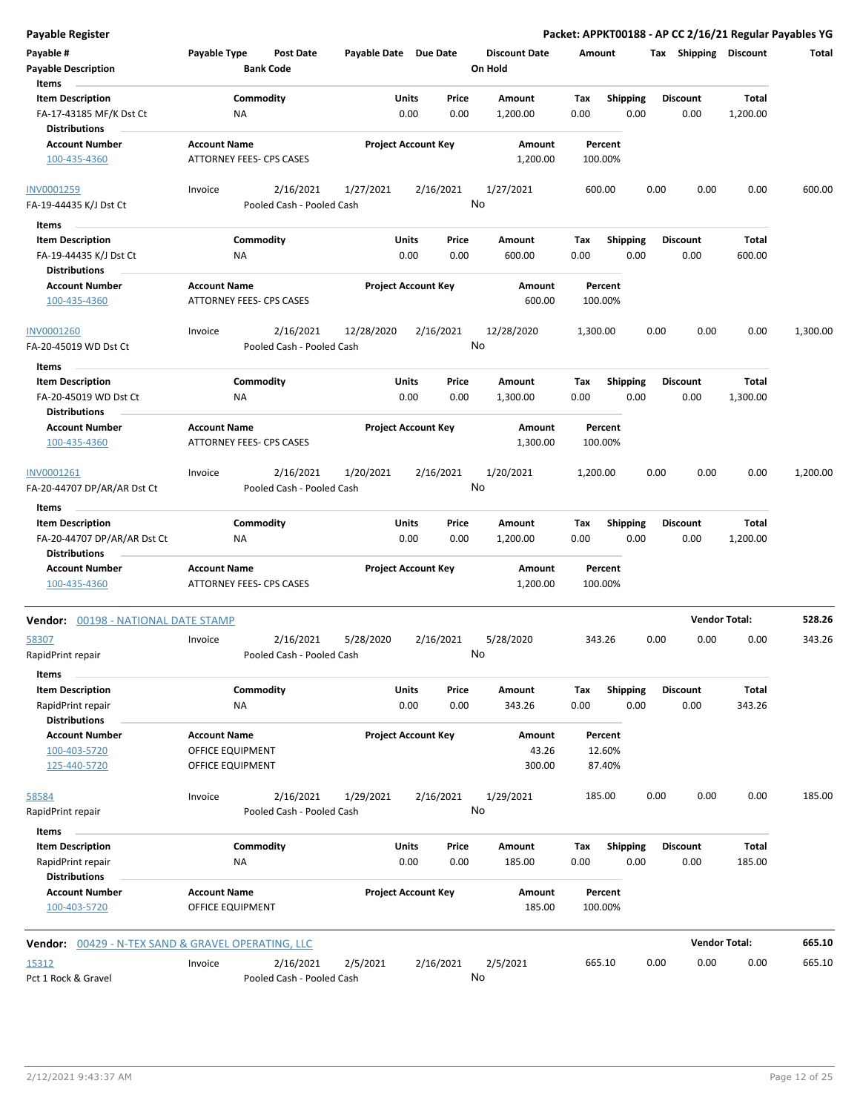| Payable #<br><b>Payable Description</b><br>Items                           | Payable Type                                           | <b>Post Date</b><br><b>Bank Code</b>   | Payable Date Due Date      |               |                 | <b>Discount Date</b><br>On Hold | Amount             |                         |      | Tax Shipping            | <b>Discount</b>   | Total    |
|----------------------------------------------------------------------------|--------------------------------------------------------|----------------------------------------|----------------------------|---------------|-----------------|---------------------------------|--------------------|-------------------------|------|-------------------------|-------------------|----------|
| <b>Item Description</b><br>FA-17-43185 MF/K Dst Ct<br><b>Distributions</b> | ΝA                                                     | Commodity                              |                            | Units<br>0.00 | Price<br>0.00   | Amount<br>1,200.00              | Tax<br>0.00        | <b>Shipping</b><br>0.00 |      | <b>Discount</b><br>0.00 | Total<br>1,200.00 |          |
| <b>Account Number</b><br>100-435-4360                                      | <b>Account Name</b><br>ATTORNEY FEES- CPS CASES        |                                        | <b>Project Account Key</b> |               |                 | Amount<br>1,200.00              | Percent<br>100.00% |                         |      |                         |                   |          |
| INV0001259<br>FA-19-44435 K/J Dst Ct                                       | Invoice                                                | 2/16/2021<br>Pooled Cash - Pooled Cash | 1/27/2021                  |               | 2/16/2021<br>No | 1/27/2021                       | 600.00             |                         | 0.00 | 0.00                    | 0.00              | 600.00   |
| Items                                                                      |                                                        |                                        |                            |               |                 |                                 |                    |                         |      |                         |                   |          |
| <b>Item Description</b><br>FA-19-44435 K/J Dst Ct                          | ΝA                                                     | Commodity                              |                            | Units<br>0.00 | Price<br>0.00   | Amount<br>600.00                | Tax<br>0.00        | <b>Shipping</b><br>0.00 |      | <b>Discount</b><br>0.00 | Total<br>600.00   |          |
| <b>Distributions</b><br><b>Account Number</b><br>100-435-4360              | <b>Account Name</b><br>ATTORNEY FEES- CPS CASES        |                                        | <b>Project Account Key</b> |               |                 | Amount<br>600.00                | Percent<br>100.00% |                         |      |                         |                   |          |
|                                                                            |                                                        |                                        |                            |               |                 |                                 |                    |                         |      |                         |                   |          |
| INV0001260<br>FA-20-45019 WD Dst Ct                                        | Invoice                                                | 2/16/2021<br>Pooled Cash - Pooled Cash | 12/28/2020                 |               | 2/16/2021<br>No | 12/28/2020                      | 1,300.00           |                         | 0.00 | 0.00                    | 0.00              | 1,300.00 |
| Items                                                                      |                                                        |                                        |                            |               |                 |                                 |                    |                         |      |                         |                   |          |
| <b>Item Description</b><br>FA-20-45019 WD Dst Ct<br><b>Distributions</b>   | ΝA                                                     | Commodity                              |                            | Units<br>0.00 | Price<br>0.00   | <b>Amount</b><br>1,300.00       | Тах<br>0.00        | <b>Shipping</b><br>0.00 |      | <b>Discount</b><br>0.00 | Total<br>1,300.00 |          |
| <b>Account Number</b><br>100-435-4360                                      | <b>Account Name</b><br><b>ATTORNEY FEES- CPS CASES</b> |                                        | <b>Project Account Key</b> |               |                 | Amount<br>1,300.00              | Percent<br>100.00% |                         |      |                         |                   |          |
| INV0001261<br>FA-20-44707 DP/AR/AR Dst Ct                                  | Invoice                                                | 2/16/2021<br>Pooled Cash - Pooled Cash | 1/20/2021                  |               | 2/16/2021<br>No | 1/20/2021                       | 1,200.00           |                         | 0.00 | 0.00                    | 0.00              | 1,200.00 |
| Items                                                                      |                                                        |                                        |                            |               |                 |                                 |                    |                         |      |                         |                   |          |
| <b>Item Description</b>                                                    |                                                        | Commodity                              |                            | Units         | Price           | Amount                          | Tax                | <b>Shipping</b>         |      | <b>Discount</b>         | Total             |          |
| FA-20-44707 DP/AR/AR Dst Ct<br><b>Distributions</b>                        | ΝA                                                     |                                        |                            | 0.00          | 0.00            | 1,200.00                        | 0.00               | 0.00                    |      | 0.00                    | 1,200.00          |          |
| <b>Account Number</b><br>100-435-4360                                      | <b>Account Name</b><br>ATTORNEY FEES- CPS CASES        |                                        | <b>Project Account Key</b> |               |                 | Amount<br>1,200.00              | Percent<br>100.00% |                         |      |                         |                   |          |
| Vendor: 00198 - NATIONAL DATE STAMP                                        |                                                        |                                        |                            |               |                 |                                 |                    |                         |      | <b>Vendor Total:</b>    |                   | 528.26   |
| 58307<br>RapidPrint repair                                                 | Invoice                                                | 2/16/2021<br>Pooled Cash - Pooled Cash | 5/28/2020                  |               | 2/16/2021<br>No | 5/28/2020                       | 343.26             |                         | 0.00 | 0.00                    | 0.00              | 343.26   |
| Items                                                                      |                                                        |                                        |                            |               |                 |                                 |                    |                         |      |                         |                   |          |
| <b>Item Description</b>                                                    |                                                        | Commodity                              |                            | Units         | Price           | Amount                          | Tax                | <b>Shipping</b>         |      | <b>Discount</b>         | Total             |          |
| RapidPrint repair<br><b>Distributions</b>                                  | <b>NA</b>                                              |                                        |                            | 0.00          | 0.00            | 343.26                          | 0.00               | 0.00                    |      | 0.00                    | 343.26            |          |
| <b>Account Number</b>                                                      | <b>Account Name</b>                                    |                                        | <b>Project Account Key</b> |               |                 | Amount                          | Percent            |                         |      |                         |                   |          |
| 100-403-5720<br>125-440-5720                                               | OFFICE EQUIPMENT<br>OFFICE EQUIPMENT                   |                                        |                            |               |                 | 43.26<br>300.00                 | 12.60%<br>87.40%   |                         |      |                         |                   |          |
| 58584                                                                      | Invoice                                                | 2/16/2021                              | 1/29/2021                  |               | 2/16/2021       | 1/29/2021                       | 185.00             |                         | 0.00 | 0.00                    | 0.00              | 185.00   |
| RapidPrint repair<br>Items                                                 |                                                        | Pooled Cash - Pooled Cash              |                            |               | No              |                                 |                    |                         |      |                         |                   |          |
| <b>Item Description</b>                                                    |                                                        | Commodity                              |                            | Units         | Price           | Amount                          | Tax                | Shipping                |      | <b>Discount</b>         | Total             |          |
| RapidPrint repair<br><b>Distributions</b>                                  | ΝA                                                     |                                        |                            | 0.00          | 0.00            | 185.00                          | 0.00               | 0.00                    |      | 0.00                    | 185.00            |          |
| <b>Account Number</b><br>100-403-5720                                      | <b>Account Name</b><br>OFFICE EQUIPMENT                |                                        | <b>Project Account Key</b> |               |                 | Amount<br>185.00                | Percent<br>100.00% |                         |      |                         |                   |          |
| <b>Vendor:</b> 00429 - N-TEX SAND & GRAVEL OPERATING, LLC                  |                                                        |                                        |                            |               |                 |                                 |                    |                         |      | <b>Vendor Total:</b>    |                   | 665.10   |
| 15312<br>Pct 1 Rock & Gravel                                               | Invoice                                                | 2/16/2021<br>Pooled Cash - Pooled Cash | 2/5/2021                   |               | 2/16/2021<br>No | 2/5/2021                        | 665.10             |                         | 0.00 | 0.00                    | 0.00              | 665.10   |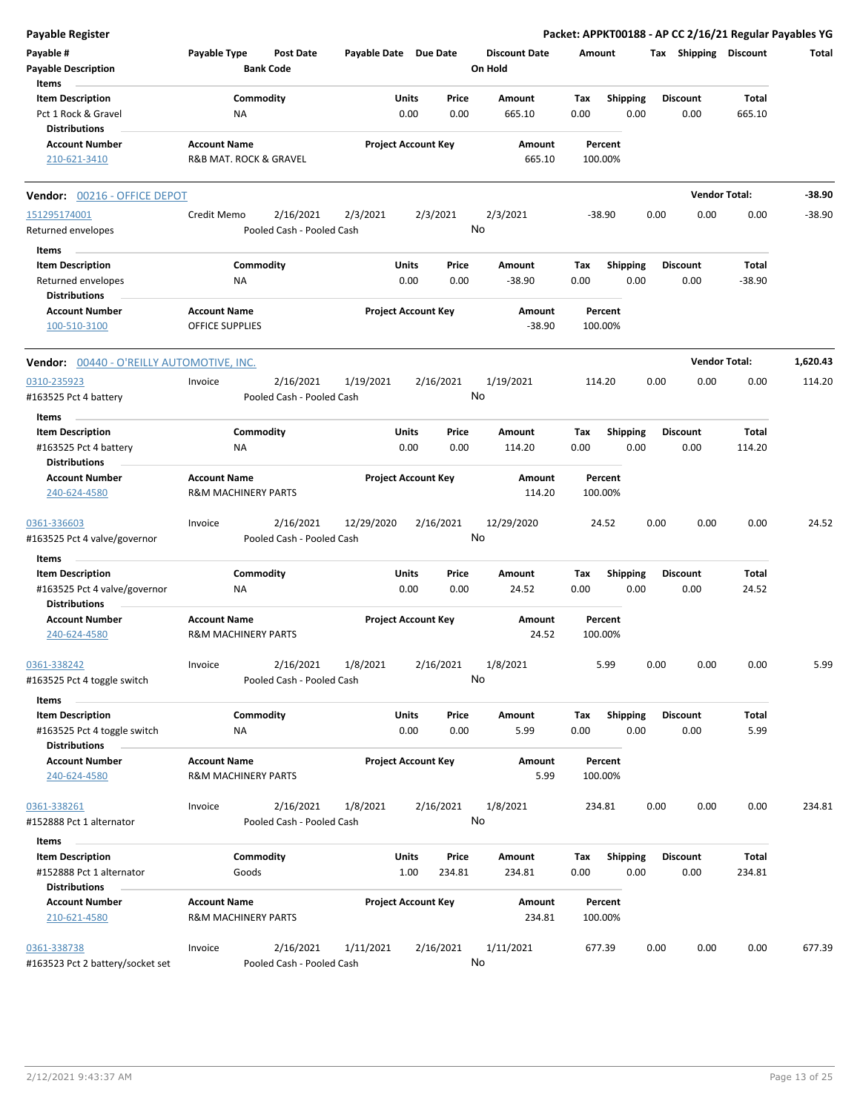| <b>Payable Register</b>                          |                                |                                      |                       |                            |        |                                 |        |                 |      |                       | Packet: APPKT00188 - AP CC 2/16/21 Regular Payables YG |          |
|--------------------------------------------------|--------------------------------|--------------------------------------|-----------------------|----------------------------|--------|---------------------------------|--------|-----------------|------|-----------------------|--------------------------------------------------------|----------|
| Payable #<br><b>Payable Description</b>          | Payable Type                   | <b>Post Date</b><br><b>Bank Code</b> | Payable Date Due Date |                            |        | <b>Discount Date</b><br>On Hold | Amount |                 |      | Tax Shipping Discount |                                                        | Total    |
| Items<br><b>Item Description</b>                 |                                | Commodity                            |                       | Units                      | Price  | Amount                          | Tax    | <b>Shipping</b> |      | <b>Discount</b>       | Total                                                  |          |
| Pct 1 Rock & Gravel                              | NA                             |                                      |                       | 0.00                       | 0.00   | 665.10                          | 0.00   | 0.00            |      | 0.00                  | 665.10                                                 |          |
| <b>Distributions</b>                             |                                |                                      |                       |                            |        |                                 |        |                 |      |                       |                                                        |          |
| <b>Account Number</b>                            | <b>Account Name</b>            |                                      |                       | <b>Project Account Key</b> |        | Amount                          |        | Percent         |      |                       |                                                        |          |
| 210-621-3410                                     | R&B MAT. ROCK & GRAVEL         |                                      |                       |                            |        | 665.10                          |        | 100.00%         |      |                       |                                                        |          |
| Vendor: 00216 - OFFICE DEPOT                     |                                |                                      |                       |                            |        |                                 |        |                 |      |                       | <b>Vendor Total:</b>                                   | -38.90   |
| 151295174001                                     | Credit Memo                    | 2/16/2021                            | 2/3/2021              | 2/3/2021                   |        | 2/3/2021                        |        | $-38.90$        | 0.00 | 0.00                  | 0.00                                                   | $-38.90$ |
| Returned envelopes                               |                                | Pooled Cash - Pooled Cash            |                       |                            |        | No                              |        |                 |      |                       |                                                        |          |
| Items                                            |                                |                                      |                       |                            |        |                                 |        |                 |      |                       |                                                        |          |
| <b>Item Description</b>                          |                                | Commodity                            |                       | Units                      | Price  | Amount                          | Tax    | <b>Shipping</b> |      | <b>Discount</b>       | Total                                                  |          |
| Returned envelopes<br><b>Distributions</b>       | NA                             |                                      |                       | 0.00                       | 0.00   | $-38.90$                        | 0.00   | 0.00            |      | 0.00                  | $-38.90$                                               |          |
| <b>Account Number</b>                            | <b>Account Name</b>            |                                      |                       | <b>Project Account Key</b> |        | Amount                          |        | Percent         |      |                       |                                                        |          |
| 100-510-3100                                     | <b>OFFICE SUPPLIES</b>         |                                      |                       |                            |        | $-38.90$                        |        | 100.00%         |      |                       |                                                        |          |
| <b>Vendor: 00440 - O'REILLY AUTOMOTIVE, INC.</b> |                                |                                      |                       |                            |        |                                 |        |                 |      |                       | <b>Vendor Total:</b>                                   | 1,620.43 |
| 0310-235923                                      | Invoice                        | 2/16/2021                            | 1/19/2021             | 2/16/2021                  |        | 1/19/2021                       |        | 114.20          | 0.00 | 0.00                  | 0.00                                                   | 114.20   |
| #163525 Pct 4 battery                            |                                | Pooled Cash - Pooled Cash            |                       |                            |        | No                              |        |                 |      |                       |                                                        |          |
| Items                                            |                                |                                      |                       |                            |        |                                 |        |                 |      |                       |                                                        |          |
| <b>Item Description</b>                          |                                | Commodity                            |                       | Units                      | Price  | Amount                          | Tax    | Shipping        |      | <b>Discount</b>       | Total                                                  |          |
| #163525 Pct 4 battery                            | NA                             |                                      |                       | 0.00                       | 0.00   | 114.20                          | 0.00   | 0.00            |      | 0.00                  | 114.20                                                 |          |
| <b>Distributions</b>                             |                                |                                      |                       |                            |        |                                 |        |                 |      |                       |                                                        |          |
| <b>Account Number</b>                            | <b>Account Name</b>            |                                      |                       | <b>Project Account Key</b> |        | Amount                          |        | Percent         |      |                       |                                                        |          |
| 240-624-4580                                     | <b>R&amp;M MACHINERY PARTS</b> |                                      |                       |                            |        | 114.20                          |        | 100.00%         |      |                       |                                                        |          |
| 0361-336603                                      | Invoice                        | 2/16/2021                            | 12/29/2020            | 2/16/2021                  |        | 12/29/2020                      |        | 24.52           | 0.00 | 0.00                  | 0.00                                                   | 24.52    |
| #163525 Pct 4 valve/governor                     |                                | Pooled Cash - Pooled Cash            |                       |                            |        | No                              |        |                 |      |                       |                                                        |          |
| Items                                            |                                |                                      |                       |                            |        |                                 |        |                 |      |                       |                                                        |          |
| <b>Item Description</b>                          |                                | Commodity                            |                       | <b>Units</b>               | Price  | Amount                          | Tax    | <b>Shipping</b> |      | <b>Discount</b>       | Total                                                  |          |
| #163525 Pct 4 valve/governor                     | NA                             |                                      |                       | 0.00                       | 0.00   | 24.52                           | 0.00   | 0.00            |      | 0.00                  | 24.52                                                  |          |
| <b>Distributions</b>                             |                                |                                      |                       |                            |        |                                 |        |                 |      |                       |                                                        |          |
| <b>Account Number</b>                            | <b>Account Name</b>            |                                      |                       | <b>Project Account Key</b> |        | Amount                          |        | Percent         |      |                       |                                                        |          |
| 240-624-4580                                     | <b>R&amp;M MACHINERY PARTS</b> |                                      |                       |                            |        | 24.52                           |        | 100.00%         |      |                       |                                                        |          |
| 0361-338242                                      | Invoice                        | 2/16/2021                            | 1/8/2021              | 2/16/2021                  |        | 1/8/2021                        |        | 5.99            | 0.00 | 0.00                  | 0.00                                                   | 5.99     |
| #163525 Pct 4 toggle switch                      |                                | Pooled Cash - Pooled Cash            |                       |                            |        | No                              |        |                 |      |                       |                                                        |          |
| Items                                            |                                |                                      |                       |                            |        |                                 |        |                 |      |                       |                                                        |          |
| <b>Item Description</b>                          |                                | Commodity                            |                       | Units                      | Price  | Amount                          | Tax    | <b>Shipping</b> |      | <b>Discount</b>       | Total                                                  |          |
| #163525 Pct 4 toggle switch                      | NA                             |                                      |                       | 0.00                       | 0.00   | 5.99                            | 0.00   | 0.00            |      | 0.00                  | 5.99                                                   |          |
| <b>Distributions</b>                             |                                |                                      |                       |                            |        |                                 |        |                 |      |                       |                                                        |          |
| <b>Account Number</b>                            | <b>Account Name</b>            |                                      |                       | <b>Project Account Key</b> |        | Amount                          |        | Percent         |      |                       |                                                        |          |
| 240-624-4580                                     | <b>R&amp;M MACHINERY PARTS</b> |                                      |                       |                            |        | 5.99                            |        | 100.00%         |      |                       |                                                        |          |
| 0361-338261                                      | Invoice                        | 2/16/2021                            | 1/8/2021              | 2/16/2021                  |        | 1/8/2021                        |        | 234.81          | 0.00 | 0.00                  | 0.00                                                   | 234.81   |
| #152888 Pct 1 alternator                         |                                | Pooled Cash - Pooled Cash            |                       |                            |        | No                              |        |                 |      |                       |                                                        |          |
| Items                                            |                                |                                      |                       |                            |        |                                 |        |                 |      |                       |                                                        |          |
| <b>Item Description</b>                          |                                | Commodity                            |                       | Units                      | Price  | Amount                          | Tax    | <b>Shipping</b> |      | <b>Discount</b>       | Total                                                  |          |
| #152888 Pct 1 alternator                         | Goods                          |                                      |                       | 1.00                       | 234.81 | 234.81                          | 0.00   | 0.00            |      | 0.00                  | 234.81                                                 |          |
| <b>Distributions</b>                             |                                |                                      |                       |                            |        |                                 |        |                 |      |                       |                                                        |          |
| <b>Account Number</b>                            | <b>Account Name</b>            |                                      |                       | <b>Project Account Key</b> |        | Amount                          |        | Percent         |      |                       |                                                        |          |
| 210-621-4580                                     | <b>R&amp;M MACHINERY PARTS</b> |                                      |                       |                            |        | 234.81                          |        | 100.00%         |      |                       |                                                        |          |
| 0361-338738                                      | Invoice                        | 2/16/2021                            | 1/11/2021             | 2/16/2021                  |        | 1/11/2021                       |        | 677.39          | 0.00 | 0.00                  | 0.00                                                   | 677.39   |
| #163523 Pct 2 battery/socket set                 |                                | Pooled Cash - Pooled Cash            |                       |                            |        | No                              |        |                 |      |                       |                                                        |          |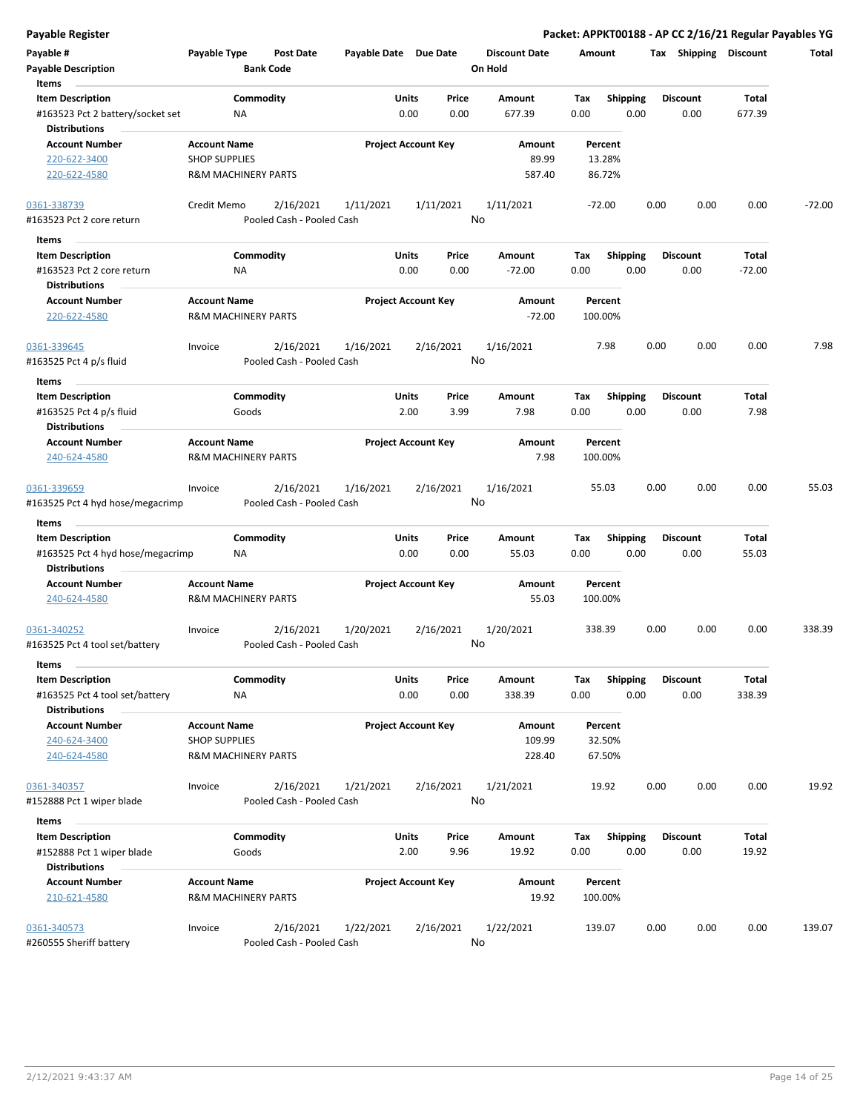| Payable #<br><b>Payable Description</b><br>Items                                    | Payable Type                                                                  | Post Date<br><b>Bank Code</b>          | Payable Date Due Date |                            |               | <b>Discount Date</b><br>On Hold | Amount                      |                         |      | Tax Shipping            | <b>Discount</b>   | Total    |
|-------------------------------------------------------------------------------------|-------------------------------------------------------------------------------|----------------------------------------|-----------------------|----------------------------|---------------|---------------------------------|-----------------------------|-------------------------|------|-------------------------|-------------------|----------|
| <b>Item Description</b><br>#163523 Pct 2 battery/socket set<br><b>Distributions</b> | ΝA                                                                            | Commodity                              |                       | Units<br>0.00              | Price<br>0.00 | Amount<br>677.39                | Tax<br>0.00                 | Shipping<br>0.00        |      | <b>Discount</b><br>0.00 | Total<br>677.39   |          |
| <b>Account Number</b><br>220-622-3400<br>220-622-4580                               | <b>Account Name</b><br><b>SHOP SUPPLIES</b><br><b>R&amp;M MACHINERY PARTS</b> |                                        |                       | <b>Project Account Key</b> |               | Amount<br>89.99<br>587.40       | Percent<br>13.28%<br>86.72% |                         |      |                         |                   |          |
| 0361-338739<br>#163523 Pct 2 core return                                            | Credit Memo                                                                   | 2/16/2021<br>Pooled Cash - Pooled Cash | 1/11/2021             | 1/11/2021                  |               | 1/11/2021<br>No                 | $-72.00$                    |                         | 0.00 | 0.00                    | 0.00              | $-72.00$ |
| Items                                                                               |                                                                               |                                        |                       |                            |               |                                 |                             |                         |      |                         |                   |          |
| <b>Item Description</b><br>#163523 Pct 2 core return<br><b>Distributions</b>        | <b>NA</b>                                                                     | Commodity                              |                       | Units<br>0.00              | Price<br>0.00 | Amount<br>$-72.00$              | Tax<br>0.00                 | <b>Shipping</b><br>0.00 |      | <b>Discount</b><br>0.00 | Total<br>$-72.00$ |          |
| <b>Account Number</b><br>220-622-4580                                               | <b>Account Name</b><br><b>R&amp;M MACHINERY PARTS</b>                         |                                        |                       | <b>Project Account Key</b> |               | Amount<br>$-72.00$              | Percent<br>100.00%          |                         |      |                         |                   |          |
| 0361-339645<br>#163525 Pct 4 p/s fluid                                              | Invoice                                                                       | 2/16/2021<br>Pooled Cash - Pooled Cash | 1/16/2021             | 2/16/2021                  |               | 1/16/2021<br>No                 |                             | 7.98                    | 0.00 | 0.00                    | 0.00              | 7.98     |
| Items<br><b>Item Description</b><br>#163525 Pct 4 p/s fluid<br><b>Distributions</b> |                                                                               | Commodity<br>Goods                     |                       | Units<br>2.00              | Price<br>3.99 | Amount<br>7.98                  | Tax<br>0.00                 | <b>Shipping</b><br>0.00 |      | <b>Discount</b><br>0.00 | Total<br>7.98     |          |
| <b>Account Number</b><br>240-624-4580                                               | <b>Account Name</b><br><b>R&amp;M MACHINERY PARTS</b>                         |                                        |                       | <b>Project Account Key</b> |               | Amount<br>7.98                  | Percent<br>100.00%          |                         |      |                         |                   |          |
| 0361-339659<br>#163525 Pct 4 hyd hose/megacrimp                                     | Invoice                                                                       | 2/16/2021<br>Pooled Cash - Pooled Cash | 1/16/2021             | 2/16/2021                  |               | 1/16/2021<br>No                 | 55.03                       |                         | 0.00 | 0.00                    | 0.00              | 55.03    |
| Items                                                                               |                                                                               |                                        |                       |                            |               |                                 |                             |                         |      |                         |                   |          |
| <b>Item Description</b><br>#163525 Pct 4 hyd hose/megacrimp<br><b>Distributions</b> | ΝA                                                                            | Commodity                              |                       | Units<br>0.00              | Price<br>0.00 | Amount<br>55.03                 | Tax<br>0.00                 | Shipping<br>0.00        |      | <b>Discount</b><br>0.00 | Total<br>55.03    |          |
| <b>Account Number</b><br>240-624-4580                                               | <b>Account Name</b><br><b>R&amp;M MACHINERY PARTS</b>                         |                                        |                       | <b>Project Account Key</b> |               | Amount<br>55.03                 | Percent<br>100.00%          |                         |      |                         |                   |          |
| 0361-340252<br>#163525 Pct 4 tool set/battery                                       | Invoice                                                                       | 2/16/2021<br>Pooled Cash - Pooled Cash | 1/20/2021             | 2/16/2021                  |               | 1/20/2021<br>No                 | 338.39                      |                         | 0.00 | 0.00                    | 0.00              | 338.39   |
| Items                                                                               |                                                                               |                                        |                       |                            |               |                                 |                             |                         |      |                         |                   |          |
| <b>Item Description</b><br>#163525 Pct 4 tool set/battery<br><b>Distributions</b>   | <b>NA</b>                                                                     | Commodity                              |                       | Units<br>0.00              | Price<br>0.00 | Amount<br>338.39                | Tax<br>0.00                 | Shipping<br>0.00        |      | <b>Discount</b><br>0.00 | Total<br>338.39   |          |
| <b>Account Number</b><br>240-624-3400<br>240-624-4580                               | <b>Account Name</b><br><b>SHOP SUPPLIES</b><br><b>R&amp;M MACHINERY PARTS</b> |                                        |                       | <b>Project Account Key</b> |               | Amount<br>109.99<br>228.40      | Percent<br>32.50%<br>67.50% |                         |      |                         |                   |          |
| 0361-340357<br>#152888 Pct 1 wiper blade                                            | Invoice                                                                       | 2/16/2021<br>Pooled Cash - Pooled Cash | 1/21/2021             | 2/16/2021                  |               | 1/21/2021<br>No                 | 19.92                       |                         | 0.00 | 0.00                    | 0.00              | 19.92    |
| Items                                                                               |                                                                               |                                        |                       |                            |               |                                 |                             |                         |      |                         |                   |          |
| <b>Item Description</b>                                                             |                                                                               | Commodity                              |                       | Units                      | Price         | Amount                          | Tax                         | Shipping                |      | <b>Discount</b>         | Total             |          |
| #152888 Pct 1 wiper blade                                                           |                                                                               | Goods                                  |                       | 2.00                       | 9.96          | 19.92                           | 0.00                        | 0.00                    |      | 0.00                    | 19.92             |          |
| <b>Distributions</b>                                                                |                                                                               |                                        |                       |                            |               |                                 |                             |                         |      |                         |                   |          |
| <b>Account Number</b><br>210-621-4580                                               | <b>Account Name</b><br><b>R&amp;M MACHINERY PARTS</b>                         |                                        |                       | <b>Project Account Key</b> |               | Amount<br>19.92                 | Percent<br>100.00%          |                         |      |                         |                   |          |
| 0361-340573<br>#260555 Sheriff battery                                              | Invoice                                                                       | 2/16/2021<br>Pooled Cash - Pooled Cash | 1/22/2021             | 2/16/2021                  |               | 1/22/2021<br>No                 | 139.07                      |                         | 0.00 | 0.00                    | 0.00              | 139.07   |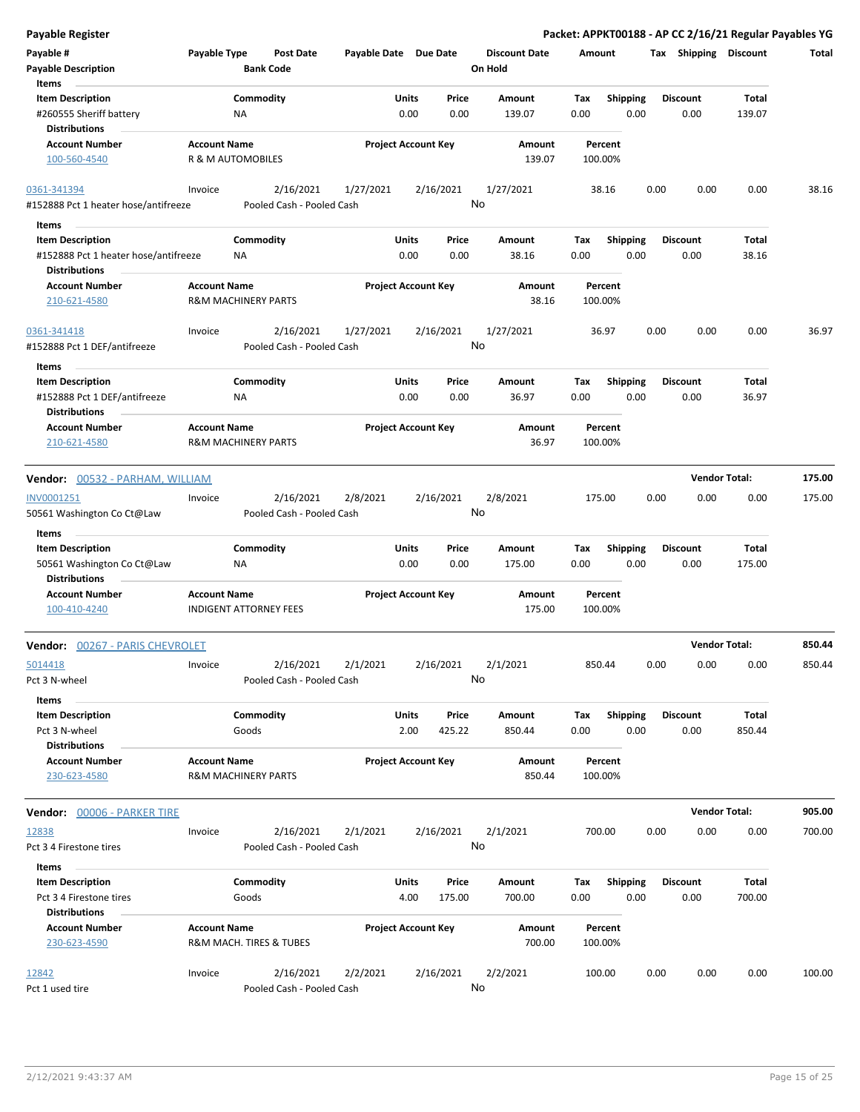| <b>Payable Register</b>                                                          |                                                       |                                        |                            |               |                 |                                 |                    |                         |      |                         | Packet: APPKT00188 - AP CC 2/16/21 Regular Payables YG |        |
|----------------------------------------------------------------------------------|-------------------------------------------------------|----------------------------------------|----------------------------|---------------|-----------------|---------------------------------|--------------------|-------------------------|------|-------------------------|--------------------------------------------------------|--------|
| Payable #<br><b>Payable Description</b>                                          | Payable Type                                          | Post Date<br><b>Bank Code</b>          | Payable Date Due Date      |               |                 | <b>Discount Date</b><br>On Hold | Amount             |                         |      | Tax Shipping Discount   |                                                        | Total  |
| Items                                                                            |                                                       |                                        |                            |               |                 |                                 |                    |                         |      |                         |                                                        |        |
| <b>Item Description</b><br>#260555 Sheriff battery<br><b>Distributions</b>       | NA                                                    | Commodity                              |                            | Units<br>0.00 | Price<br>0.00   | Amount<br>139.07                | Tax<br>0.00        | <b>Shipping</b><br>0.00 |      | <b>Discount</b><br>0.00 | Total<br>139.07                                        |        |
| <b>Account Number</b><br>100-560-4540                                            | <b>Account Name</b><br>R & M AUTOMOBILES              |                                        | <b>Project Account Key</b> |               |                 | Amount<br>139.07                | Percent<br>100.00% |                         |      |                         |                                                        |        |
| 0361-341394                                                                      | Invoice                                               | 2/16/2021                              | 1/27/2021                  |               | 2/16/2021       | 1/27/2021                       | 38.16              |                         | 0.00 | 0.00                    | 0.00                                                   | 38.16  |
| #152888 Pct 1 heater hose/antifreeze                                             |                                                       | Pooled Cash - Pooled Cash              |                            |               |                 | No                              |                    |                         |      |                         |                                                        |        |
| Items                                                                            |                                                       | Commodity                              |                            | Units         | Price           | Amount                          | Tax                | <b>Shipping</b>         |      | <b>Discount</b>         | Total                                                  |        |
| <b>Item Description</b><br>#152888 Pct 1 heater hose/antifreeze<br>Distributions | ΝA                                                    |                                        |                            | 0.00          | 0.00            | 38.16                           | 0.00               | 0.00                    |      | 0.00                    | 38.16                                                  |        |
| <b>Account Number</b><br>210-621-4580                                            | <b>Account Name</b><br><b>R&amp;M MACHINERY PARTS</b> |                                        | <b>Project Account Key</b> |               |                 | Amount<br>38.16                 | Percent<br>100.00% |                         |      |                         |                                                        |        |
| 0361-341418                                                                      | Invoice                                               | 2/16/2021                              | 1/27/2021                  |               | 2/16/2021       | 1/27/2021                       | 36.97              |                         | 0.00 | 0.00                    | 0.00                                                   | 36.97  |
| #152888 Pct 1 DEF/antifreeze                                                     |                                                       | Pooled Cash - Pooled Cash              |                            |               |                 | No                              |                    |                         |      |                         |                                                        |        |
| Items<br><b>Item Description</b>                                                 |                                                       | Commodity                              |                            | Units         | Price           | Amount                          | Tax                | <b>Shipping</b>         |      | <b>Discount</b>         | Total                                                  |        |
| #152888 Pct 1 DEF/antifreeze                                                     | NA                                                    |                                        |                            | 0.00          | 0.00            | 36.97                           | 0.00               | 0.00                    |      | 0.00                    | 36.97                                                  |        |
| <b>Distributions</b><br>Account Number                                           | <b>Account Name</b>                                   |                                        | <b>Project Account Key</b> |               |                 | Amount                          | Percent            |                         |      |                         |                                                        |        |
| 210-621-4580                                                                     | <b>R&amp;M MACHINERY PARTS</b>                        |                                        |                            |               |                 | 36.97                           | 100.00%            |                         |      |                         |                                                        |        |
| Vendor: 00532 - PARHAM, WILLIAM                                                  |                                                       |                                        |                            |               |                 |                                 |                    |                         |      | <b>Vendor Total:</b>    |                                                        | 175.00 |
| INV0001251                                                                       | Invoice                                               | 2/16/2021                              | 2/8/2021                   |               | 2/16/2021       | 2/8/2021                        | 175.00             |                         | 0.00 | 0.00                    | 0.00                                                   | 175.00 |
| 50561 Washington Co Ct@Law                                                       |                                                       | Pooled Cash - Pooled Cash              |                            |               |                 | No                              |                    |                         |      |                         |                                                        |        |
| Items<br><b>Item Description</b>                                                 |                                                       | Commodity                              |                            | Units         | Price           | Amount                          | Tax                | <b>Shipping</b>         |      | <b>Discount</b>         | Total                                                  |        |
| 50561 Washington Co Ct@Law<br><b>Distributions</b>                               | ΝA                                                    |                                        |                            | 0.00          | 0.00            | 175.00                          | 0.00               | 0.00                    |      | 0.00                    | 175.00                                                 |        |
| <b>Account Number</b><br>100-410-4240                                            | <b>Account Name</b>                                   | INDIGENT ATTORNEY FEES                 | <b>Project Account Key</b> |               |                 | Amount<br>175.00                | Percent<br>100.00% |                         |      |                         |                                                        |        |
| <b>Vendor: 00267 - PARIS CHEVROLET</b>                                           |                                                       |                                        |                            |               |                 |                                 |                    |                         |      | <b>Vendor Total:</b>    |                                                        | 850.44 |
| 5014418<br>Pct 3 N-wheel                                                         | Invoice                                               | 2/16/2021<br>Pooled Cash - Pooled Cash | 2/1/2021                   |               | 2/16/2021       | 2/1/2021<br>No                  | 850.44             |                         | 0.00 | 0.00                    | 0.00                                                   | 850.44 |
| Items<br><b>Item Description</b><br>Pct 3 N-wheel<br><b>Distributions</b>        |                                                       | Commodity<br>Goods                     |                            | Units<br>2.00 | Price<br>425.22 | Amount<br>850.44                | Tax<br>0.00        | <b>Shipping</b><br>0.00 |      | <b>Discount</b><br>0.00 | Total<br>850.44                                        |        |
| <b>Account Number</b><br>230-623-4580                                            | <b>Account Name</b><br><b>R&amp;M MACHINERY PARTS</b> |                                        | <b>Project Account Key</b> |               |                 | Amount<br>850.44                | Percent<br>100.00% |                         |      |                         |                                                        |        |
| Vendor: 00006 - PARKER TIRE                                                      |                                                       |                                        |                            |               |                 |                                 |                    |                         |      | <b>Vendor Total:</b>    |                                                        | 905.00 |
| 12838<br>Pct 3 4 Firestone tires                                                 | Invoice                                               | 2/16/2021<br>Pooled Cash - Pooled Cash | 2/1/2021                   |               | 2/16/2021       | 2/1/2021<br>No                  | 700.00             |                         | 0.00 | 0.00                    | 0.00                                                   | 700.00 |
| Items                                                                            |                                                       |                                        |                            |               |                 |                                 |                    |                         |      |                         |                                                        |        |
| <b>Item Description</b><br>Pct 3 4 Firestone tires<br>Distributions              |                                                       | Commodity<br>Goods                     |                            | Units<br>4.00 | Price<br>175.00 | Amount<br>700.00                | Tax<br>0.00        | <b>Shipping</b><br>0.00 |      | <b>Discount</b><br>0.00 | Total<br>700.00                                        |        |
| <b>Account Number</b><br>230-623-4590                                            | <b>Account Name</b>                                   | R&M MACH. TIRES & TUBES                | <b>Project Account Key</b> |               |                 | Amount<br>700.00                | Percent<br>100.00% |                         |      |                         |                                                        |        |
| 12842<br>Pct 1 used tire                                                         | Invoice                                               | 2/16/2021<br>Pooled Cash - Pooled Cash | 2/2/2021                   |               | 2/16/2021       | 2/2/2021<br>No                  | 100.00             |                         | 0.00 | 0.00                    | 0.00                                                   | 100.00 |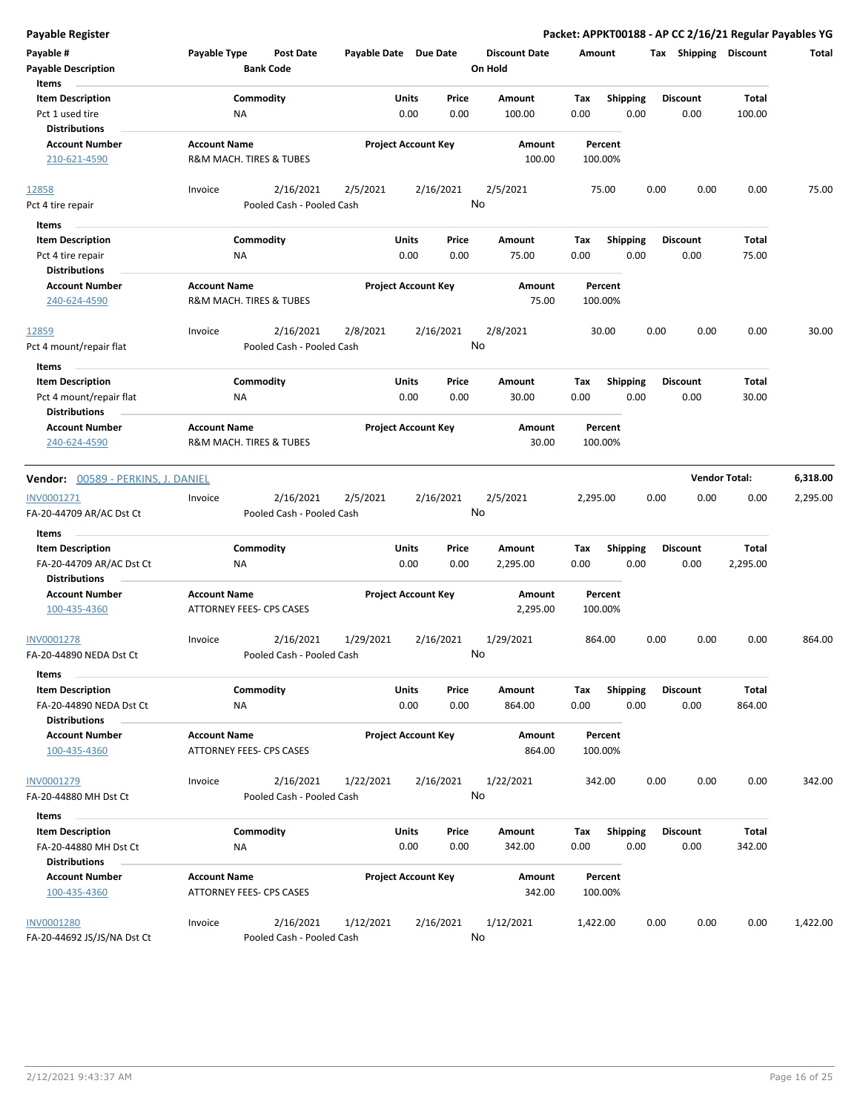| Payable #<br><b>Payable Description</b><br>Items                   | Payable Type        | <b>Post Date</b><br><b>Bank Code</b>   | Payable Date Due Date |                            |               | <b>Discount Date</b><br>On Hold | Amount             |                         |      | Tax Shipping Discount |                      | Total    |
|--------------------------------------------------------------------|---------------------|----------------------------------------|-----------------------|----------------------------|---------------|---------------------------------|--------------------|-------------------------|------|-----------------------|----------------------|----------|
| <b>Item Description</b><br>Pct 1 used tire<br><b>Distributions</b> | ΝA                  | Commodity                              |                       | Units<br>0.00              | Price<br>0.00 | Amount<br>100.00                | Tax<br>0.00        | <b>Shipping</b><br>0.00 |      | Discount<br>0.00      | Total<br>100.00      |          |
| <b>Account Number</b><br>210-621-4590                              | <b>Account Name</b> | R&M MACH. TIRES & TUBES                |                       | <b>Project Account Key</b> |               | Amount<br>100.00                | Percent<br>100.00% |                         |      |                       |                      |          |
| 12858                                                              | Invoice             | 2/16/2021                              | 2/5/2021              | 2/16/2021                  |               | 2/5/2021                        | 75.00              |                         | 0.00 | 0.00                  | 0.00                 | 75.00    |
| Pct 4 tire repair                                                  |                     | Pooled Cash - Pooled Cash              |                       |                            |               | No                              |                    |                         |      |                       |                      |          |
| Items                                                              |                     |                                        |                       |                            |               |                                 |                    |                         |      |                       |                      |          |
| <b>Item Description</b>                                            |                     | Commodity                              |                       | Units                      | Price         | Amount                          | Tax                | Shipping                |      | <b>Discount</b>       | Total                |          |
| Pct 4 tire repair                                                  | ΝA                  |                                        |                       | 0.00                       | 0.00          | 75.00                           | 0.00               | 0.00                    |      | 0.00                  | 75.00                |          |
| <b>Distributions</b>                                               |                     |                                        |                       |                            |               |                                 |                    |                         |      |                       |                      |          |
| <b>Account Number</b>                                              | <b>Account Name</b> |                                        |                       | <b>Project Account Key</b> |               | Amount                          | Percent            |                         |      |                       |                      |          |
| 240-624-4590                                                       |                     | R&M MACH. TIRES & TUBES                |                       |                            |               | 75.00                           | 100.00%            |                         |      |                       |                      |          |
| 12859                                                              | Invoice             | 2/16/2021                              | 2/8/2021              | 2/16/2021                  |               | 2/8/2021                        | 30.00              |                         | 0.00 | 0.00                  | 0.00                 | 30.00    |
| Pct 4 mount/repair flat                                            |                     | Pooled Cash - Pooled Cash              |                       |                            |               | No                              |                    |                         |      |                       |                      |          |
| Items                                                              |                     |                                        |                       |                            |               |                                 |                    |                         |      |                       |                      |          |
| <b>Item Description</b>                                            |                     | Commodity                              |                       | Units                      | Price         | Amount                          | Tax                | <b>Shipping</b>         |      | <b>Discount</b>       | Total                |          |
| Pct 4 mount/repair flat                                            | ΝA                  |                                        |                       | 0.00                       | 0.00          | 30.00                           | 0.00               | 0.00                    |      | 0.00                  | 30.00                |          |
| <b>Distributions</b>                                               |                     |                                        |                       |                            |               |                                 |                    |                         |      |                       |                      |          |
| <b>Account Number</b>                                              | <b>Account Name</b> |                                        |                       | <b>Project Account Key</b> |               | Amount                          | Percent            |                         |      |                       |                      |          |
| 240-624-4590                                                       |                     | R&M MACH. TIRES & TUBES                |                       |                            |               | 30.00                           | 100.00%            |                         |      |                       |                      |          |
| <b>Vendor:</b> 00589 - PERKINS, J. DANIEL                          |                     |                                        |                       |                            |               |                                 |                    |                         |      |                       | <b>Vendor Total:</b> | 6,318.00 |
|                                                                    |                     |                                        |                       |                            |               |                                 |                    |                         |      |                       |                      |          |
| INV0001271                                                         | Invoice             | 2/16/2021                              | 2/5/2021              | 2/16/2021                  |               | 2/5/2021<br>No                  | 2,295.00           |                         | 0.00 | 0.00                  | 0.00                 | 2,295.00 |
| FA-20-44709 AR/AC Dst Ct                                           |                     | Pooled Cash - Pooled Cash              |                       |                            |               |                                 |                    |                         |      |                       |                      |          |
| <b>Items</b>                                                       |                     |                                        |                       |                            |               |                                 |                    |                         |      |                       |                      |          |
| <b>Item Description</b>                                            |                     | Commodity                              |                       | Units                      | Price         | Amount                          | Tax                | <b>Shipping</b>         |      | <b>Discount</b>       | Total                |          |
| FA-20-44709 AR/AC Dst Ct                                           | <b>NA</b>           |                                        |                       | 0.00                       | 0.00          | 2,295.00                        | 0.00               | 0.00                    |      | 0.00                  | 2,295.00             |          |
| <b>Distributions</b>                                               |                     |                                        |                       |                            |               |                                 |                    |                         |      |                       |                      |          |
| <b>Account Number</b><br>100-435-4360                              | <b>Account Name</b> | ATTORNEY FEES- CPS CASES               |                       | <b>Project Account Key</b> |               | Amount<br>2,295.00              | Percent<br>100.00% |                         |      |                       |                      |          |
| INV0001278<br>FA-20-44890 NEDA Dst Ct                              | Invoice             | 2/16/2021<br>Pooled Cash - Pooled Cash | 1/29/2021             | 2/16/2021                  |               | 1/29/2021<br>No                 | 864.00             |                         | 0.00 | 0.00                  | 0.00                 | 864.00   |
| Items                                                              |                     |                                        |                       |                            |               |                                 |                    |                         |      |                       |                      |          |
| <b>Item Description</b>                                            |                     | Commodity                              |                       | Units                      | Price         | Amount                          | Тах                | <b>Shipping</b>         |      | <b>Discount</b>       | Total                |          |
| FA-20-44890 NEDA Dst Ct                                            | ΝA                  |                                        |                       | 0.00                       | 0.00          | 864.00                          | 0.00               | 0.00                    |      | 0.00                  | 864.00               |          |
| <b>Distributions</b>                                               |                     |                                        |                       |                            |               |                                 |                    |                         |      |                       |                      |          |
| <b>Account Number</b>                                              | <b>Account Name</b> |                                        |                       | <b>Project Account Key</b> |               | Amount                          | Percent            |                         |      |                       |                      |          |
| 100-435-4360                                                       |                     | ATTORNEY FEES- CPS CASES               |                       |                            |               | 864.00                          | 100.00%            |                         |      |                       |                      |          |
| INV0001279                                                         | Invoice             | 2/16/2021                              | 1/22/2021             | 2/16/2021                  |               | 1/22/2021                       | 342.00             |                         | 0.00 | 0.00                  | 0.00                 | 342.00   |
| FA-20-44880 MH Dst Ct                                              |                     | Pooled Cash - Pooled Cash              |                       |                            | No            |                                 |                    |                         |      |                       |                      |          |
| Items                                                              |                     |                                        |                       |                            |               |                                 |                    |                         |      |                       |                      |          |
| <b>Item Description</b>                                            |                     | Commodity                              |                       | Units                      | Price         | Amount                          | Tax                | <b>Shipping</b>         |      | Discount              | Total                |          |
| FA-20-44880 MH Dst Ct                                              | ΝA                  |                                        |                       | 0.00                       | 0.00          | 342.00                          | 0.00               | 0.00                    |      | 0.00                  | 342.00               |          |
| <b>Distributions</b>                                               |                     |                                        |                       |                            |               |                                 |                    |                         |      |                       |                      |          |
| <b>Account Number</b>                                              | <b>Account Name</b> |                                        |                       | <b>Project Account Key</b> |               | Amount                          | Percent            |                         |      |                       |                      |          |
| 100-435-4360                                                       |                     | ATTORNEY FEES- CPS CASES               |                       |                            |               | 342.00                          | 100.00%            |                         |      |                       |                      |          |
| <b>INV0001280</b>                                                  | Invoice             | 2/16/2021                              | 1/12/2021             | 2/16/2021                  |               | 1/12/2021                       | 1,422.00           |                         | 0.00 | 0.00                  | 0.00                 | 1,422.00 |
| FA-20-44692 JS/JS/NA Dst Ct                                        |                     | Pooled Cash - Pooled Cash              |                       |                            |               | No                              |                    |                         |      |                       |                      |          |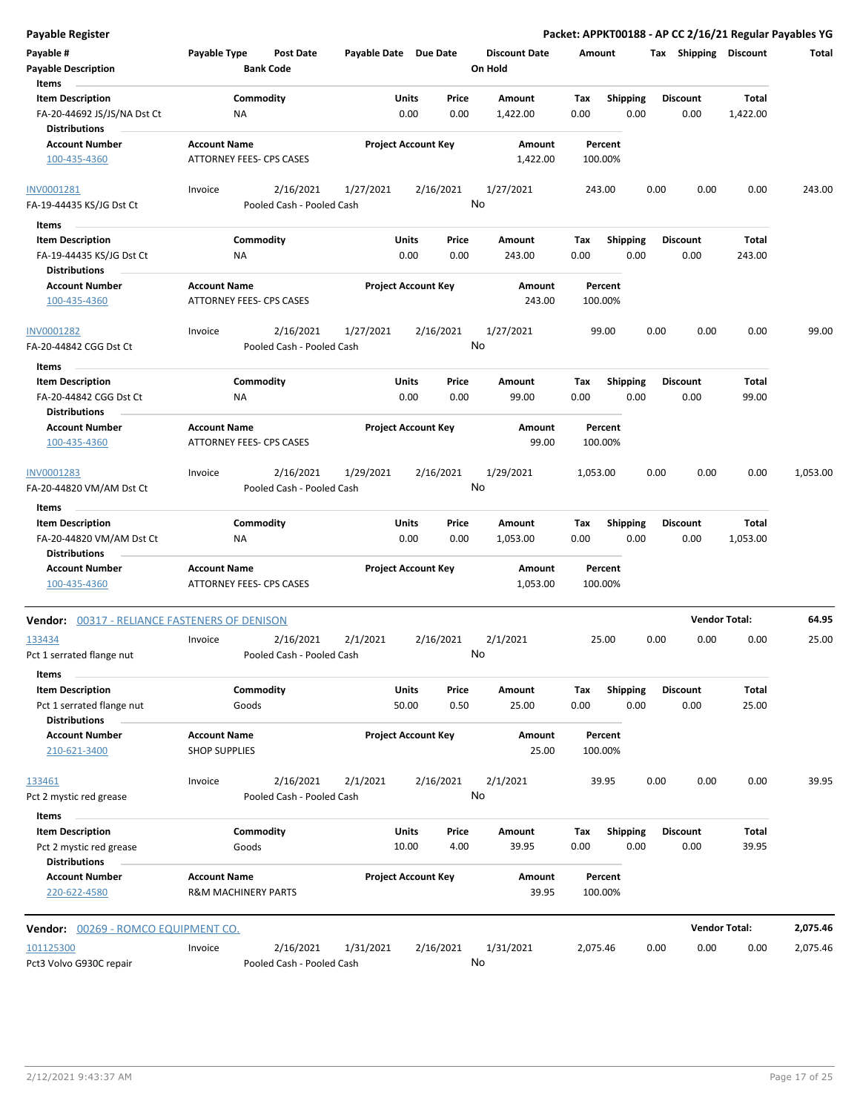| Payable #<br><b>Payable Description</b><br>Items                               | Payable Type                                          | Post Date<br><b>Bank Code</b>          | Payable Date Due Date |                            |               | <b>Discount Date</b><br>On Hold | Amount      |                         |      | Tax Shipping Discount   |                       | Total    |
|--------------------------------------------------------------------------------|-------------------------------------------------------|----------------------------------------|-----------------------|----------------------------|---------------|---------------------------------|-------------|-------------------------|------|-------------------------|-----------------------|----------|
| <b>Item Description</b><br>FA-20-44692 JS/JS/NA Dst Ct<br><b>Distributions</b> | Commodity<br>NA                                       |                                        |                       | <b>Units</b><br>0.00       | Price<br>0.00 | Amount<br>1,422.00              | Tax<br>0.00 | <b>Shipping</b><br>0.00 |      | <b>Discount</b><br>0.00 | Total<br>1,422.00     |          |
| <b>Account Number</b><br>100-435-4360                                          | <b>Account Name</b><br>ATTORNEY FEES- CPS CASES       |                                        |                       | <b>Project Account Key</b> |               | Amount<br>1,422.00              |             | Percent<br>100.00%      |      |                         |                       |          |
| INV0001281<br>FA-19-44435 KS/JG Dst Ct                                         | Invoice                                               | 2/16/2021<br>Pooled Cash - Pooled Cash | 1/27/2021             |                            | 2/16/2021     | 1/27/2021<br>No                 |             | 243.00                  | 0.00 | 0.00                    | 0.00                  | 243.00   |
| $\sim 10^{-10}$<br>Items                                                       |                                                       |                                        |                       |                            |               |                                 |             |                         |      |                         |                       |          |
| <b>Item Description</b><br>FA-19-44435 KS/JG Dst Ct                            | Commodity<br>NA                                       |                                        |                       | Units<br>0.00              | Price<br>0.00 | Amount<br>243.00                | Tax<br>0.00 | <b>Shipping</b><br>0.00 |      | Discount<br>0.00        | Total<br>243.00       |          |
| <b>Distributions</b><br><b>Account Number</b><br>100-435-4360                  | <b>Account Name</b><br>ATTORNEY FEES- CPS CASES       |                                        |                       | <b>Project Account Key</b> |               | Amount<br>243.00                |             | Percent<br>100.00%      |      |                         |                       |          |
| INV0001282<br>FA-20-44842 CGG Dst Ct                                           | Invoice                                               | 2/16/2021<br>Pooled Cash - Pooled Cash | 1/27/2021             |                            | 2/16/2021     | 1/27/2021<br>No                 |             | 99.00                   | 0.00 | 0.00                    | 0.00                  | 99.00    |
| Items                                                                          |                                                       |                                        |                       |                            |               |                                 |             |                         |      |                         |                       |          |
| <b>Item Description</b><br>FA-20-44842 CGG Dst Ct<br><b>Distributions</b>      | Commodity<br>NA                                       |                                        |                       | <b>Units</b><br>0.00       | Price<br>0.00 | Amount<br>99.00                 | Tax<br>0.00 | <b>Shipping</b><br>0.00 |      | <b>Discount</b><br>0.00 | Total<br>99.00        |          |
| <b>Account Number</b><br>100-435-4360                                          | <b>Account Name</b><br>ATTORNEY FEES- CPS CASES       |                                        |                       | <b>Project Account Key</b> |               | Amount<br>99.00                 |             | Percent<br>100.00%      |      |                         |                       |          |
| INV0001283<br>FA-20-44820 VM/AM Dst Ct                                         | Invoice                                               | 2/16/2021<br>Pooled Cash - Pooled Cash | 1/29/2021             |                            | 2/16/2021     | 1/29/2021<br>No                 | 1,053.00    |                         | 0.00 | 0.00                    | 0.00                  | 1,053.00 |
| Items                                                                          |                                                       |                                        |                       |                            |               |                                 |             |                         |      |                         |                       |          |
| <b>Item Description</b><br>FA-20-44820 VM/AM Dst Ct<br><b>Distributions</b>    | Commodity<br>ΝA                                       |                                        |                       | <b>Units</b><br>0.00       | Price<br>0.00 | Amount<br>1,053.00              | Tax<br>0.00 | <b>Shipping</b><br>0.00 |      | <b>Discount</b><br>0.00 | Total<br>1,053.00     |          |
| <b>Account Number</b><br>100-435-4360                                          | <b>Account Name</b><br>ATTORNEY FEES- CPS CASES       |                                        |                       | <b>Project Account Key</b> |               | Amount<br>1,053.00              |             | Percent<br>100.00%      |      |                         |                       |          |
| <b>Vendor: 00317 - RELIANCE FASTENERS OF DENISON</b>                           |                                                       |                                        |                       |                            |               |                                 |             |                         |      | <b>Vendor Total:</b>    |                       | 64.95    |
| 133434<br>Pct 1 serrated flange nut                                            | Invoice                                               | 2/16/2021<br>Pooled Cash - Pooled Cash | 2/1/2021              |                            | 2/16/2021     | 2/1/2021<br>No                  |             | 25.00                   | 0.00 | 0.00                    | 0.00                  | 25.00    |
| Items                                                                          |                                                       |                                        |                       |                            |               |                                 |             |                         |      |                         |                       |          |
| <b>Item Description</b><br>Pct 1 serrated flange nut<br><b>Distributions</b>   | Commodity<br>Goods                                    |                                        |                       | Units<br>50.00             | Price<br>0.50 | Amount<br>25.00                 | Tax<br>0.00 | Shipping<br>0.00        |      | <b>Discount</b><br>0.00 | <b>Total</b><br>25.00 |          |
| <b>Account Number</b>                                                          | <b>Account Name</b>                                   |                                        |                       | <b>Project Account Key</b> |               | Amount                          |             | Percent                 |      |                         |                       |          |
| 210-621-3400                                                                   | <b>SHOP SUPPLIES</b>                                  |                                        |                       |                            |               | 25.00                           |             | 100.00%                 |      |                         |                       |          |
| 133461<br>Pct 2 mystic red grease                                              | Invoice                                               | 2/16/2021<br>Pooled Cash - Pooled Cash | 2/1/2021              |                            | 2/16/2021     | 2/1/2021<br>No                  |             | 39.95                   | 0.00 | 0.00                    | 0.00                  | 39.95    |
| Items                                                                          |                                                       |                                        |                       |                            |               |                                 |             |                         |      |                         |                       |          |
| <b>Item Description</b><br>Pct 2 mystic red grease                             | Commodity<br>Goods                                    |                                        |                       | <b>Units</b><br>10.00      | Price<br>4.00 | Amount<br>39.95                 | Тах<br>0.00 | <b>Shipping</b><br>0.00 |      | <b>Discount</b><br>0.00 | Total<br>39.95        |          |
| <b>Distributions</b><br><b>Account Number</b><br>220-622-4580                  | <b>Account Name</b><br><b>R&amp;M MACHINERY PARTS</b> |                                        |                       | <b>Project Account Key</b> |               | Amount<br>39.95                 |             | Percent<br>100.00%      |      |                         |                       |          |
| Vendor: 00269 - ROMCO EQUIPMENT CO.                                            |                                                       |                                        |                       |                            |               |                                 |             |                         |      | <b>Vendor Total:</b>    |                       | 2,075.46 |
| 101125300<br>Pct3 Volvo G930C repair                                           | Invoice                                               | 2/16/2021<br>Pooled Cash - Pooled Cash | 1/31/2021             |                            | 2/16/2021     | 1/31/2021<br>No                 | 2,075.46    |                         | 0.00 | 0.00                    | 0.00                  | 2,075.46 |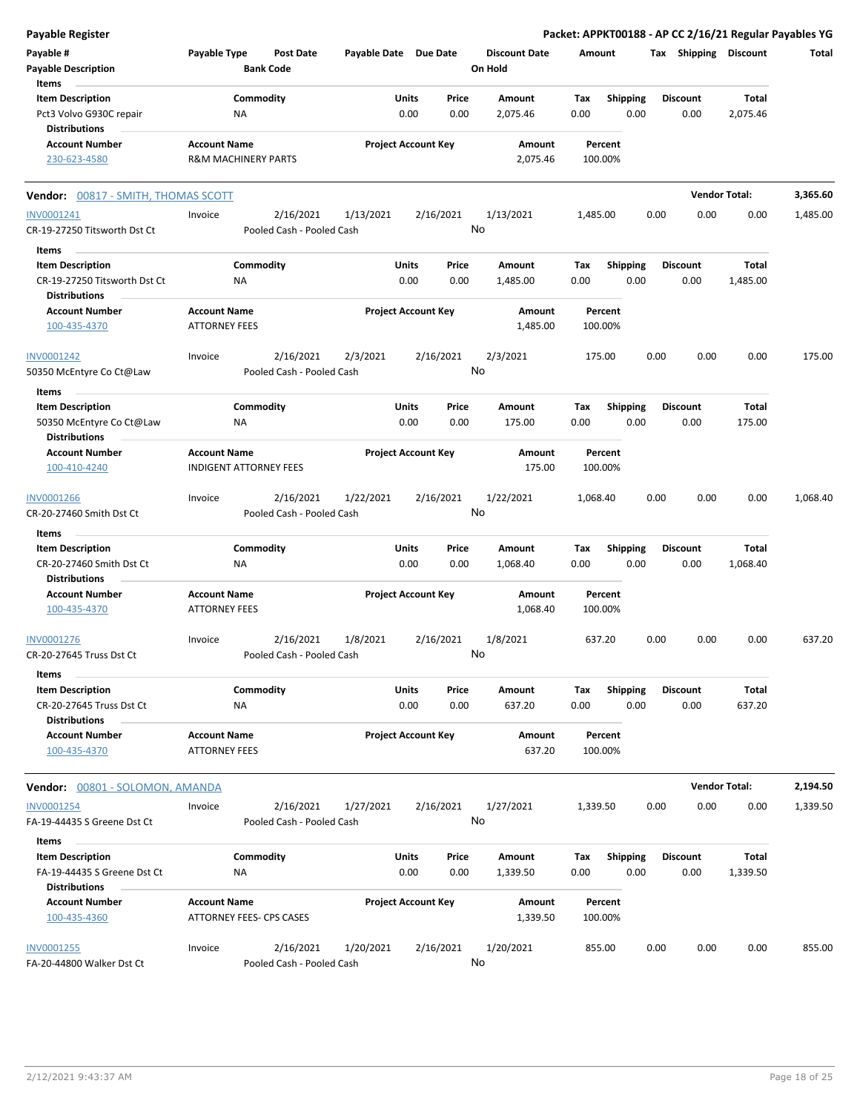| <b>Payable Register</b>                                                         |                                                       |                                        |                       |                            |               |                                 |             |                         |      |                         |                      | Packet: APPKT00188 - AP CC 2/16/21 Regular Payables YG |
|---------------------------------------------------------------------------------|-------------------------------------------------------|----------------------------------------|-----------------------|----------------------------|---------------|---------------------------------|-------------|-------------------------|------|-------------------------|----------------------|--------------------------------------------------------|
| Payable #<br><b>Payable Description</b>                                         | Payable Type                                          | Post Date<br><b>Bank Code</b>          | Payable Date Due Date |                            |               | <b>Discount Date</b><br>On Hold | Amount      |                         |      | Tax Shipping Discount   |                      | Total                                                  |
| Items                                                                           |                                                       |                                        |                       |                            |               |                                 |             |                         |      |                         |                      |                                                        |
| <b>Item Description</b><br>Pct3 Volvo G930C repair                              | ΝA                                                    | Commodity                              |                       | Units<br>0.00              | Price<br>0.00 | Amount<br>2,075.46              | Тах<br>0.00 | <b>Shipping</b><br>0.00 |      | <b>Discount</b><br>0.00 | Total<br>2,075.46    |                                                        |
| <b>Distributions</b>                                                            |                                                       |                                        |                       |                            |               |                                 |             |                         |      |                         |                      |                                                        |
| <b>Account Number</b><br>230-623-4580                                           | <b>Account Name</b><br><b>R&amp;M MACHINERY PARTS</b> |                                        |                       | <b>Project Account Key</b> |               | Amount<br>2,075.46              | 100.00%     | Percent                 |      |                         |                      |                                                        |
| <b>Vendor: 00817 - SMITH, THOMAS SCOTT</b>                                      |                                                       |                                        |                       |                            |               |                                 |             |                         |      | <b>Vendor Total:</b>    |                      | 3,365.60                                               |
| INV0001241<br>CR-19-27250 Titsworth Dst Ct                                      | Invoice                                               | 2/16/2021<br>Pooled Cash - Pooled Cash | 1/13/2021             | 2/16/2021                  |               | 1/13/2021<br>No                 | 1,485.00    |                         | 0.00 | 0.00                    | 0.00                 | 1,485.00                                               |
| Items                                                                           |                                                       |                                        |                       |                            |               |                                 |             |                         |      |                         |                      |                                                        |
| <b>Item Description</b><br>CR-19-27250 Titsworth Dst Ct<br><b>Distributions</b> | <b>NA</b>                                             | Commodity                              |                       | Units<br>0.00              | Price<br>0.00 | Amount<br>1,485.00              | Tax<br>0.00 | <b>Shipping</b><br>0.00 |      | <b>Discount</b><br>0.00 | Total<br>1,485.00    |                                                        |
| <b>Account Number</b><br>100-435-4370                                           | <b>Account Name</b><br><b>ATTORNEY FEES</b>           |                                        |                       | <b>Project Account Key</b> |               | Amount<br>1,485.00              | 100.00%     | Percent                 |      |                         |                      |                                                        |
| INV0001242<br>50350 McEntyre Co Ct@Law                                          | Invoice                                               | 2/16/2021<br>Pooled Cash - Pooled Cash | 2/3/2021              | 2/16/2021                  |               | 2/3/2021<br>No                  | 175.00      |                         | 0.00 | 0.00                    | 0.00                 | 175.00                                                 |
| Items                                                                           |                                                       |                                        |                       |                            |               |                                 |             |                         |      |                         |                      |                                                        |
| <b>Item Description</b><br>50350 McEntyre Co Ct@Law                             | ΝA                                                    | Commodity                              |                       | Units<br>0.00              | Price<br>0.00 | Amount<br>175.00                | Tax<br>0.00 | <b>Shipping</b><br>0.00 |      | <b>Discount</b><br>0.00 | Total<br>175.00      |                                                        |
| <b>Distributions</b>                                                            |                                                       |                                        |                       |                            |               |                                 |             |                         |      |                         |                      |                                                        |
| <b>Account Number</b><br>100-410-4240                                           | <b>Account Name</b><br><b>INDIGENT ATTORNEY FEES</b>  |                                        |                       | <b>Project Account Key</b> |               | Amount<br>175.00                | 100.00%     | Percent                 |      |                         |                      |                                                        |
| INV0001266<br>CR-20-27460 Smith Dst Ct                                          | Invoice                                               | 2/16/2021<br>Pooled Cash - Pooled Cash | 1/22/2021             | 2/16/2021                  |               | 1/22/2021<br>No                 | 1,068.40    |                         | 0.00 | 0.00                    | 0.00                 | 1,068.40                                               |
| Items                                                                           |                                                       |                                        |                       |                            |               |                                 |             |                         |      |                         |                      |                                                        |
| <b>Item Description</b>                                                         |                                                       | Commodity                              |                       | Units                      | Price         | Amount                          | Tax         | <b>Shipping</b>         |      | <b>Discount</b>         | Total                |                                                        |
| CR-20-27460 Smith Dst Ct<br><b>Distributions</b>                                | <b>NA</b>                                             |                                        |                       | 0.00                       | 0.00          | 1,068.40                        | 0.00        | 0.00                    |      | 0.00                    | 1,068.40             |                                                        |
| <b>Account Number</b><br>100-435-4370                                           | <b>Account Name</b><br><b>ATTORNEY FEES</b>           |                                        |                       | <b>Project Account Key</b> |               | Amount<br>1,068.40              | 100.00%     | Percent                 |      |                         |                      |                                                        |
| <u>INV0001276</u><br>CR-20-27645 Truss Dst Ct                                   | Invoice                                               | 2/16/2021<br>Pooled Cash - Pooled Cash | 1/8/2021              | 2/16/2021                  | No            | 1/8/2021                        | 637.20      |                         | 0.00 | 0.00                    | 0.00                 | 637.20                                                 |
| Items                                                                           |                                                       |                                        |                       |                            |               |                                 |             |                         |      |                         |                      |                                                        |
| <b>Item Description</b><br>CR-20-27645 Truss Dst Ct                             | <b>NA</b>                                             | Commodity                              |                       | Units<br>0.00              | Price<br>0.00 | Amount<br>637.20                | Tax<br>0.00 | <b>Shipping</b><br>0.00 |      | <b>Discount</b><br>0.00 | Total<br>637.20      |                                                        |
| <b>Distributions</b><br><b>Account Number</b>                                   | <b>Account Name</b>                                   |                                        |                       | <b>Project Account Key</b> |               | Amount                          |             | Percent                 |      |                         |                      |                                                        |
| 100-435-4370                                                                    | <b>ATTORNEY FEES</b>                                  |                                        |                       |                            |               | 637.20                          | 100.00%     |                         |      |                         |                      |                                                        |
| Vendor: 00801 - SOLOMON, AMANDA                                                 |                                                       |                                        |                       |                            |               |                                 |             |                         |      |                         | <b>Vendor Total:</b> | 2,194.50                                               |
| INV0001254<br>FA-19-44435 S Greene Dst Ct                                       | Invoice                                               | 2/16/2021<br>Pooled Cash - Pooled Cash | 1/27/2021             | 2/16/2021                  |               | 1/27/2021<br>No                 | 1,339.50    |                         | 0.00 | 0.00                    | 0.00                 | 1,339.50                                               |
| Items                                                                           |                                                       |                                        |                       |                            |               |                                 |             |                         |      |                         |                      |                                                        |
| <b>Item Description</b><br>FA-19-44435 S Greene Dst Ct                          | ΝA                                                    | Commodity                              |                       | Units<br>0.00              | Price<br>0.00 | Amount<br>1,339.50              | Tax<br>0.00 | <b>Shipping</b><br>0.00 |      | <b>Discount</b><br>0.00 | Total<br>1,339.50    |                                                        |
| <b>Distributions</b><br><b>Account Number</b><br>100-435-4360                   | <b>Account Name</b><br>ATTORNEY FEES- CPS CASES       |                                        |                       | <b>Project Account Key</b> |               | Amount<br>1,339.50              | 100.00%     | Percent                 |      |                         |                      |                                                        |
| INV0001255                                                                      | Invoice                                               | 2/16/2021                              | 1/20/2021             | 2/16/2021                  |               | 1/20/2021                       | 855.00      |                         | 0.00 | 0.00                    | 0.00                 | 855.00                                                 |
| FA-20-44800 Walker Dst Ct                                                       |                                                       | Pooled Cash - Pooled Cash              |                       |                            |               | No                              |             |                         |      |                         |                      |                                                        |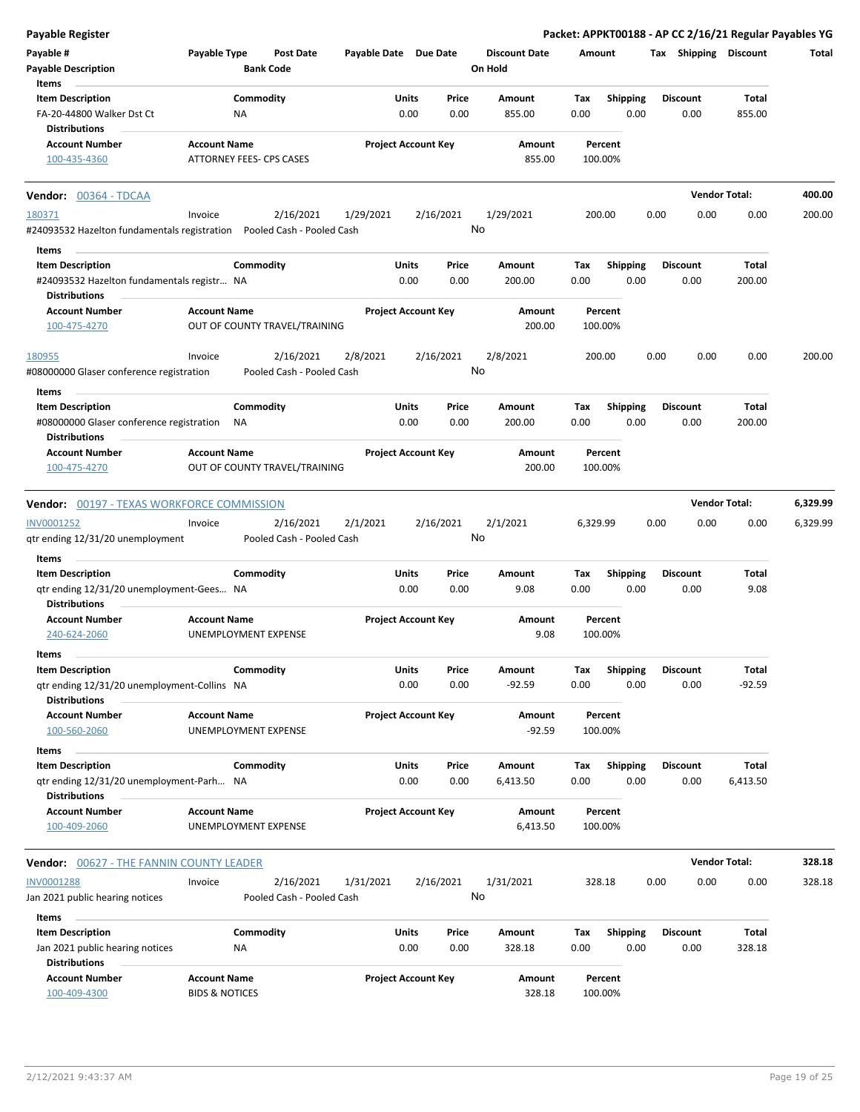| <b>Payable Register</b>                                             |                           |                                      |                       |                                |                                 |             |                         | Packet: APPKT00188 - AP CC 2/16/21 Regular Payables YG |                      |          |
|---------------------------------------------------------------------|---------------------------|--------------------------------------|-----------------------|--------------------------------|---------------------------------|-------------|-------------------------|--------------------------------------------------------|----------------------|----------|
| Payable #<br><b>Payable Description</b>                             | Payable Type              | <b>Post Date</b><br><b>Bank Code</b> | Payable Date Due Date |                                | <b>Discount Date</b><br>On Hold | Amount      |                         | Tax Shipping Discount                                  |                      | Total    |
| Items                                                               |                           |                                      |                       |                                |                                 |             |                         | <b>Discount</b>                                        |                      |          |
| <b>Item Description</b><br>FA-20-44800 Walker Dst Ct                |                           | Commodity<br>NA                      |                       | Units<br>Price<br>0.00<br>0.00 | Amount<br>855.00                | Tax<br>0.00 | <b>Shipping</b><br>0.00 | 0.00                                                   | Total<br>855.00      |          |
| <b>Distributions</b>                                                |                           |                                      |                       |                                |                                 |             |                         |                                                        |                      |          |
| <b>Account Number</b>                                               | <b>Account Name</b>       |                                      |                       | <b>Project Account Key</b>     | Amount                          |             | Percent                 |                                                        |                      |          |
| 100-435-4360                                                        |                           | ATTORNEY FEES- CPS CASES             |                       |                                | 855.00                          |             | 100.00%                 |                                                        |                      |          |
| Vendor: 00364 - TDCAA                                               |                           |                                      |                       |                                |                                 |             |                         |                                                        | <b>Vendor Total:</b> | 400.00   |
| 180371                                                              | Invoice                   | 2/16/2021                            | 1/29/2021             | 2/16/2021                      | 1/29/2021                       |             | 200.00                  | 0.00<br>0.00                                           | 0.00                 | 200.00   |
| #24093532 Hazelton fundamentals registration                        |                           | Pooled Cash - Pooled Cash            |                       |                                | No                              |             |                         |                                                        |                      |          |
| Items                                                               |                           |                                      |                       |                                |                                 |             |                         |                                                        |                      |          |
| <b>Item Description</b>                                             |                           | Commodity                            |                       | Units<br>Price                 | Amount                          | Tax         | <b>Shipping</b>         | <b>Discount</b>                                        | Total                |          |
| #24093532 Hazelton fundamentals registr NA                          |                           |                                      |                       | 0.00<br>0.00                   | 200.00                          | 0.00        | 0.00                    | 0.00                                                   | 200.00               |          |
| <b>Distributions</b><br><b>Account Number</b>                       | <b>Account Name</b>       |                                      |                       | <b>Project Account Key</b>     | Amount                          |             | Percent                 |                                                        |                      |          |
| 100-475-4270                                                        |                           | OUT OF COUNTY TRAVEL/TRAINING        |                       |                                | 200.00                          |             | 100.00%                 |                                                        |                      |          |
| 180955                                                              | Invoice                   | 2/16/2021                            | 2/8/2021              | 2/16/2021                      | 2/8/2021                        |             | 200.00                  | 0.00<br>0.00                                           | 0.00                 | 200.00   |
| #08000000 Glaser conference registration                            |                           | Pooled Cash - Pooled Cash            |                       |                                | No                              |             |                         |                                                        |                      |          |
| Items                                                               |                           |                                      |                       |                                |                                 |             |                         |                                                        |                      |          |
| <b>Item Description</b><br>#08000000 Glaser conference registration |                           | Commodity<br><b>NA</b>               |                       | Units<br>Price<br>0.00<br>0.00 | Amount<br>200.00                | Tax<br>0.00 | Shipping<br>0.00        | <b>Discount</b><br>0.00                                | Total<br>200.00      |          |
| <b>Distributions</b>                                                |                           |                                      |                       |                                |                                 |             |                         |                                                        |                      |          |
| <b>Account Number</b>                                               | <b>Account Name</b>       |                                      |                       | <b>Project Account Key</b>     | Amount                          |             | Percent                 |                                                        |                      |          |
| 100-475-4270                                                        |                           | OUT OF COUNTY TRAVEL/TRAINING        |                       |                                | 200.00                          |             | 100.00%                 |                                                        |                      |          |
| <b>Vendor: 00197 - TEXAS WORKFORCE COMMISSION</b>                   |                           |                                      |                       |                                |                                 |             |                         |                                                        | <b>Vendor Total:</b> | 6,329.99 |
| INV0001252                                                          | Invoice                   | 2/16/2021                            | 2/1/2021              | 2/16/2021                      | 2/1/2021                        | 6,329.99    |                         | 0.00<br>0.00                                           | 0.00                 | 6,329.99 |
| qtr ending 12/31/20 unemployment                                    |                           | Pooled Cash - Pooled Cash            |                       |                                | No                              |             |                         |                                                        |                      |          |
| Items                                                               |                           |                                      |                       |                                |                                 |             |                         |                                                        |                      |          |
| <b>Item Description</b>                                             |                           | Commodity                            |                       | Units<br>Price                 | Amount                          | Tax         | <b>Shipping</b>         | <b>Discount</b>                                        | Total                |          |
| qtr ending 12/31/20 unemployment-Gees NA<br><b>Distributions</b>    |                           |                                      |                       | 0.00<br>0.00                   | 9.08                            | 0.00        | 0.00                    | 0.00                                                   | 9.08                 |          |
| <b>Account Number</b><br>240-624-2060                               | <b>Account Name</b>       | UNEMPLOYMENT EXPENSE                 |                       | <b>Project Account Key</b>     | Amount<br>9.08                  |             | Percent<br>100.00%      |                                                        |                      |          |
| Items                                                               |                           |                                      |                       |                                |                                 |             |                         |                                                        |                      |          |
| <b>Item Description</b>                                             |                           | Commodity                            |                       | Units<br>Price                 | Amount                          | Тах         | <b>Shipping</b>         | <b>Discount</b>                                        | Total                |          |
| gtr ending 12/31/20 unemployment-Collins NA<br><b>Distributions</b> |                           |                                      |                       | 0.00<br>0.00                   | $-92.59$                        | 0.00        | 0.00                    | 0.00                                                   | $-92.59$             |          |
| <b>Account Number</b>                                               | <b>Account Name</b>       |                                      |                       | <b>Project Account Key</b>     | Amount                          |             | Percent                 |                                                        |                      |          |
| 100-560-2060                                                        |                           | UNEMPLOYMENT EXPENSE                 |                       |                                | $-92.59$                        |             | 100.00%                 |                                                        |                      |          |
| Items                                                               |                           |                                      |                       |                                |                                 |             |                         |                                                        |                      |          |
| <b>Item Description</b>                                             |                           | Commodity                            |                       | Units<br>Price                 | Amount                          | Tax         | <b>Shipping</b>         | <b>Discount</b>                                        | <b>Total</b>         |          |
| qtr ending 12/31/20 unemployment-Parh NA<br><b>Distributions</b>    |                           |                                      |                       | 0.00<br>0.00                   | 6,413.50                        | 0.00        | 0.00                    | 0.00                                                   | 6,413.50             |          |
| <b>Account Number</b>                                               | <b>Account Name</b>       |                                      |                       | <b>Project Account Key</b>     | Amount                          |             | Percent                 |                                                        |                      |          |
| 100-409-2060                                                        |                           | UNEMPLOYMENT EXPENSE                 |                       |                                | 6,413.50                        |             | 100.00%                 |                                                        |                      |          |
| <b>Vendor: 00627 - THE FANNIN COUNTY LEADER</b>                     |                           |                                      |                       |                                |                                 |             |                         |                                                        | <b>Vendor Total:</b> | 328.18   |
| <b>INV0001288</b>                                                   | Invoice                   | 2/16/2021                            | 1/31/2021             | 2/16/2021                      | 1/31/2021                       |             | 328.18                  | 0.00<br>0.00                                           | 0.00                 | 328.18   |
| Jan 2021 public hearing notices                                     |                           | Pooled Cash - Pooled Cash            |                       |                                | No                              |             |                         |                                                        |                      |          |
| Items                                                               |                           |                                      |                       |                                |                                 |             |                         |                                                        |                      |          |
| <b>Item Description</b>                                             |                           | Commodity                            |                       | Units<br>Price                 | Amount                          | Tax         | <b>Shipping</b>         | <b>Discount</b>                                        | Total                |          |
| Jan 2021 public hearing notices<br><b>Distributions</b>             |                           | NA                                   |                       | 0.00<br>0.00                   | 328.18                          | 0.00        | 0.00                    | 0.00                                                   | 328.18               |          |
| <b>Account Number</b>                                               | <b>Account Name</b>       |                                      |                       | <b>Project Account Key</b>     | Amount                          |             | Percent                 |                                                        |                      |          |
| 100-409-4300                                                        | <b>BIDS &amp; NOTICES</b> |                                      |                       |                                | 328.18                          |             | 100.00%                 |                                                        |                      |          |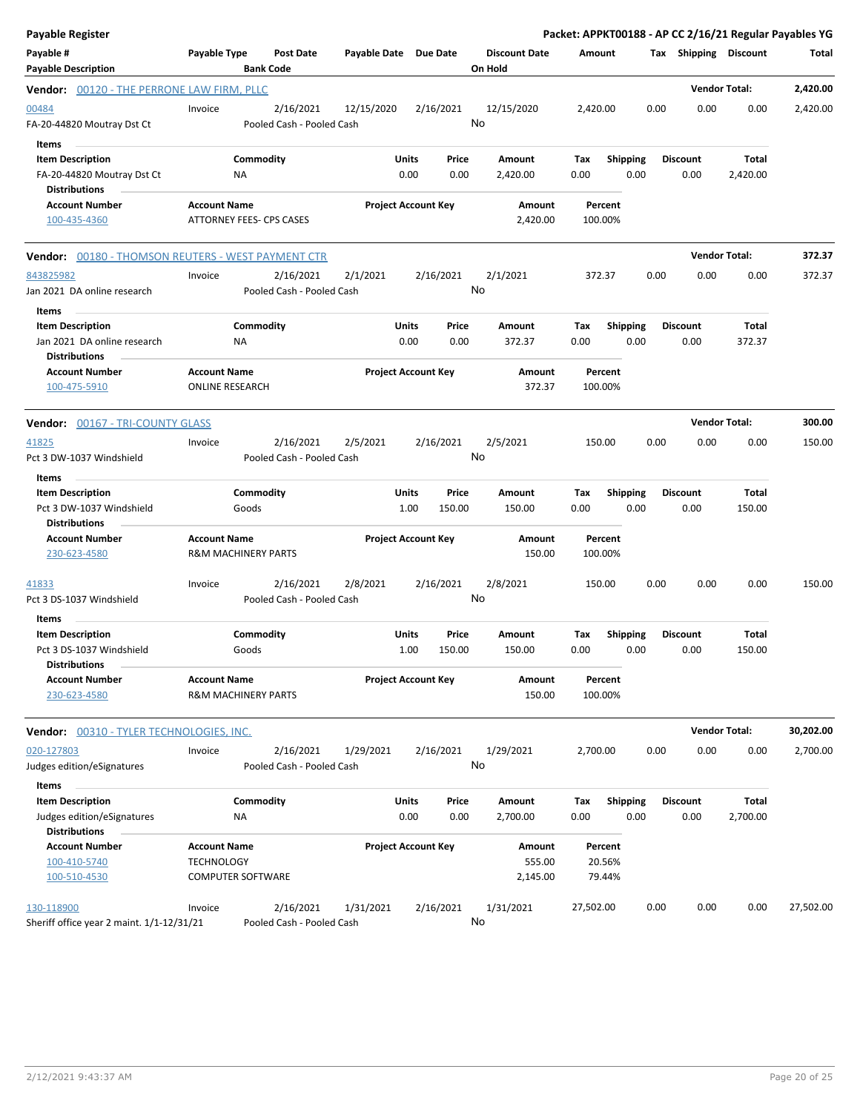| <b>Payable Register</b>                                                                |                                                                      |                                        |                       |                            |                 |                                 |                             |                         |      |                         |                   | Packet: APPKT00188 - AP CC 2/16/21 Regular Payables YG |
|----------------------------------------------------------------------------------------|----------------------------------------------------------------------|----------------------------------------|-----------------------|----------------------------|-----------------|---------------------------------|-----------------------------|-------------------------|------|-------------------------|-------------------|--------------------------------------------------------|
| Payable #<br><b>Payable Description</b>                                                | Payable Type                                                         | Post Date<br><b>Bank Code</b>          | Payable Date Due Date |                            |                 | <b>Discount Date</b><br>On Hold | Amount                      |                         |      | Tax Shipping Discount   |                   | Total                                                  |
| <b>Vendor:</b> 00120 - THE PERRONE LAW FIRM, PLLC                                      |                                                                      |                                        |                       |                            |                 |                                 |                             |                         |      | <b>Vendor Total:</b>    |                   | 2,420.00                                               |
| 00484<br>FA-20-44820 Moutray Dst Ct                                                    | Invoice                                                              | 2/16/2021<br>Pooled Cash - Pooled Cash | 12/15/2020            |                            | 2/16/2021       | 12/15/2020<br>No                | 2,420.00                    |                         | 0.00 | 0.00                    | 0.00              | 2,420.00                                               |
| Items<br><b>Item Description</b><br>FA-20-44820 Moutray Dst Ct<br><b>Distributions</b> | ΝA                                                                   | Commodity                              |                       | Units<br>0.00              | Price<br>0.00   | Amount<br>2,420.00              | Tax<br>0.00                 | Shipping<br>0.00        |      | <b>Discount</b><br>0.00 | Total<br>2,420.00 |                                                        |
| <b>Account Number</b><br>100-435-4360                                                  | <b>Account Name</b><br>ATTORNEY FEES- CPS CASES                      |                                        |                       | <b>Project Account Key</b> |                 | Amount<br>2,420.00              | Percent<br>100.00%          |                         |      |                         |                   |                                                        |
| <b>Vendor:</b> 00180 - THOMSON REUTERS - WEST PAYMENT CTR                              |                                                                      |                                        |                       |                            |                 |                                 |                             |                         |      | <b>Vendor Total:</b>    |                   | 372.37                                                 |
| 843825982<br>Jan 2021 DA online research                                               | Invoice                                                              | 2/16/2021<br>Pooled Cash - Pooled Cash | 2/1/2021              |                            | 2/16/2021<br>No | 2/1/2021                        | 372.37                      |                         | 0.00 | 0.00                    | 0.00              | 372.37                                                 |
| Items<br><b>Item Description</b><br>Jan 2021 DA online research                        | ΝA                                                                   | Commodity                              |                       | Units<br>0.00              | Price<br>0.00   | Amount<br>372.37                | Tax<br>0.00                 | <b>Shipping</b><br>0.00 |      | <b>Discount</b><br>0.00 | Total<br>372.37   |                                                        |
| <b>Distributions</b><br><b>Account Number</b><br>100-475-5910                          | <b>Account Name</b><br><b>ONLINE RESEARCH</b>                        |                                        |                       | <b>Project Account Key</b> |                 | Amount<br>372.37                | Percent<br>100.00%          |                         |      |                         |                   |                                                        |
| <b>Vendor:</b> 00167 - TRI-COUNTY GLASS                                                |                                                                      |                                        |                       |                            |                 |                                 |                             |                         |      | <b>Vendor Total:</b>    |                   | 300.00                                                 |
| 41825<br>Pct 3 DW-1037 Windshield                                                      | Invoice                                                              | 2/16/2021<br>Pooled Cash - Pooled Cash | 2/5/2021              |                            | 2/16/2021<br>No | 2/5/2021                        | 150.00                      |                         | 0.00 | 0.00                    | 0.00              | 150.00                                                 |
| Items<br><b>Item Description</b><br>Pct 3 DW-1037 Windshield<br><b>Distributions</b>   | Goods                                                                | Commodity                              |                       | Units<br>1.00              | Price<br>150.00 | Amount<br>150.00                | Tax<br>0.00                 | <b>Shipping</b><br>0.00 |      | <b>Discount</b><br>0.00 | Total<br>150.00   |                                                        |
| <b>Account Number</b><br>230-623-4580                                                  | <b>Account Name</b><br><b>R&amp;M MACHINERY PARTS</b>                |                                        |                       | <b>Project Account Key</b> |                 | Amount<br>150.00                | Percent<br>100.00%          |                         |      |                         |                   |                                                        |
| <u>41833</u><br>Pct 3 DS-1037 Windshield                                               | Invoice                                                              | 2/16/2021<br>Pooled Cash - Pooled Cash | 2/8/2021              |                            | 2/16/2021<br>No | 2/8/2021                        | 150.00                      |                         | 0.00 | 0.00                    | 0.00              | 150.00                                                 |
| Items<br><b>Item Description</b><br>Pct 3 DS-1037 Windshield<br><b>Distributions</b>   | Goods                                                                | Commodity                              |                       | Units<br>1.00              | Price<br>150.00 | Amount<br>150.00                | Tax<br>0.00                 | <b>Shipping</b><br>0.00 |      | <b>Discount</b><br>0.00 | Total<br>150.00   |                                                        |
| <b>Account Number</b><br>230-623-4580                                                  | <b>Account Name</b><br><b>R&amp;M MACHINERY PARTS</b>                |                                        |                       | <b>Project Account Key</b> |                 | Amount<br>150.00                | Percent<br>100.00%          |                         |      |                         |                   |                                                        |
| Vendor: 00310 - TYLER TECHNOLOGIES, INC.                                               |                                                                      |                                        |                       |                            |                 |                                 |                             |                         |      | <b>Vendor Total:</b>    |                   | 30,202.00                                              |
| 020-127803<br>Judges edition/eSignatures                                               | Invoice                                                              | 2/16/2021<br>Pooled Cash - Pooled Cash | 1/29/2021             |                            | 2/16/2021<br>No | 1/29/2021                       | 2,700.00                    |                         | 0.00 | 0.00                    | 0.00              | 2,700.00                                               |
| Items<br><b>Item Description</b><br>Judges edition/eSignatures<br><b>Distributions</b> | ΝA                                                                   | Commodity                              |                       | Units<br>0.00              | Price<br>0.00   | Amount<br>2,700.00              | Tax<br>0.00                 | <b>Shipping</b><br>0.00 |      | <b>Discount</b><br>0.00 | Total<br>2,700.00 |                                                        |
| <b>Account Number</b><br>100-410-5740<br>100-510-4530                                  | <b>Account Name</b><br><b>TECHNOLOGY</b><br><b>COMPUTER SOFTWARE</b> |                                        |                       | <b>Project Account Key</b> |                 | Amount<br>555.00<br>2,145.00    | Percent<br>20.56%<br>79.44% |                         |      |                         |                   |                                                        |
| 130-118900<br>Sheriff office year 2 maint. 1/1-12/31/21                                | Invoice                                                              | 2/16/2021<br>Pooled Cash - Pooled Cash | 1/31/2021             |                            | 2/16/2021       | 1/31/2021<br>No                 | 27,502.00                   |                         | 0.00 | 0.00                    | 0.00              | 27,502.00                                              |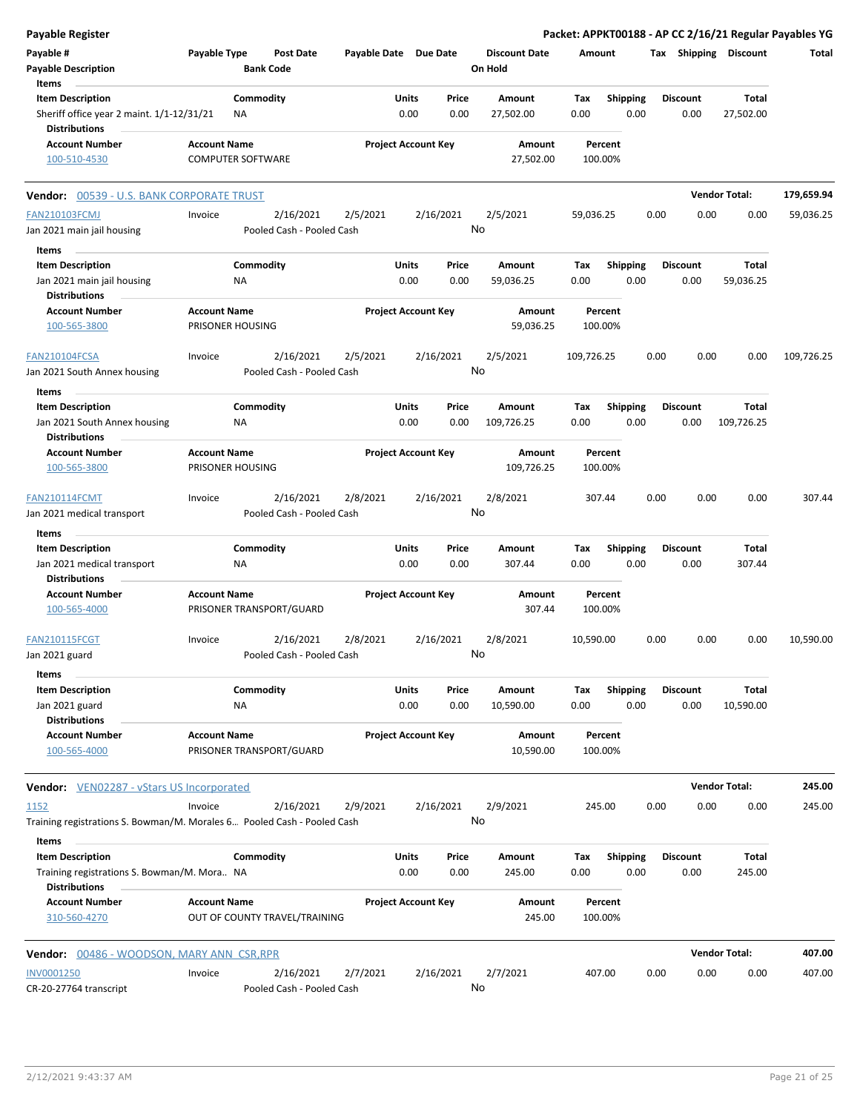| <b>Payable Register</b>                                                                        |                          |           |                                        |                       |                            |                 |                                 |                    |                         |      |                         |                       | Packet: APPKT00188 - AP CC 2/16/21 Regular Payables YG |
|------------------------------------------------------------------------------------------------|--------------------------|-----------|----------------------------------------|-----------------------|----------------------------|-----------------|---------------------------------|--------------------|-------------------------|------|-------------------------|-----------------------|--------------------------------------------------------|
| Payable #<br><b>Payable Description</b>                                                        | Payable Type             |           | <b>Post Date</b><br><b>Bank Code</b>   | Payable Date Due Date |                            |                 | <b>Discount Date</b><br>On Hold | Amount             |                         |      |                         | Tax Shipping Discount | Total                                                  |
| Items                                                                                          |                          |           |                                        |                       |                            |                 |                                 |                    |                         |      |                         |                       |                                                        |
| <b>Item Description</b>                                                                        |                          | Commodity |                                        |                       | Units                      | Price           | Amount                          | Tax                | <b>Shipping</b>         |      | <b>Discount</b>         | Total                 |                                                        |
| Sheriff office year 2 maint. 1/1-12/31/21<br><b>Distributions</b>                              |                          | ΝA        |                                        |                       | 0.00                       | 0.00            | 27,502.00                       | 0.00               | 0.00                    |      | 0.00                    | 27,502.00             |                                                        |
| <b>Account Number</b>                                                                          | <b>Account Name</b>      |           |                                        |                       | <b>Project Account Key</b> |                 | Amount                          | Percent            |                         |      |                         |                       |                                                        |
| 100-510-4530                                                                                   | <b>COMPUTER SOFTWARE</b> |           |                                        |                       |                            |                 | 27,502.00                       | 100.00%            |                         |      |                         |                       |                                                        |
| <b>Vendor: 00539 - U.S. BANK CORPORATE TRUST</b>                                               |                          |           |                                        |                       |                            |                 |                                 |                    |                         |      |                         | <b>Vendor Total:</b>  | 179,659.94                                             |
| <b>FAN210103FCMJ</b>                                                                           | Invoice                  |           | 2/16/2021                              | 2/5/2021              |                            | 2/16/2021       | 2/5/2021                        | 59,036.25          |                         | 0.00 | 0.00                    | 0.00                  | 59,036.25                                              |
| Jan 2021 main jail housing                                                                     |                          |           | Pooled Cash - Pooled Cash              |                       |                            |                 | No                              |                    |                         |      |                         |                       |                                                        |
| Items                                                                                          |                          |           |                                        |                       |                            |                 |                                 |                    |                         |      |                         |                       |                                                        |
| <b>Item Description</b>                                                                        |                          | Commodity |                                        |                       | Units                      | Price           | Amount                          | Tax                | <b>Shipping</b>         |      | <b>Discount</b>         | Total                 |                                                        |
| Jan 2021 main jail housing                                                                     |                          | ΝA        |                                        |                       | 0.00                       | 0.00            | 59,036.25                       | 0.00               | 0.00                    |      | 0.00                    | 59,036.25             |                                                        |
| <b>Distributions</b>                                                                           |                          |           |                                        |                       |                            |                 |                                 |                    |                         |      |                         |                       |                                                        |
| <b>Account Number</b>                                                                          | <b>Account Name</b>      |           |                                        |                       | <b>Project Account Key</b> |                 | Amount                          | Percent            |                         |      |                         |                       |                                                        |
| 100-565-3800                                                                                   | PRISONER HOUSING         |           |                                        |                       |                            |                 | 59,036.25                       | 100.00%            |                         |      |                         |                       |                                                        |
| FAN210104FCSA                                                                                  | Invoice                  |           | 2/16/2021                              | 2/5/2021              |                            | 2/16/2021       | 2/5/2021                        | 109,726.25         |                         | 0.00 | 0.00                    | 0.00                  | 109,726.25                                             |
| Jan 2021 South Annex housing                                                                   |                          |           | Pooled Cash - Pooled Cash              |                       |                            | No              |                                 |                    |                         |      |                         |                       |                                                        |
| Items                                                                                          |                          |           |                                        |                       |                            |                 |                                 |                    |                         |      |                         |                       |                                                        |
| <b>Item Description</b>                                                                        |                          | Commodity |                                        |                       | Units                      | Price           | Amount                          | Tax                | <b>Shipping</b>         |      | <b>Discount</b>         | Total                 |                                                        |
| Jan 2021 South Annex housing                                                                   |                          | ΝA        |                                        |                       | 0.00                       | 0.00            | 109,726.25                      | 0.00               | 0.00                    |      | 0.00                    | 109,726.25            |                                                        |
| <b>Distributions</b>                                                                           |                          |           |                                        |                       |                            |                 |                                 |                    |                         |      |                         |                       |                                                        |
| <b>Account Number</b>                                                                          | <b>Account Name</b>      |           |                                        |                       | <b>Project Account Key</b> |                 | Amount                          | Percent            |                         |      |                         |                       |                                                        |
| 100-565-3800                                                                                   | PRISONER HOUSING         |           |                                        |                       |                            |                 | 109,726.25                      | 100.00%            |                         |      |                         |                       |                                                        |
| <b>FAN210114FCMT</b>                                                                           | Invoice                  |           | 2/16/2021                              | 2/8/2021              |                            | 2/16/2021<br>No | 2/8/2021                        | 307.44             |                         | 0.00 | 0.00                    | 0.00                  | 307.44                                                 |
| Jan 2021 medical transport                                                                     |                          |           | Pooled Cash - Pooled Cash              |                       |                            |                 |                                 |                    |                         |      |                         |                       |                                                        |
| Items                                                                                          |                          |           |                                        |                       |                            |                 |                                 |                    |                         |      |                         |                       |                                                        |
| <b>Item Description</b>                                                                        |                          | Commodity |                                        |                       | Units                      | Price           | Amount                          | Tax                | <b>Shipping</b>         |      | <b>Discount</b>         | Total                 |                                                        |
| Jan 2021 medical transport<br><b>Distributions</b>                                             |                          | ΝA        |                                        |                       | 0.00                       | 0.00            | 307.44                          | 0.00               | 0.00                    |      | 0.00                    | 307.44                |                                                        |
| <b>Account Number</b>                                                                          | <b>Account Name</b>      |           |                                        |                       | <b>Project Account Key</b> |                 | Amount                          | Percent            |                         |      |                         |                       |                                                        |
| 100-565-4000                                                                                   |                          |           | PRISONER TRANSPORT/GUARD               |                       |                            |                 | 307.44                          | 100.00%            |                         |      |                         |                       |                                                        |
| <b>FAN210115FCGT</b>                                                                           | Invoice                  |           | 2/16/2021                              | 2/8/2021              |                            | 2/16/2021       | 2/8/2021                        | 10,590.00          |                         | 0.00 | 0.00                    | 0.00                  | 10,590.00                                              |
| Jan 2021 guard<br>Items                                                                        |                          |           | Pooled Cash - Pooled Cash              |                       |                            | No              |                                 |                    |                         |      |                         |                       |                                                        |
| <b>Item Description</b>                                                                        |                          | Commodity |                                        |                       | Units                      | Price           | Amount                          | Tax                | <b>Shipping</b>         |      | <b>Discount</b>         | Total                 |                                                        |
| Jan 2021 guard<br><b>Distributions</b>                                                         |                          | NA        |                                        |                       | 0.00                       | 0.00            | 10,590.00                       | 0.00               | 0.00                    |      | 0.00                    | 10,590.00             |                                                        |
| <b>Account Number</b><br>100-565-4000                                                          | <b>Account Name</b>      |           | PRISONER TRANSPORT/GUARD               |                       | <b>Project Account Key</b> |                 | Amount<br>10,590.00             | Percent<br>100.00% |                         |      |                         |                       |                                                        |
| <b>Vendor:</b> VEN02287 - vStars US Incorporated                                               |                          |           |                                        |                       |                            |                 |                                 |                    |                         |      |                         | <b>Vendor Total:</b>  | 245.00                                                 |
| 1152                                                                                           | Invoice                  |           | 2/16/2021                              | 2/9/2021              |                            | 2/16/2021       | 2/9/2021                        | 245.00             |                         | 0.00 | 0.00                    | 0.00                  | 245.00                                                 |
| Training registrations S. Bowman/M. Morales 6 Pooled Cash - Pooled Cash                        |                          |           |                                        |                       |                            | No              |                                 |                    |                         |      |                         |                       |                                                        |
| Items                                                                                          |                          |           |                                        |                       |                            |                 |                                 |                    |                         |      |                         |                       |                                                        |
| <b>Item Description</b><br>Training registrations S. Bowman/M. Mora NA<br><b>Distributions</b> |                          | Commodity |                                        |                       | Units<br>0.00              | Price<br>0.00   | Amount<br>245.00                | Тах<br>0.00        | <b>Shipping</b><br>0.00 |      | <b>Discount</b><br>0.00 | Total<br>245.00       |                                                        |
| <b>Account Number</b><br>310-560-4270                                                          | <b>Account Name</b>      |           | OUT OF COUNTY TRAVEL/TRAINING          |                       | <b>Project Account Key</b> |                 | Amount<br>245.00                | Percent<br>100.00% |                         |      |                         |                       |                                                        |
| <b>Vendor:</b> 00486 - WOODSON, MARY ANN CSR, RPR                                              |                          |           |                                        |                       |                            |                 |                                 |                    |                         |      |                         | <b>Vendor Total:</b>  | 407.00                                                 |
|                                                                                                |                          |           |                                        |                       |                            |                 |                                 |                    |                         |      |                         |                       |                                                        |
| <b>INV0001250</b><br>CR-20-27764 transcript                                                    | Invoice                  |           | 2/16/2021<br>Pooled Cash - Pooled Cash | 2/7/2021              |                            | 2/16/2021       | 2/7/2021<br>No                  | 407.00             |                         | 0.00 | 0.00                    | 0.00                  | 407.00                                                 |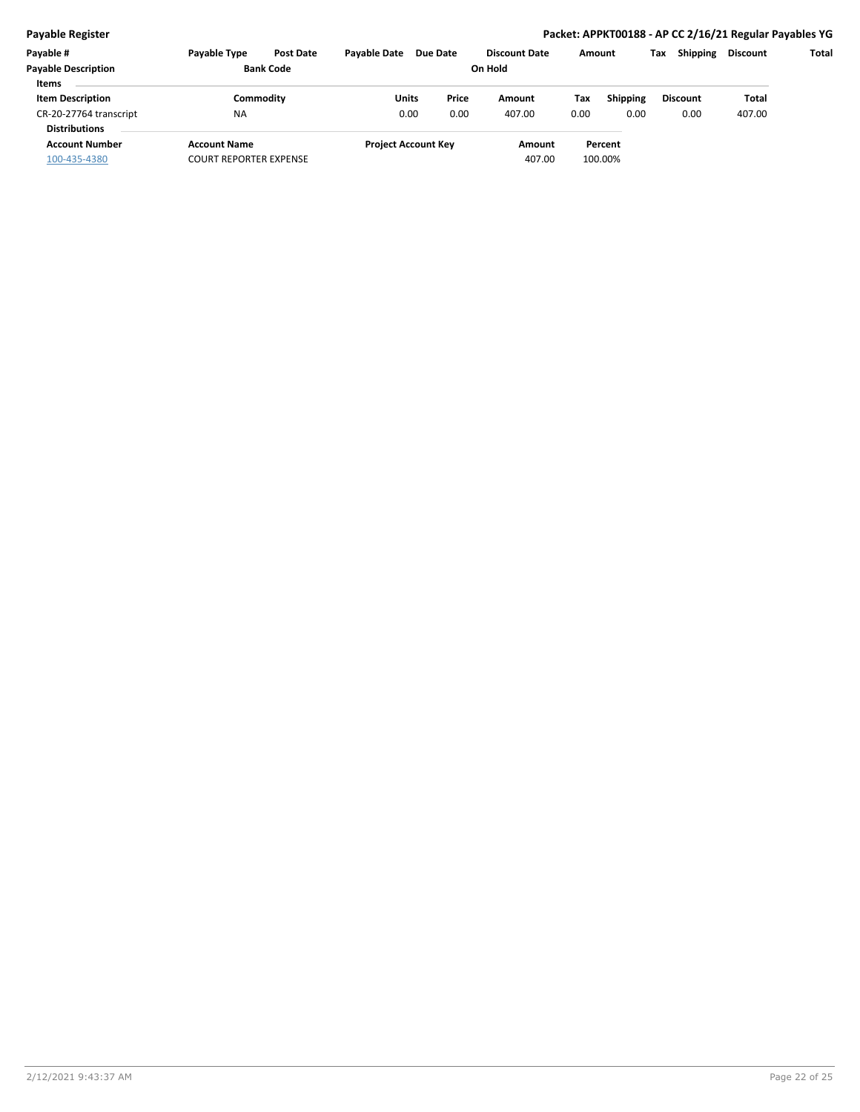| Payable #                  | <b>Payable Type</b>           | <b>Post Date</b> | <b>Pavable Date</b> | <b>Due Date</b>            |         | <b>Discount Date</b> | Amount |                 | Tax | <b>Shipping</b> | Discount | Total |
|----------------------------|-------------------------------|------------------|---------------------|----------------------------|---------|----------------------|--------|-----------------|-----|-----------------|----------|-------|
| <b>Payable Description</b> |                               | <b>Bank Code</b> |                     |                            | On Hold |                      |        |                 |     |                 |          |       |
| <b>Items</b>               |                               |                  |                     |                            |         |                      |        |                 |     |                 |          |       |
| <b>Item Description</b>    | Commoditv                     |                  | Units               | Price                      |         | Amount               | Tax    | <b>Shipping</b> |     | <b>Discount</b> | Total    |       |
| CR-20-27764 transcript     | <b>NA</b>                     |                  | 0.00                | 0.00                       |         | 407.00               | 0.00   | 0.00            |     | 0.00            | 407.00   |       |
| <b>Distributions</b>       |                               |                  |                     |                            |         |                      |        |                 |     |                 |          |       |
| <b>Account Number</b>      | <b>Account Name</b>           |                  |                     | <b>Project Account Key</b> |         | Amount               |        | Percent         |     |                 |          |       |
| 100-435-4380               | <b>COURT REPORTER EXPENSE</b> |                  |                     |                            |         | 407.00               |        | 100.00%         |     |                 |          |       |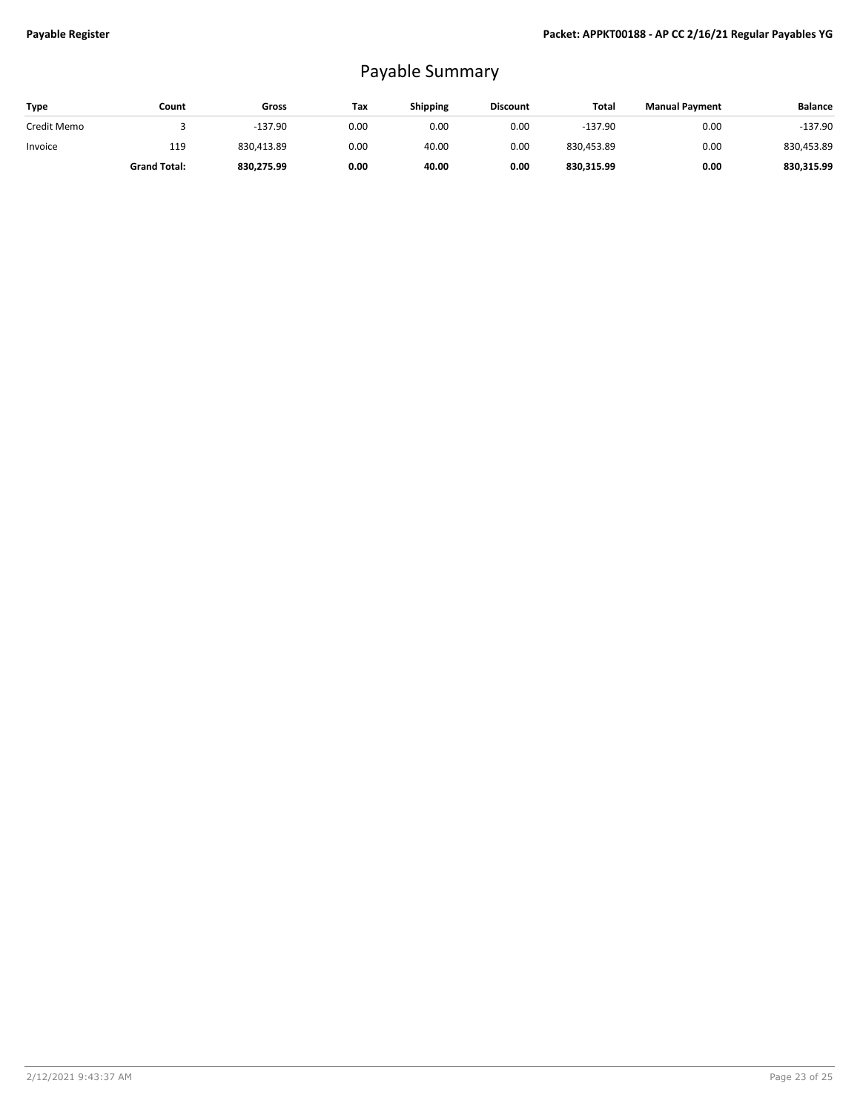## Payable Summary

| Type        | Count               | Gross      | Tax  | <b>Shipping</b> | <b>Discount</b> | Total      | <b>Manual Payment</b> | <b>Balance</b> |
|-------------|---------------------|------------|------|-----------------|-----------------|------------|-----------------------|----------------|
| Credit Memo |                     | $-137.90$  | 0.00 | 0.00            | 0.00            | $-137.90$  | 0.00                  | -137.90        |
| Invoice     | 119                 | 830.413.89 | 0.00 | 40.00           | 0.00            | 830.453.89 | 0.00                  | 830,453.89     |
|             | <b>Grand Total:</b> | 830,275.99 | 0.00 | 40.00           | 0.00            | 830,315.99 | 0.00                  | 830,315.99     |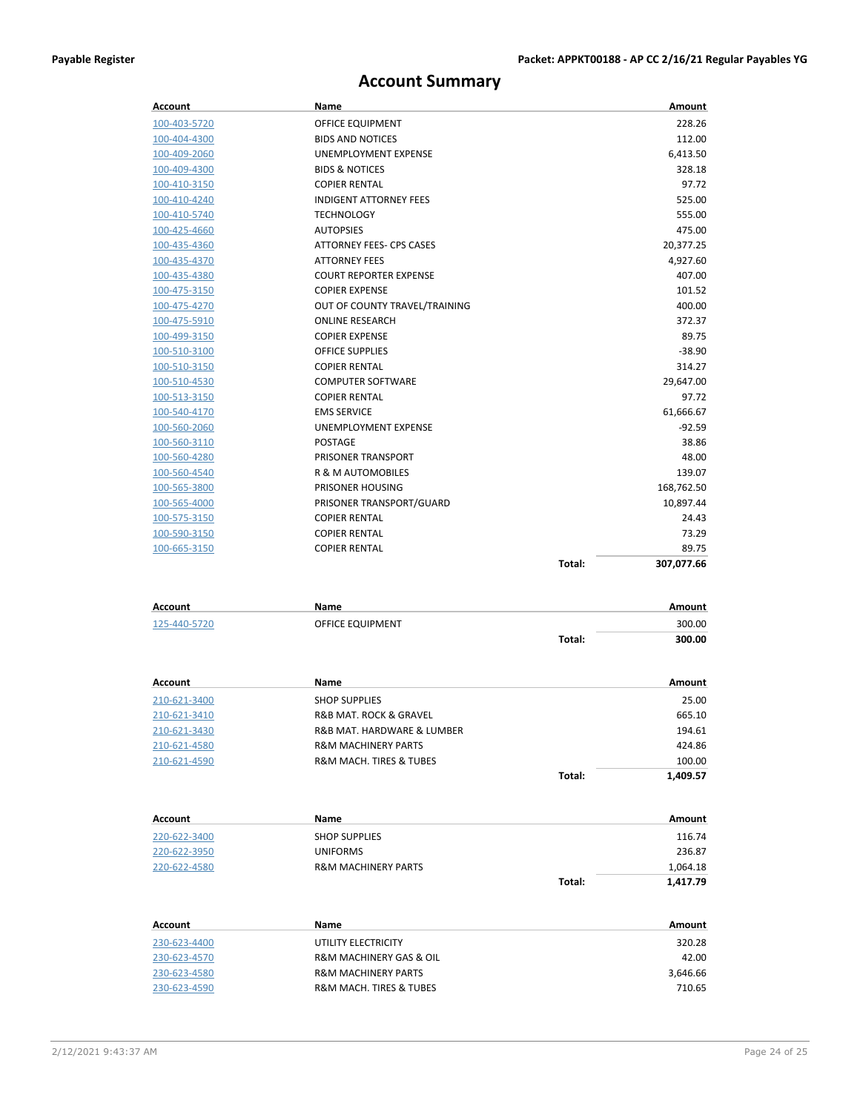## **Account Summary**

| Account      | Name                           |        | Amount     |
|--------------|--------------------------------|--------|------------|
| 100-403-5720 | OFFICE EQUIPMENT               |        | 228.26     |
| 100-404-4300 | <b>BIDS AND NOTICES</b>        |        | 112.00     |
| 100-409-2060 | UNEMPLOYMENT EXPENSE           |        | 6,413.50   |
| 100-409-4300 | <b>BIDS &amp; NOTICES</b>      |        | 328.18     |
| 100-410-3150 | <b>COPIER RENTAL</b>           |        | 97.72      |
| 100-410-4240 | <b>INDIGENT ATTORNEY FEES</b>  |        | 525.00     |
| 100-410-5740 | <b>TECHNOLOGY</b>              |        | 555.00     |
| 100-425-4660 | <b>AUTOPSIES</b>               |        | 475.00     |
| 100-435-4360 | ATTORNEY FEES- CPS CASES       |        | 20,377.25  |
| 100-435-4370 | <b>ATTORNEY FEES</b>           |        | 4,927.60   |
| 100-435-4380 | <b>COURT REPORTER EXPENSE</b>  |        | 407.00     |
| 100-475-3150 | <b>COPIER EXPENSE</b>          |        | 101.52     |
| 100-475-4270 | OUT OF COUNTY TRAVEL/TRAINING  |        | 400.00     |
| 100-475-5910 | <b>ONLINE RESEARCH</b>         |        | 372.37     |
| 100-499-3150 | <b>COPIER EXPENSE</b>          |        | 89.75      |
| 100-510-3100 | <b>OFFICE SUPPLIES</b>         |        | $-38.90$   |
| 100-510-3150 | <b>COPIER RENTAL</b>           |        | 314.27     |
| 100-510-4530 | <b>COMPUTER SOFTWARE</b>       |        | 29,647.00  |
| 100-513-3150 | <b>COPIER RENTAL</b>           |        | 97.72      |
| 100-540-4170 | <b>EMS SERVICE</b>             |        | 61,666.67  |
| 100-560-2060 | UNEMPLOYMENT EXPENSE           |        | -92.59     |
| 100-560-3110 | <b>POSTAGE</b>                 |        | 38.86      |
| 100-560-4280 | PRISONER TRANSPORT             |        | 48.00      |
| 100-560-4540 | R & M AUTOMOBILES              |        | 139.07     |
| 100-565-3800 | PRISONER HOUSING               |        | 168,762.50 |
| 100-565-4000 | PRISONER TRANSPORT/GUARD       |        | 10,897.44  |
| 100-575-3150 | <b>COPIER RENTAL</b>           |        | 24.43      |
| 100-590-3150 | <b>COPIER RENTAL</b>           |        | 73.29      |
| 100-665-3150 | <b>COPIER RENTAL</b>           |        | 89.75      |
|              |                                | Total: | 307,077.66 |
| Account      | Name                           |        | Amount     |
| 125-440-5720 | OFFICE EQUIPMENT               |        | 300.00     |
|              |                                | Total: | 300.00     |
|              |                                |        |            |
| Account      | Name                           |        | Amount     |
| 210-621-3400 | <b>SHOP SUPPLIES</b>           |        | 25.00      |
| 210-621-3410 | R&B MAT. ROCK & GRAVEL         |        | 665.10     |
| 210-621-3430 | R&B MAT. HARDWARE & LUMBER     |        | 194.61     |
| 210-621-4580 | <b>R&amp;M MACHINERY PARTS</b> |        | 424.86     |
| 210-621-4590 | R&M MACH. TIRES & TUBES        |        | 100.00     |
|              |                                | Total: | 1,409.57   |
|              |                                |        |            |
| Account      | Name                           |        | Amount     |
| 220-622-3400 | <b>SHOP SUPPLIES</b>           |        | 116.74     |
| 220-622-3950 | <b>UNIFORMS</b>                |        | 236.87     |
| 220-622-4580 | R&M MACHINERY PARTS            |        | 1,064.18   |
|              |                                | Total: | 1,417.79   |
|              |                                |        |            |
| Account      | Name                           |        | Amount     |
| 230-623-4400 | UTILITY ELECTRICITY            |        | 320.28     |
| 230-623-4570 | R&M MACHINERY GAS & OIL        |        | 42.00      |
| 230-623-4580 | <b>R&amp;M MACHINERY PARTS</b> |        | 3,646.66   |
| 230-623-4590 | R&M MACH. TIRES & TUBES        |        | 710.65     |